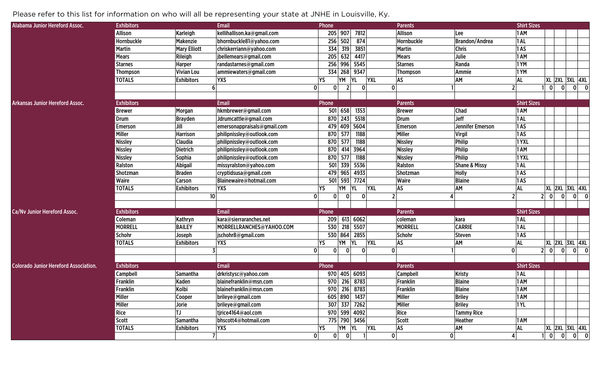## Please refer to this list for information on who will all be representing your state at JNHE in Louisville, Ky.

| Alabama Junior Hereford Assoc.               | <b>Exhibitors</b> |                     | <b>Email</b>                | Phone        |                |              |            | <b>Parents</b>  |                          | <b>Shirt Sizes</b> |                             |   |                            |
|----------------------------------------------|-------------------|---------------------|-----------------------------|--------------|----------------|--------------|------------|-----------------|--------------------------|--------------------|-----------------------------|---|----------------------------|
|                                              | Allison           | Karleigh            | kellihallison.ka@gmail.com  |              | 205 907        | 7812         |            | Allison         | Lee                      | 1 AM               |                             |   |                            |
|                                              | Hornbuckle        | <b>Makenzie</b>     | bhornbuckle81@yahoo.com     | 256          | 502            | 874          |            | Hornbuckle      | <b>Brandon/Andrea</b>    | 1AL                |                             |   |                            |
|                                              | <b>Martin</b>     | <b>Mary Elliott</b> | chriskerriann@yahoo.com     | 334          | 319            | 3851         |            | Martin          | <b>Chris</b>             | 1AS                |                             |   |                            |
|                                              | <b>Mears</b>      | Rileigh             | jbellemears@gmail.com       | 205          | 632            | 4417         |            | <b>Mears</b>    | Julie                    | 1 AM               |                             |   |                            |
|                                              | <b>Starnes</b>    | <b>Harper</b>       | randastarnes@gmail.com      | 256          | 996            | 5545         |            | <b>Starnes</b>  | Randa                    | 1YM                |                             |   |                            |
|                                              | <b>Thompson</b>   | <b>Vivian Lou</b>   | ammiewaters@gmail.com       | 334          | 268            | 9347         |            | Thompson        | Ammie                    | 1YM                |                             |   |                            |
|                                              | <b>TOTALS</b>     | <b>Exhibitors</b>   | <b>YXS</b>                  | YS           | YM             | YL           | <b>YXL</b> | AS              | AM                       | AL                 | <b>XL 2XL 3XL 4XL</b>       |   |                            |
|                                              |                   | 6                   | $\mathbf{0}$                | $\Omega$     | $\overline{2}$ | $\mathbf{0}$ | $\Omega$   |                 |                          | 2 <sup>1</sup>     | $\mathbf{0}$<br> 0          |   | $0\vert 0$                 |
|                                              |                   |                     |                             |              |                |              |            |                 |                          |                    |                             |   |                            |
| <b>Arkansas Junior Hereford Assoc.</b>       | <b>Exhibitors</b> |                     | <b>Email</b>                | Phone        |                |              |            | <b>Parents</b>  |                          | <b>Shirt Sizes</b> |                             |   |                            |
|                                              | <b>Brewer</b>     | Morgan              | hkmbrewer@gmail.com         | 501          | 658            | 1353         |            | <b>Brewer</b>   | Chad                     | 1 AM               |                             |   |                            |
|                                              | Drum              | <b>Brayden</b>      | Jdrumcattle@gmail.com       | 870          | 243            | 5518         |            | Drum            | Jeff                     | 1 AL               |                             |   |                            |
|                                              | <b>Emerson</b>    | Jill                | emersonappraisals@gmail.com | 479          | 409            | 5604         |            | Emerson         | Jennifer Emerson         | 1AS                |                             |   |                            |
|                                              | Miller            | <b>Harrison</b>     | philipnissley@outlook.com   | 870          | 577            | 1188         |            | Miller          | Virgil                   | 1AS                |                             |   |                            |
|                                              | Nissley           | Claudia             | philipnissley@outlook.com   | 870          | 577            | 1188         |            | Nissley         | Philip                   | 1YXL               |                             |   |                            |
|                                              | Nissley           | <b>Dietrich</b>     | philipnissley@outlook.com   | 870          | 414            | 3964         |            | Nissley         | Philip                   | 1 AM               |                             |   |                            |
|                                              | Nissley           | <b>Sophia</b>       | philipnissley@outlook.com   | 870          | 577            | 1188         |            | Nissley         | Philip                   | 1YXL               |                             |   |                            |
|                                              | Ralston           | <b>Abigail</b>      | missyralston@yahoo.com      | 501          | 339            | 5536         |            | Ralston         | <b>Shane &amp; Missy</b> | 1 AL               |                             |   |                            |
|                                              | <b>Shotzman</b>   | <b>Braden</b>       | cryptidsusa@gmail.com       | 479          | 965            | 4933         |            | <b>Shotzman</b> | <b>Holly</b>             | 1AS                |                             |   |                            |
|                                              | <b>Waire</b>      | Carson              | Blainewaire@hotmail.com     | 501          | 593            | 7724         |            | Waire           | <b>Blaine</b>            | 1AS                |                             |   |                            |
|                                              | <b>TOTALS</b>     | <b>Exhibitors</b>   | <b>YXS</b>                  | YS           | YΜ             | YI           | <b>YXL</b> | AS              | AM                       | <b>AL</b>          | XL 2XL 3XL 4XL              |   |                            |
|                                              |                   | 10 <sup>1</sup>     | $\mathbf{0}$                | $\mathbf{0}$ | $\mathbf{0}$   | $\mathbf{0}$ |            |                 |                          | 2 <sup>1</sup>     | 0 <br> 0 <br>2 <sup>1</sup> | 0 | $\overline{\phantom{a}}$ 0 |
|                                              |                   |                     |                             |              |                |              |            |                 |                          |                    |                             |   |                            |
| <b>Ca/Nv Junior Hereford Assoc.</b>          | <b>Exhibitors</b> |                     | <b>Email</b>                | Phone        |                |              |            | <b>Parents</b>  |                          | <b>Shirt Sizes</b> |                             |   |                            |
|                                              | Coleman           | Kathryn             | kara@sierraranches.net      | 209          |                | 613 6062     |            | coleman         | kara                     | 1AL                |                             |   |                            |
|                                              | <b>MORRELL</b>    | <b>BAILEY</b>       | MORRELLRANCHES@YAHOO.COM    | 530          |                | 218 5507     |            | <b>MORRELL</b>  | <b>CARRIE</b>            | 1 AL               |                             |   |                            |
|                                              | Schohr            | Joseph              | jschohr8@gmail.com          |              | 530 864        | 2855         |            | Schohr          | Steven                   | 1AS                |                             |   |                            |
|                                              | <b>TOTALS</b>     | <b>Exhibitors</b>   | <b>YXS</b>                  | YS           | YM             | YI           | <b>YXL</b> | AS              | AM                       | <b>AL</b>          | <b>XL 2XL 3XL 4XL</b>       |   |                            |
|                                              |                   |                     | $\Omega$                    |              | $\mathbf{0}$   | $\Omega$     | 0          |                 |                          | $\mathbf{0}$       | 2 <br> 0 <br> 0             |   | $0$ 0                      |
|                                              |                   |                     |                             |              |                |              |            |                 |                          |                    |                             |   |                            |
| <b>Colorado Junior Hereford Association.</b> | <b>Exhibitors</b> |                     | <b>Email</b>                | Phone        |                |              |            | <b>Parents</b>  |                          | <b>Shirt Sizes</b> |                             |   |                            |
|                                              | <b>Campbell</b>   | <b>Samantha</b>     | drkristysc@yahoo.com        |              |                | 970 405 6093 |            | Campbell        | <b>Kristy</b>            | 1AL                |                             |   |                            |
|                                              | Franklin          | <b>Kaden</b>        | blainefranklin@msn.com      | 970          |                | 216 8783     |            | Franklin        | <b>Blaine</b>            | 1 AM               |                             |   |                            |
|                                              | Franklin          | Kolbi               | blainefranklin@msn.com      |              |                | 970 216 8783 |            | Franklin        | <b>Blaine</b>            | 1 AM               |                             |   |                            |
|                                              | Miller            | Cooper              | brileye@gmail.com           |              |                | 605 890 1437 |            | Miller          | <b>Briley</b>            | 1 AM               |                             |   |                            |
|                                              | Miller            | Jorie               | brileye@gmail.com           |              |                | 307 337 7262 |            | Miller          | <b>Briley</b>            | 1YL                |                             |   |                            |
|                                              | Rice              | <b>TJ</b>           | tjrice4164@aol.com          |              |                | 970 599 4092 |            | Rice            | <b>Tammy Rice</b>        |                    |                             |   |                            |
|                                              | Scott             | <b>Samantha</b>     | bhscott4@hotmail.com        |              |                | 775 790 3456 |            | Scott           | <b>Heather</b>           | 1 AM               |                             |   |                            |
|                                              | <b>TOTALS</b>     | <b>Exhibitors</b>   | <b>YXS</b>                  | YS           | YM YL          |              | <b>YXL</b> | <b>AS</b>       | AM                       | <b>AL</b>          | <b>XL 2XL 3XL 4XL</b>       |   |                            |
|                                              |                   |                     | $\mathbf{0}$                | $\mathbf{0}$ | $\overline{0}$ |              | 0          |                 | 0                        |                    | $\mathbf{0}$<br> 0          |   | $\mathbf{0}$               |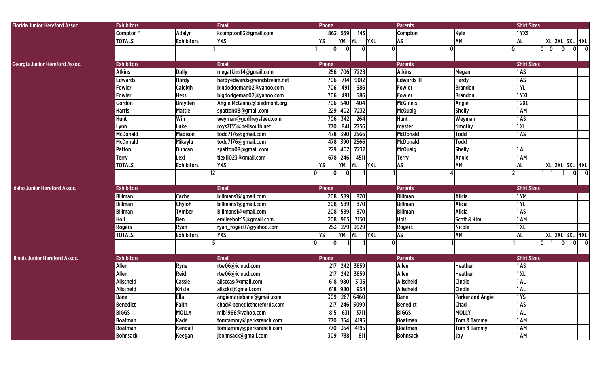| <b>Florida Junior Hereford Assoc.</b>  | <b>Exhibitors</b> |                   | <b>Email</b>                | Phone                        |                      |              | <b>Parents</b>     |                         | <b>Shirt Sizes</b> |                                                |              |       |
|----------------------------------------|-------------------|-------------------|-----------------------------|------------------------------|----------------------|--------------|--------------------|-------------------------|--------------------|------------------------------------------------|--------------|-------|
|                                        | Compton*          | Adalyn            | kcompton83@gmail.com        |                              | 863 559<br>143       |              | Compton            | Kyle                    | 1YXS               |                                                |              |       |
|                                        | <b>TOTALS</b>     | <b>Exhibitors</b> | <b>YXS</b>                  | YS                           | YM<br><b>YL</b>      | <b>YXL</b>   | AS                 | AM                      | <b>AL</b>          | <b>XL 2XL 3XL 4XL</b>                          |              |       |
|                                        |                   |                   |                             | <sup>0</sup>                 | $\Omega$<br>$\Omega$ | $\mathbf 0$  |                    | 0                       | $\Omega$           | $\mathbf{0}$<br> 0 <br>$\overline{\mathbf{0}}$ |              | $0$ 0 |
|                                        |                   |                   |                             |                              |                      |              |                    |                         |                    |                                                |              |       |
| Georgia Junior Hereford Assoc.         | <b>Exhibitors</b> |                   | <b>Email</b>                | Phone                        |                      |              | <b>Parents</b>     |                         | <b>Shirt Sizes</b> |                                                |              |       |
|                                        | <b>Atkins</b>     | <b>Dally</b>      | megatkins14@gmail.com       | 256                          | 706 7228             |              | <b>Atkins</b>      | Megan                   | 1AS                |                                                |              |       |
|                                        | <b>Edwards</b>    | <b>Hardy</b>      | hardyedwards@windstream.net | 706                          | 9012<br>714          |              | <b>Edwards III</b> | <b>Hardy</b>            | 1AS                |                                                |              |       |
|                                        | Fowler            | Caleigh           | bigdodgeman02@yahoo.com     | 706                          | 491<br>686           |              | Fowler             | <b>Brandon</b>          | 1YL                |                                                |              |       |
|                                        | Fowler            | <b>Hess</b>       | bigdodgeman02@yahoo.com     | 706                          | 491<br>686           |              | <b>Fowler</b>      | <b>Brandon</b>          | 1YXL               |                                                |              |       |
|                                        | Gordon            | <b>Brayden</b>    | Angie.McGinnis@piedmont.org | 706                          | 404<br>540           |              | <b>McGinnis</b>    | Angie                   | 12XL               |                                                |              |       |
|                                        | <b>Harris</b>     | Mattie            | spatton08@gmail.com         | 229                          | 402<br>7232          |              | <b>McQuaig</b>     | <b>Shelly</b>           | 1 AM               |                                                |              |       |
|                                        | Hunt              | Win               | weyman@godfreysfeed.com     | 706                          | 264<br>342           |              | Hunt               | Weyman                  | 1AS                |                                                |              |       |
|                                        | Lynn              | Luke              | roys7135@bellsouth.net      | 770                          | 841<br>2756          |              | royster            | timothy                 | 1XL                |                                                |              |       |
|                                        | <b>McDonald</b>   | <b>Madison</b>    | todd7176@gmail.com          | 478                          | 390 2566             |              | <b>McDonald</b>    | <b>Todd</b>             | 1AS                |                                                |              |       |
|                                        | <b>McDonald</b>   | Mikayla           | todd7176@gmail.com          |                              | 478 390 2566         |              | <b>McDonald</b>    | Todd                    |                    |                                                |              |       |
|                                        | Patton            | Duncan            | spatton08@gmail.com         | 229                          | 402<br>7232          |              | <b>McQuaig</b>     | <b>Shelly</b>           | 1AL                |                                                |              |       |
|                                        | <b>Terry</b>      | Lexi              | tlexi1023@gmail.com         |                              | 4511<br>678 246      |              | Terry              | Angie                   | 1 AM               |                                                |              |       |
|                                        | <b>TOTALS</b>     | <b>Exhibitors</b> | <b>YXS</b>                  | YS                           | YM<br><b>YL</b>      | <b>YXL</b>   | AS                 | АM                      | <b>AL</b>          | <b>XL 2XL 3XL 4XL</b>                          |              |       |
|                                        |                   |                   | 12                          | 0<br>0                       |                      |              |                    |                         | 2                  |                                                | $\mathbf{0}$ | 0     |
|                                        |                   |                   |                             |                              |                      |              |                    |                         |                    |                                                |              |       |
| <b>Idaho Junior Hereford Assoc.</b>    | <b>Exhibitors</b> |                   | Email                       | Phone                        |                      |              | <b>Parents</b>     |                         | <b>Shirt Sizes</b> |                                                |              |       |
|                                        | <b>Billman</b>    | <b>Cache</b>      | billmans1@gmail.com         | 208                          | 589<br>870           |              | Billman            | Alicia                  | 1YM                |                                                |              |       |
|                                        | <b>Billman</b>    | Chyloh            | billmans1@gmail.com         | 208                          | 589<br>870           |              | <b>Billman</b>     | <b>Alicia</b>           | 1YL                |                                                |              |       |
|                                        | <b>Billman</b>    | <b>Tymber</b>     | Billmans1@gmail.com         | 208                          | 589<br>870           |              | <b>Billman</b>     | <b>Alicia</b>           | 1AS                |                                                |              |       |
|                                        | Holt              | Ben               | emileeholt15@gmail.com      | 208                          | 965<br>3130          |              | Holt               | Scott & Kim             | 1 AM               |                                                |              |       |
|                                        | <b>Rogers</b>     | Ryan              | ryan_rogers17@yahoo.com     | 253                          | 279<br>9929          |              | <b>Rogers</b>      | <b>Nicole</b>           | 1XL                |                                                |              |       |
|                                        | <b>TOTALS</b>     | <b>Exhibitors</b> | <b>YXS</b>                  | YS                           | YΜ<br>YL             | <b>YXL</b>   | AS                 | АM                      | <b>AL</b>          | <b>XL 2XL 3XL 4XL</b>                          |              |       |
|                                        |                   |                   | 51                          | $\mathbf{0}$<br><sup>0</sup> |                      | $\mathbf{0}$ |                    |                         |                    | $\mathbf{0}$<br>$\mathbf{0}$<br>-11            |              | $0$ 0 |
|                                        |                   |                   |                             |                              |                      |              |                    |                         |                    |                                                |              |       |
| <b>Illinois Junior Hereford Assoc.</b> | <b>Exhibitors</b> |                   | Email                       | Phone                        |                      |              | <b>Parents</b>     |                         | <b>Shirt Sizes</b> |                                                |              |       |
|                                        | Allen             | Ryne              | rtw06@icloud.com            | 217                          | 242 3859             |              | Allen              | <b>Heather</b>          | 1AS                |                                                |              |       |
|                                        | Allen             | Reid              | rtw06@icloud.com            | 217                          | 242 3859             |              | Allen              | <b>Heather</b>          | 1XL                |                                                |              |       |
|                                        | Allscheid         | Cassie            | allsccas@gmail.com          | 618                          | 980<br>3135          |              | Allscheid          | Cindie                  | 1AL                |                                                |              |       |
|                                        | Allscheid         | <b>Krista</b>     | allsckri@gmail.com          |                              | 618 980 934          |              | Allscheid          | Cindie                  | 1AL                |                                                |              |       |
|                                        | Bane              | Ella              | angiemariebane@gmail.com    |                              | 309 267 6460         |              | Bane               | <b>Parker and Angie</b> | 1 YS               |                                                |              |       |
|                                        | Benedict          | Faith             | chad@benedictherefords.com  |                              | 217 246 5099         |              | <b>Benedict</b>    | Chad                    | 1AS                |                                                |              |       |
|                                        | <b>BIGGS</b>      | <b>MOLLY</b>      | mjb1966@yahoo.com           |                              | 815 631 3711         |              | <b>BIGGS</b>       | <b>MOLLY</b>            | 1AL                |                                                |              |       |
|                                        | <b>Boatman</b>    | Kade              | tomtammy@perksranch.com     |                              | 770 354 4195         |              | <b>Boatman</b>     | Tom & Tammy             | 1 AM               |                                                |              |       |
|                                        | Boatman           | Kendall           | tomtammy@perksranch.com     |                              | 770 354 4195         |              | <b>Boatman</b>     | Tom & Tammy             | 1 AM               |                                                |              |       |
|                                        | <b>Bohnsack</b>   | Keegan            | jbohnsack@gmail.com         |                              | 309 738<br>811       |              | <b>Bohnsack</b>    | Jay                     | 1 AM               |                                                |              |       |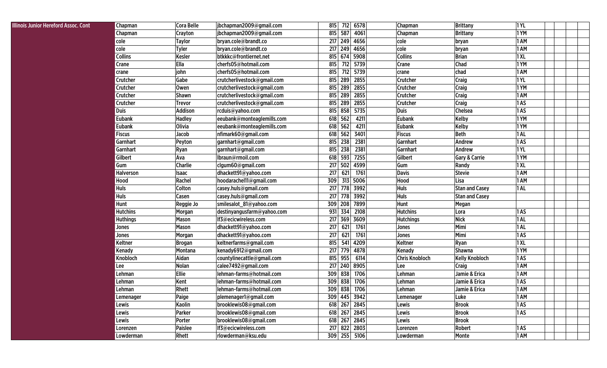| <b>Assoc. Cont</b> | <b>Chapman</b>   | <b>Cora Belle</b> | jbchapman2009@gmail.com     | 815     | 712 | 6578         | Chapman               | <b>Brittany</b>          | 1YL        |  |
|--------------------|------------------|-------------------|-----------------------------|---------|-----|--------------|-----------------------|--------------------------|------------|--|
|                    | Chapman          | Crayton           | jbchapman2009@gmail.com     | 815     | 587 | 4061         | Chapman               | <b>Brittany</b>          | 1YM        |  |
|                    | cole             | <b>Taylor</b>     | bryan.cole@brandt.co        | 217     | 249 | 4656         | cole                  | bryan                    | 1 AM       |  |
|                    | cole             | <b>Tyler</b>      | bryan.cole@brandt.co        | 217     | 249 | 4656         | cole                  | bryan                    | 1 AM       |  |
|                    | <b>Collins</b>   | <b>Kesler</b>     | btkkkc@frontiernet.net      | 815     | 674 | 5908         | <b>Collins</b>        | <b>Brian</b>             | 1XL        |  |
|                    | Crane            | Ella              | cherfs05@hotmail.com        | 815     | 712 | 5739         | Crane                 | <b>Chad</b>              | 1YM        |  |
|                    | crane            | john              | cherfs05@hotmail.com        | 815     | 712 | 5739         | crane                 | chad                     | 1 AM       |  |
|                    | Crutcher         | Gabe              | crutcherlivestock@gmail.com | 815     | 289 | 2855         | Crutcher              | Craig                    | <b>1YL</b> |  |
|                    | Crutcher         | Owen              | crutcherlivestock@gmail.com | 815     | 289 | 2855         | Crutcher              | Craig                    | 1YM        |  |
|                    | Crutcher         | <b>Shawn</b>      | crutcherlivestock@gmail.com | 815     | 289 | 2855         | Crutcher              | Craig                    | 1 AM       |  |
|                    | Crutcher         | <b>Trevor</b>     | crutcherlivestock@gmail.com | 815     | 289 | 2855         | Crutcher              | Craig                    | 1AS        |  |
|                    | <b>Duis</b>      | <b>Addison</b>    | rcduis@yahoo.com            | 815     | 858 | 5735         | <b>Duis</b>           | Chelsea                  | 1AS        |  |
|                    | <b>Eubank</b>    | <b>Hadley</b>     | eeubank@monteaglemills.com  | 618     | 562 | 4211         | <b>Eubank</b>         | <b>Kelby</b>             | 1YM        |  |
|                    | <b>Eubank</b>    | <b>Olivia</b>     | eeubank@monteaglemills.com  | 618     | 562 | 4211         | <b>Eubank</b>         | <b>Kelby</b>             | 1YM        |  |
|                    | <b>Fiscus</b>    | Jacob             | nfimark60@gmail.com         | 618     | 562 | 3401         | <b>Fiscus</b>         | <b>Beth</b>              | 1 AL       |  |
|                    | <b>Garnhart</b>  | Peyton            | garnhart@gmail.com          | 815     | 238 | 2381         | Garnhart              | Andrew                   | 1AS        |  |
|                    | Garnhart         | <b>Ryan</b>       | garnhart@gmail.com          | 815     | 238 | 2381         | Garnhart              | Andrew                   | <b>1YL</b> |  |
|                    | Gilbert          | Ava               | Ibraun@rmoil.com            | 618     | 593 | 7255         | Gilbert               | <b>Gary &amp; Carrie</b> | 1YM        |  |
|                    | Gum              | <b>Charlie</b>    | clgum60@gmail.com           | 217     | 502 | 4599         | Gum                   | Randy                    | 1XL        |  |
|                    | <b>Halverson</b> | <b>Isaac</b>      | dhackett91@yahoo.com        | 217     | 621 | 1761         | <b>Davis</b>          | <b>Stevie</b>            | 1 AM       |  |
|                    | Hood             | Rachel            | hoodarachel11@gmail.com     | 309     | 313 | 5006         | Hood                  | Lisa                     | 1 AM       |  |
|                    | <b>Huls</b>      | Colton            | casey.huls@gmail.com        | 217     | 778 | 3992         | <b>Huls</b>           | <b>Stan and Casey</b>    | 1 AL       |  |
|                    | <b>Huls</b>      | Casen             | casey.huls@gmail.com        | 217     | 778 | 3992         | <b>Huls</b>           | <b>Stan and Casey</b>    |            |  |
|                    | Hunt             | Reggie Jo         | smilesalot_81@yahoo.com     | 309     | 208 | 7899         | Hunt                  | Megan                    |            |  |
|                    | <b>Hutchins</b>  | Morgan            | destinyangusfarm@yahoo.com  | 931     | 334 | 2108         | <b>Hutchins</b>       | Lora                     | 1AS        |  |
|                    | <b>Huthings</b>  | <b>Mason</b>      | If3@ecicwireless.com        | 217     | 369 | 3609         | <b>Hutchings</b>      | <b>Nick</b>              | 1 AL       |  |
|                    | Jones            | <b>Mason</b>      | dhackett91@yahoo.com        | 217     | 621 | 1761         | Jones                 | Mimi                     | 1 AL       |  |
|                    | Jones            | <b>Morgan</b>     | dhackett91@yahoo.com        | 217     | 621 | 1761         | Jones                 | Mimi                     | 1AS        |  |
|                    | Keltner          | <b>Brogan</b>     | keltnerfarms@gmail.com      | 815     | 541 | 4209         | Keltner               | Ryan                     | 1XL        |  |
|                    | Kenady           | Montana           | kenady6912@gmail.com        | 217     | 779 | 4878         | Kenady                | Shawna                   | 1YM        |  |
|                    | Knobloch         | Aidan             | countylinecattle@gmail.com  | 815     | 955 | 6114         | <b>Chris Knobloch</b> | <b>Kelly Knobloch</b>    | 1AS        |  |
|                    | Lee              | Nolan             | calee7492@gmail.com         | 217     | 240 | 8905         | Lee                   | Craig                    | 1 AM       |  |
|                    | Lehman           | <b>Ellie</b>      | lehman-farms@hotmail.com    | 309     | 838 | 1706         | Lehman                | Jamie & Erica            | 1 AM       |  |
|                    | Lehman           | Kent              | lehman-farms@hotmail.com    | 309     | 838 | 1706         | Lehman                | Jamie & Erica            | 1AS        |  |
|                    | Lehman           | <b>Rhett</b>      | lehman-farms@hotmail.com    | 309     | 838 | 1706         | Lehman                | Jamie & Erica            | 1AM        |  |
|                    | Lemenager        | Paige             | plemenager1@gmail.com       |         |     | 309 445 3942 | Lemenager             | Luke                     | 1 AM       |  |
|                    | Lewis            | <b>Kaolin</b>     | brooklewis08@gmail.com      | 618 267 |     | 2845         | Lewis                 | <b>Brook</b>             | 1AS        |  |
|                    | Lewis            | Parker            | brooklewis08@gmail.com      | 618 267 |     | 2845         | Lewis                 | <b>Brook</b>             | 1AS        |  |
|                    | Lewis            | Porter            | brooklewis08@gmail.com      | 618     | 267 | 2845         | Lewis                 | <b>Brook</b>             |            |  |
|                    | Lorenzen         | Paislee           | If3@ecicwireless.com        | 217 822 |     | 2803         | Lorenzen              | Robert                   | 1AS        |  |
|                    | Lowderman        | Rhett             | rlowderman@ksu.edu          |         |     | 309 255 5106 | Lowderman             | Monte                    | 1 AM       |  |

**Illinois Junior Hereford Assoc.**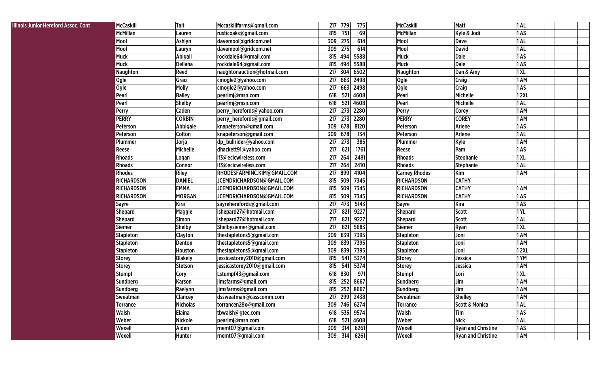| <b>Illinois Junior Hereford Assoc. Cont</b> | McCaskill         | Tait            | Mccaskillfarms@gmail.com    |     | 217 779 | 775          | <b>McCaskill</b>     | Matt                      | 1AL         |  |
|---------------------------------------------|-------------------|-----------------|-----------------------------|-----|---------|--------------|----------------------|---------------------------|-------------|--|
|                                             | <b>McMillan</b>   | Lauren          | rusticoaks@gmail.com        | 815 | 751     | 69           | <b>McMillan</b>      | Kyle & Jodi               | 1AS         |  |
|                                             | Mool              | Ashlyn          | davemool@gridcom.net        | 309 | 275     | 614          | Mool                 | Dave                      | 1 AL        |  |
|                                             | Mool              | Lauryn          | davemool@gridcom.net        | 309 | 275     | 614          | Mool                 | <b>David</b>              | 1 AL        |  |
|                                             | Muck              | Abigail         | rockdale64@gmail.com        | 815 | 494     | 5588         | <b>Muck</b>          | <b>Dale</b>               | 1AS         |  |
|                                             | <b>Muck</b>       | Dellana         | rockdale64@gmail.com        | 815 | 494     | 5588         | <b>Muck</b>          | <b>Dale</b>               | 1AS         |  |
|                                             | <b>Naughton</b>   | Reed            | naughtonauction@hotmail.com | 217 | 304     | 6502         | Naughton             | Dan & Amy                 | 1 XL        |  |
|                                             | Ogle              | Graci           | cmogle2@yahoo.com           | 217 | 663     | 2498         | Ogle                 | Craig                     | 1 AM        |  |
|                                             | Ogle              | Molly           | cmogle2@yahoo.com           | 217 | 663     | 2498         | <b>Ogle</b>          | Craig                     | 1AS         |  |
|                                             | Pearl             | <b>Bailey</b>   | pearlmj@msn.com             | 618 | 521     | 4608         | Pearl                | Michelle                  | 12XL        |  |
|                                             | Pearl             | <b>Shelby</b>   | pearlmj@msn.com             | 618 | 521     | 4608         | Pearl                | Michelle                  | 1 AL        |  |
|                                             | Perry             | Caden           | perry_herefords@yahoo.com   | 217 | 273     | 2280         | Perry                | Corey                     | 1 AM        |  |
|                                             | <b>PERRY</b>      | <b>CORBIN</b>   | perry_herefords@gmail.com   | 217 | 273     | 2280         | <b>PERRY</b>         | <b>COREY</b>              | 1 AM        |  |
|                                             | Peterson          | Abbigale        | knapeterson@gmail.com       | 309 | 678     | 8120         | Peterson             | Arlene                    | 1AS         |  |
|                                             | Peterson          | Colton          | knapeterson@gmail.com       | 309 | 678     | 134          | Peterson             | Arlene                    | 1 AL        |  |
|                                             | Plummer           | Jorja           | dp_bullrider@yahoo.com      | 217 | 273     | 385          | Plummer              | Kyle                      | 1 AM        |  |
|                                             | Reese             | Michelle        | dhackett91@yahoo.com        | 217 | 621     | 1761         | Reese                | Pam                       | 1AS         |  |
|                                             | <b>Rhoads</b>     | Logan           | If3@ecicwireless.com        |     | 217 264 | 2481         | <b>Rhoads</b>        | <b>Stephanie</b>          | 1 X L       |  |
|                                             | <b>Rhoads</b>     | Connor          | If3@ecicwireless.com        | 217 | 264     | 2410         | <b>Rhoads</b>        | Stephanie                 | 1 AL        |  |
|                                             | <b>Rhodes</b>     | Riley           | RHODESFARMINC.KIM@GMAIL.COM | 217 | 899     | 4104         | <b>Carney Rhodes</b> | Kim                       | 1 AM        |  |
|                                             | <b>RICHARDSON</b> | <b>DANIEL</b>   | JCEMDRICHARDSON@GMAIL.COM   | 815 | 509     | 7345         | <b>RICHARDSON</b>    | <b>CATHY</b>              |             |  |
|                                             | <b>RICHARDSON</b> | <b>EMMA</b>     | JCEMDRICHARDSON@GMAIL.COM   | 815 | 509     | 7345         | <b>RICHARDSON</b>    | <b>CATHY</b>              | 1 AM        |  |
|                                             | <b>RICHARDSON</b> | <b>MORGAN</b>   | JCEMDRICHARDSON@GMAIL.COM   | 815 | 509     | 7345         | <b>RICHARDSON</b>    | <b>CATHY</b>              | 1AS         |  |
|                                             | Sayre             | <b>Kira</b>     | sayreherefords@gmail.com    | 217 | 473     | 5143         | Sayre                | Kira                      | 1AS         |  |
|                                             | <b>Shepard</b>    | <b>Maggie</b>   | Ishepard27@hotmail.com      | 217 | 821     | 9227         | <b>Shepard</b>       | Scott                     | 1YL         |  |
|                                             | <b>Shepard</b>    | <b>Simon</b>    | Ishepard27@hotmail.com      | 217 | 821     | 9227         | <b>Shepard</b>       | <b>Scott</b>              | 1 AL        |  |
|                                             | <b>Siemer</b>     | <b>Shelby</b>   | Shelbysiemer@gmail.com      | 217 | 821     | 5683         | <b>Siemer</b>        | Ryan                      | 1 XL        |  |
|                                             | <b>Stapleton</b>  | Clayton         | thestapletons5@gmail.com    | 309 | 839     | 7395         | <b>Stapleton</b>     | Joni                      | 1 AM        |  |
|                                             | <b>Stapleton</b>  | Denton          | thestapletons5@gmail.com    | 309 | 839     | 7395         | <b>Stapleton</b>     | Joni                      | 1 AM        |  |
|                                             | <b>Stapleton</b>  | Houston         | thestapletons5@gmail.com    | 309 | 839     | 7395         | <b>Stapleton</b>     | Joni                      | <b>12XL</b> |  |
|                                             | <b>Storey</b>     | <b>Blakely</b>  | jessicastorey2010@gmail.com | 815 | 541     | 5374         | <b>Storey</b>        | Jessica                   | 1YM         |  |
|                                             | <b>Storey</b>     | <b>Stetson</b>  | jessicastorey2010@gmail.com | 815 | 541     | 5374         | <b>Storey</b>        | Jessica                   | 1 AM        |  |
|                                             | <b>Stumpf</b>     | Cory            | Lstumpf43@gmail.com         | 618 | 830     | 971          | <b>Stumpf</b>        | Lori                      | 1 XL        |  |
|                                             | Sundberg          | Karson          | jimsfarms@gmail.com         | 815 | 252     | 8667         | Sundberg             | Jim                       | 1 AM        |  |
|                                             | Sundberg          | Raelynn         | jimsfarms@gmail.com         | 815 | 252     | 8667         | Sundberg             | Jim                       | 1 AM        |  |
|                                             | <b>Sweatman</b>   | Clancey         | dssweatman@casscomm.com     |     |         | 217 299 2438 | Sweatman             | <b>Shelley</b>            | 1 AM        |  |
|                                             | Torrance          | <b>Nicholas</b> | torrancen28x@gmail.com      |     |         | 309 746 6274 | Torrance             | <b>Scott &amp; Monica</b> | 1 AL        |  |
|                                             | Walsh             | <b>Elaina</b>   | tbwalsh@gtec.com            |     |         | 618 535 9574 | Walsh                | Tim                       | 1AS         |  |
|                                             | Weber             | Nickole         | pearlmj@msn.com             |     |         | 618 521 4608 | Weber                | <b>Nick</b>               | 1AL         |  |
|                                             | Wexell            | Aiden           | rnemt07@gmail.com           |     |         | 309 314 6261 | Wexell               | <b>Ryan and Christine</b> | 1AS         |  |
|                                             | Wexell            | Hunter          | rnemt07@gmail.com           |     |         | 309 314 6261 | Wexell               | <b>Ryan and Christine</b> | 1 AM        |  |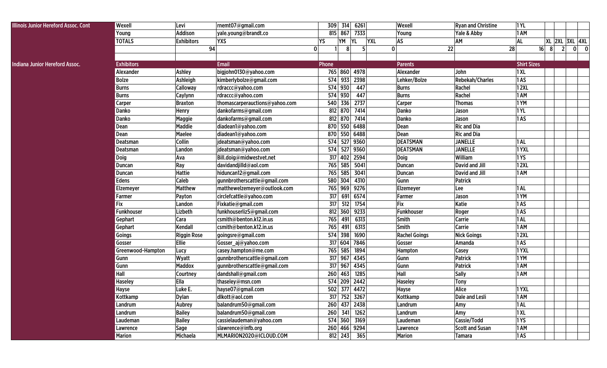| Illinois Junior Hereford Assoc. Cont  | Wexell            | Levi               | rnemt07@gmail.com              | 309 314<br>6261                     | Wexell               | <b>Ryan and Christine</b> | 1YL                |        |                       |       |
|---------------------------------------|-------------------|--------------------|--------------------------------|-------------------------------------|----------------------|---------------------------|--------------------|--------|-----------------------|-------|
|                                       | Young             | <b>Addison</b>     | yale.young@brandt.co           | 815 867<br>7333                     | Young                | Yale & Abby               | 1 AM               |        |                       |       |
|                                       | <b>TOTALS</b>     | <b>Exhibitors</b>  | <b>YXS</b>                     | YM<br><b>YL</b><br><b>YXL</b><br>YS | <b>AS</b>            | AM                        | <b>AL</b>          |        | <u>XL 2XL 3XL 4XL</u> |       |
|                                       |                   | 94                 |                                | 0<br>8                              | $\mathbf 0$<br>22    |                           | 28                 | $16$ 8 | $\overline{2}$        | $0$ 0 |
|                                       |                   |                    |                                |                                     |                      |                           |                    |        |                       |       |
| <b>Indiana Junior Hereford Assoc.</b> | <b>Exhibitors</b> |                    | <b>Email</b>                   | Phone                               | <b>Parents</b>       |                           | <b>Shirt Sizes</b> |        |                       |       |
|                                       | Alexander         | <b>Ashley</b>      | bigjohn0130@yahoo.com          | 765 860 4978                        | Alexander            | John                      | 1XL                |        |                       |       |
|                                       | <b>Bolze</b>      | Ashleigh           | kimberlybolze@gmail.com        | 574 933<br>2398                     | Lehker/Bolze         | <b>Rebekah/Charles</b>    | 1AS                |        |                       |       |
|                                       | <b>Burns</b>      | Calloway           | rdraccc@yahoo.com              | 574 930<br>447                      | <b>Burns</b>         | Rachel                    | <b>12XL</b>        |        |                       |       |
|                                       | <b>Burns</b>      | Caylynn            | rdraccc@yahoo.com              | 574 930<br>447                      | <b>Burns</b>         | Rachel                    | 1 AM               |        |                       |       |
|                                       | Carper            | <b>Braxton</b>     | thomascarperauctions@yahoo.com | 540 336<br>2737                     | <b>Carper</b>        | <b>Thomas</b>             | 1YM                |        |                       |       |
|                                       | <b>Danko</b>      | Henry              | dankofarms@gmail.com           | 7414<br>812 870                     | Danko                | Jason                     | 1YL                |        |                       |       |
|                                       | <b>Danko</b>      | <b>Maggie</b>      | dankofarms@gmail.com           | 812 870<br>7414                     | Danko                | Jason                     | 1AS                |        |                       |       |
|                                       | Dean              | <b>Maddie</b>      | diadean1@yahoo.com             | 870 550 6488                        | Dean                 | <b>Ric and Dia</b>        |                    |        |                       |       |
|                                       | <b>Dean</b>       | Maelee             | diadean1@yahoo.com             | 870 550 6488                        | Dean                 | <b>Ric and Dia</b>        |                    |        |                       |       |
|                                       | Deatsman          | Collin             | jdeatsman@yahoo.com            | 574 527 9360                        | <b>DEATSMAN</b>      | <b>JANELLE</b>            | 1 AL               |        |                       |       |
|                                       | Deatsman          | Landon             | jdeatsman@yahoo.com            | 574 527<br>9360                     | <b>DEATSMAN</b>      | <b>JANELLE</b>            | 1YXL               |        |                       |       |
|                                       | Doig              | Ava                | Bill.doig@midwestvet.net       | 317 402<br>2594                     | <b>Doig</b>          | William                   | 1YS                |        |                       |       |
|                                       | <b>Duncan</b>     | Ray                | davidandjilld@aol.com          | 765 585<br>5041                     | Duncan               | <b>David and Jill</b>     | <b>12XL</b>        |        |                       |       |
|                                       | <b>Duncan</b>     | <b>Hattie</b>      | hiduncan12@gmail.com           | 765 585<br>3041                     | <b>Duncan</b>        | David and Jill            | 1 AM               |        |                       |       |
|                                       | Edens             | Caleb              | gunnbrotherscattle@gmail.com   | 580 304<br>4310                     | Gunn                 | Patrick                   |                    |        |                       |       |
|                                       | Elzemeyer         | <b>Matthew</b>     | matthewelzemeyer@outlook.com   | 765 969<br>9276                     | Elzemeyer            | Lee                       | 1 AL               |        |                       |       |
|                                       | Farmer            | Payton             | circlefcattle@yahoo.com        | 317<br>691<br>6574                  | Farmer               | Jason                     | 1YM                |        |                       |       |
|                                       | Fix               | Landon             | Fixkatie@gmail.com             | 317<br>512<br>1754                  | Fix                  | Katie                     | 1AS                |        |                       |       |
|                                       | <b>Funkhouser</b> | Lizbeth            | funkhouserliz5@gmail.com       | 9233<br>812 360                     | Funkhouser           | Roger                     | 1AS                |        |                       |       |
|                                       | Gephart           | Cara               | csmith@benton.k12.in.us        | 765<br>6313<br>491                  | Smith                | Carrie                    | 1 AL               |        |                       |       |
|                                       | Gephart           | Kendall            | csmith@benton.k12.in.us        | 765<br>491<br>6313                  | Smith                | <b>Carrie</b>             | 1 AM               |        |                       |       |
|                                       | Goings            | <b>Riggin Rose</b> | goingsre@gmail.com             | 574 398<br>1690                     | <b>Rachel Goings</b> | <b>Nick Goings</b>        | <b>12XL</b>        |        |                       |       |
|                                       | Gosser            | Ellie              | Gosser_aj@yahoo.com            | $\overline{317}$ 604<br>7846        | Gosser               | Amanda                    | 1AS                |        |                       |       |
|                                       | Greenwood-Hampton | Lucy               | casey.hampton@me.com           | 765 585<br>1894                     | Hampton              | Casey                     | 1YXL               |        |                       |       |
|                                       | Gunn              | Wyatt              | gunnbrotherscattle@gmail.com   | 317 967<br>4345                     | Gunn                 | Patrick                   | 1YM                |        |                       |       |
|                                       | Gunn              | <b>Maddox</b>      | gunnbrotherscattle@gmail.com   | 317 967<br>4345                     | Gunn                 | Patrick                   | 1 AM               |        |                       |       |
|                                       | Hall              | Courtney           | dandshall@gmail.com            | 260 463<br>1285                     | Hall                 | <b>Sally</b>              | 1 AM               |        |                       |       |
|                                       | <b>Haseley</b>    | Ella               | thaseley@msn.com               | 574 209<br>2442                     | <b>Haseley</b>       | <b>Tony</b>               |                    |        |                       |       |
|                                       | <b>Hayse</b>      | Luke E.            | hayse07@gmail.com              | 502 377 4472                        | Hayse                | Alice                     | 1YXL               |        |                       |       |
|                                       | Kottkamp          | Dylan              | dlkott@aol.com                 | 317 752 3267                        | Kottkamp             | Dale and Lesli            | 1 AM               |        |                       |       |
|                                       | Landrum           | Aubrey             | balandrum50@gmail.com          | 260 437 2438                        | Landrum              | Amy                       | 1 AL               |        |                       |       |
|                                       | Landrum           | <b>Bailey</b>      | balandrum50@gmail.com          | 260 341 1262                        | Landrum              | Amy                       | 1XL                |        |                       |       |
|                                       | Laudeman          | <b>Bailey</b>      | cassielaudeman@yahoo.com       | 574 360 3169                        | Laudeman             | Cassie/Todd               | <b>1YS</b>         |        |                       |       |
|                                       | Lawrence          | Sage               | slawrence@infb.org             | 260 466 9294                        | Lawrence             | <b>Scott and Susan</b>    | 1 AM               |        |                       |       |
|                                       | Marion            | Michaela           | MLMARION2020@ICLOUD.COM        | 812 243 365                         | <b>Marion</b>        | Tamara                    | 1AS                |        |                       |       |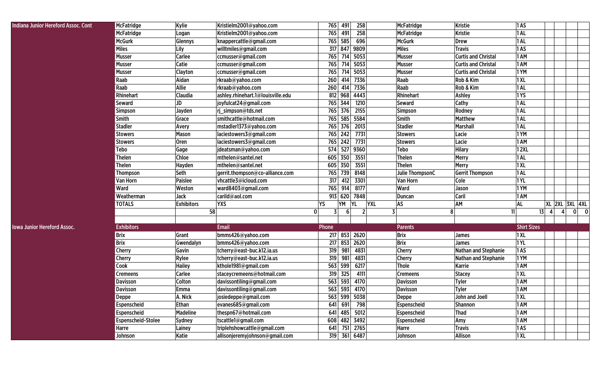| <b>Indiana Junior Hereford Assoc. Cont</b> | McFatridge                | Kylie             | Kristielm2001@yahoo.com           | 765   | 491     | 258              | McFatridge      | <b>Kristie</b>              | 1AS                |   |   |                |  |
|--------------------------------------------|---------------------------|-------------------|-----------------------------------|-------|---------|------------------|-----------------|-----------------------------|--------------------|---|---|----------------|--|
|                                            | <b>McFatridge</b>         | Logan             | Kristielm2001@yahoo.com           | 765   | 491     | 258              | McFatridge      | <b>Kristie</b>              | 1 AL               |   |   |                |  |
|                                            | <b>McGurk</b>             | Glennys           | knappercattle@gmail.com           | 765   | 585     | 696              | <b>McGurk</b>   | <b>Drew</b>                 | 1AL                |   |   |                |  |
|                                            | <b>Miles</b>              | Lily              | willtmiles@gmail.com              | 317   | 847     | 9809             | <b>Miles</b>    | <b>Travis</b>               | 1AS                |   |   |                |  |
|                                            | <b>Musser</b>             | Carlee            | ccmusser@gmail.com                | 765   | 714     | 5053             | Musser          | <b>Curtis and Christal</b>  | 1 AM               |   |   |                |  |
|                                            | <b>Musser</b>             | Catie             | ccmusser@gmail.com                | 765   | 714     | 5053             | Musser          | <b>Curtis and Christal</b>  | 1 AM               |   |   |                |  |
|                                            | <b>Musser</b>             | Clayton           | ccmusser@gmail.com                | 765   | 714     | 5053             | Musser          | <b>Curtis and Christal</b>  | 1YM                |   |   |                |  |
|                                            | Raab                      | Aidan             | rkraab@yahoo.com                  | 260   | 414     | 7336             | Raab            | Rob & Kim                   | 1XL                |   |   |                |  |
|                                            | Raab                      | Allie             | rkraab@yahoo.com                  | 260   | 414     | 7336             | Raab            | Rob & Kim                   | 1AL                |   |   |                |  |
|                                            | Rhinehart                 | Claudia           | ashley.rhinehart.1@louisville.edu | 812   | 968     | 4443             | Rhinehart       | <b>Ashley</b>               | 1YS                |   |   |                |  |
|                                            | <b>Seward</b>             | JD                | joyfulcat24@gmail.com             | 765   | 344     | 1210             | <b>Seward</b>   | Cathy                       | 1AL                |   |   |                |  |
|                                            | Simpson                   | Jayden            | rj_simpson@tds.net                | 765   | 376     | 2155             | Simpson         | Rodney                      | 1AL                |   |   |                |  |
|                                            | Smith                     | Grace             | smithcattle@hotmail.com           | 765   | 585     | 5584             | Smith           | <b>Matthew</b>              | 1 AL               |   |   |                |  |
|                                            | <b>Stadler</b>            | Avery             | mstadler1373@yahoo.com            | 765   | 376     | 2013             | <b>Stadler</b>  | <b>Marshall</b>             | 1 AL               |   |   |                |  |
|                                            | <b>Stowers</b>            | <b>Mason</b>      | laciestowers3@gmail.com           | 765   | 242     | 7731             | Stowers         | Lacie                       | 1YM                |   |   |                |  |
|                                            | <b>Stowers</b>            | Oren              | laciestowers3@gmail.com           | 765   | 242     | 7731             | Stowers         | Lacie                       | 1 AM               |   |   |                |  |
|                                            | <b>Tebo</b>               | Gage              | jdeatsman@yahoo.com               | 574   | 527     | 9360             | <b>Tebo</b>     | <b>Hilary</b>               | <b>12XL</b>        |   |   |                |  |
|                                            | <b>Thelen</b>             | Chloe             | mthelen@santel.net                | 605   | 350     | 3551             | <b>Thelen</b>   | Merry                       | 1 AL               |   |   |                |  |
|                                            | <b>Thelen</b>             | Hayden            | mthelen@santel.net                | 605   | 350     | 3551             | Thelen          | Merry                       | 1XL                |   |   |                |  |
|                                            | <b>Thompson</b>           | Seth              | gerrit.thompson@co-alliance.com   | 765   | 739     | 8148             | Julie ThompsonC | <b>Gerrit Thompson</b>      | 1AL                |   |   |                |  |
|                                            | Van Horn                  | <b>Paislee</b>    | vhcattle3@icloud.com              | 317   | 412     | 3301             | <b>Van Horn</b> | Cole                        | 1YL                |   |   |                |  |
|                                            | Ward                      | Weston            | ward8403@gmail.com                | 765   | 914     | 8177             | Ward            | Jason                       | 1YM                |   |   |                |  |
|                                            | Weatherman                | Jack              | carild@aol.com                    |       |         | 913 620 7848     | <b>Duncan</b>   | Caril                       | 1 AM               |   |   |                |  |
|                                            | <b>TOTALS</b>             | <b>Exhibitors</b> | <b>YXS</b>                        | YS    | YM      | YL<br><b>YXL</b> | <b>AS</b>       | AM                          | <b>AL</b>          |   |   | XL 2XL 3XL 4XL |  |
|                                            |                           | 58                | $\mathbf 0$                       |       |         |                  | 8               | 11                          | 13                 | 4 | 4 | $0$ 0          |  |
|                                            |                           |                   |                                   |       |         |                  |                 |                             |                    |   |   |                |  |
| <b>Iowa Junior Hereford Assoc.</b>         | <b>Exhibitors</b>         |                   | <b>Email</b>                      | Phone |         |                  | <b>Parents</b>  |                             | <b>Shirt Sizes</b> |   |   |                |  |
|                                            | <b>Brix</b>               | Grant             | bmms426@yahoo.com                 | 217   |         | 853 2620         | <b>Brix</b>     | <b>James</b>                | 1XL                |   |   |                |  |
|                                            | <b>Brix</b>               | Gwendalyn         | bmms426@yahoo.com                 | 217   |         | 853 2620         | <b>Brix</b>     | <b>James</b>                | <b>1YL</b>         |   |   |                |  |
|                                            | Cherry                    | Gavin             | tcherry@east-buc.k12.ia.us        | 319   | 981     | 4831             | <b>Cherry</b>   | Nathan and Stephanie        | 1AS                |   |   |                |  |
|                                            | Cherry                    | Rylee             | tcherry@east-buc.k12.ia.us        | 319   | 981     | 4831             | <b>Cherry</b>   | <b>Nathan and Stephanie</b> | 1YM                |   |   |                |  |
|                                            | Cook                      | <b>Hailey</b>     | kthole1981@gmail.com              | 563   | 599     | 6217             | <b>Thole</b>    | <b>Karrie</b>               | 1 AM               |   |   |                |  |
|                                            | <b>Cremeens</b>           | Carlee            | staceycremeens@hotmail.com        | 319   | 325     | 4111             | <b>Cremeens</b> | <b>Stacey</b>               | 1XL                |   |   |                |  |
|                                            | <b>Davisson</b>           | Colton            | davissontiling@gmail.com          | 563   | 593     | 4170             | <b>Davisson</b> | <b>Tyler</b>                | 1 AM               |   |   |                |  |
|                                            | <b>Davisson</b>           | Emma              | davissontiling@gmail.com          |       | 563 593 | 4170             | <b>Davisson</b> | <b>Tyler</b>                | 1 AM               |   |   |                |  |
|                                            | Deppe                     | A. Nick           | josiedeppe@gmail.com              |       |         | 563 599 5038     | Deppe           | John and Joell              | 1XL                |   |   |                |  |
|                                            | Espenscheid               | Ethan             | evanes685@gmail.com               |       |         | 641 691 798      | Espenscheid     | <b>Shannon</b>              | 1 AM               |   |   |                |  |
|                                            | Espenscheid               | <b>Madeline</b>   | thespn67@hotmail.com              |       |         | 641 485 5012     | Espenscheid     | <b>Thad</b>                 | 1 AM               |   |   |                |  |
|                                            | <b>Espenscheid-Stolee</b> | Sydney            | tscattle1@gmail.com               |       |         | 608 482 3492     | Espenscheid     | Amy                         | 1 AM               |   |   |                |  |
|                                            | Harre                     | Lainey            | triplehshowcattle@gmail.com       | 641   |         | 751 2765         | Harre           | <b>Travis</b>               | 1AS                |   |   |                |  |
|                                            | Johnson                   | Katie             | allisonjeremyjohnson@gmail.com    |       |         | 319 361 6487     | Johnson         | <b>Allison</b>              | 1 XL               |   |   |                |  |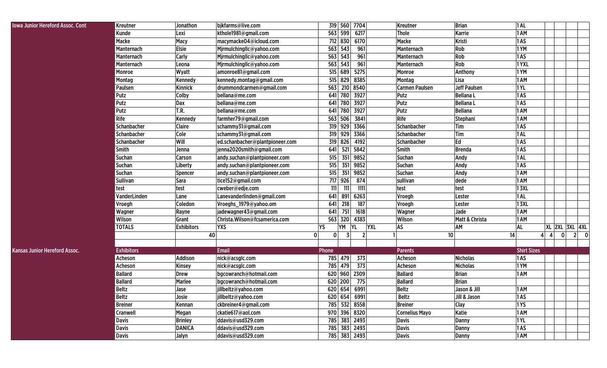| <b>Iowa Junior Hereford Assoc. Cont</b> | Kreutner           | Jonathon          | bjkfarms@live.com               | 319 560 7704                      |           |            | Kreutner              | <b>Brian</b>        | 1AL                |   |                       |                                        |
|-----------------------------------------|--------------------|-------------------|---------------------------------|-----------------------------------|-----------|------------|-----------------------|---------------------|--------------------|---|-----------------------|----------------------------------------|
|                                         | Kunde              | Lexi              | kthole1981@gmail.com            | 563 599                           | 6217      |            | <b>Thole</b>          | Karrie              | 1 AM               |   |                       |                                        |
|                                         | Macke              | Macy              | macymacke04@icloud.com          | 712 830                           | 6170      |            | Macke                 | Kristi              | 1AS                |   |                       |                                        |
|                                         | Manternach         | Elsie             | Mjrmulchingllc@yahoo.com        | 563 543                           | 961       |            | Manternach            | Rob                 | 1YM                |   |                       |                                        |
|                                         | Manternach         | <b>Carly</b>      | Mjrmulchingllc@yahoo.com        | 563 543                           | 961       |            | Manternach            | Rob                 | 1AS                |   |                       |                                        |
|                                         | Manternach         | Leona             | Mjrmulchingllc@yahoo.com        | 563 543                           | 961       |            | Manternach            | Rob                 | 1YXL               |   |                       |                                        |
|                                         | Monroe             | Wyatt             | amonroe81@gmail.com             | 515 689                           | 5275      |            | Monroe                | Anthony             | 1YM                |   |                       |                                        |
|                                         | Montag             | Kennedy           | kennedy.montag@gmail.com        | 829<br>515                        | 8385      |            | Montag                | Lisa                | 1AM                |   |                       |                                        |
|                                         | Paulsen            | Kinnick           | drummondcarmen@gmail.com        | 210<br>563                        | 8540      |            | <b>Carmen Paulsen</b> | <b>Jeff Paulsen</b> | 1 YL               |   |                       |                                        |
|                                         | Putz               | Colby             | bellana@me.com                  | 641 780                           | 3927      |            | Putz                  | <b>BellanaL</b>     | 1AS                |   |                       |                                        |
|                                         | Putz               | Dax               | bellana@me.com                  | 641<br>780                        | 3927      |            | Putz                  | <b>BellanaL</b>     | 1AS                |   |                       |                                        |
|                                         | Putz               | T.R.              | bellana@me.com                  | 641<br>780                        | 3927      |            | Putz                  | <b>Bellana</b>      | 1 AM               |   |                       |                                        |
|                                         | Rife               | Kennedy           | farmher79@gmail.com             | 563 506                           | 3841      |            | Rife                  | Stephani            | 1 AM               |   |                       |                                        |
|                                         | Schanbacher        | <b>Claire</b>     | schammy31@gmail.com             | 319 929                           | 3366      |            | Schanbacher           | Tim                 | 1AS                |   |                       |                                        |
|                                         | <b>Schanbacher</b> | Cole              | schammy31@gmail.com             | 319 929                           | 3366      |            | Schanbacher           | Tim                 | 1AL                |   |                       |                                        |
|                                         | Schanbacher        | Will              | ed.schanbacher@plantpioneer.com | 319 826                           | 4192      |            | Schanbacher           | Ed                  | 1AS                |   |                       |                                        |
|                                         | Smith              | Jenna             | jenna2020smith@gmail.com        | 641<br>521                        | 5842      |            | Smith                 | <b>Brenda</b>       | 1AS                |   |                       |                                        |
|                                         | Suchan             | <b>Carson</b>     | andy.suchan@plantpioneer.com    | 515<br>351                        | 9852      |            | Suchan                | Andy                | 1AL                |   |                       |                                        |
|                                         | <b>Suchan</b>      | Liberty           | andy.suchan@plantpioneer.com    | 515<br>351                        | 9852      |            | Suchan                | Andy                | 1AS                |   |                       |                                        |
|                                         | Suchan             | Spencer           | andy.suchan@plantpioneer.com    | 515<br>351                        | 9852      |            | Suchan                | Andy                | 1 AM               |   |                       |                                        |
|                                         | <b>Sullivan</b>    | Sara              | tice152@gmail.com               | 717 926                           | 874       |            | sullivan              | dede                | 1 AM               |   |                       |                                        |
|                                         | test               | test              | cweber@edje.com                 | 111<br>111                        | 1111      |            | test                  | test                | <b>13XL</b>        |   |                       |                                        |
|                                         | VanderLinden       | Lane              | Lanevanderlinden@gmail.com      | 641<br>891                        | 6263      |            | Vroegh                | Lester              | 1AL                |   |                       |                                        |
|                                         | Vroegh             | Coledon           | Vroeghs_1979@yahoo.om           | 641<br>218                        | 187       |            | Vroegh                | Lester              | <b>13XL</b>        |   |                       |                                        |
|                                         | Wagner             | Rayne             | jadewagner43@gmail.com          | 641<br>751                        | 1618      |            | Wagner                | Jade                | 1 AM               |   |                       |                                        |
|                                         | Wilson             | Grant             | Christa. Wilson@fcsamerica.com  | 563 320                           | 4383      |            | Wilson                | Matt & Christa      | 1 AM               |   |                       |                                        |
|                                         | <b>TOTALS</b>      | <b>Exhibitors</b> | <b>YXS</b>                      | YS<br>YM                          | <b>YL</b> | <b>YXL</b> | AS                    | AM                  | AL                 |   | <b>XL 2XL 3XL 4XL</b> |                                        |
|                                         |                    | 40                |                                 | $\mathbf{0}$<br>$\mathbf{0}$<br>3 |           |            |                       | 10 <sup>1</sup>     | 14                 | 4 | $\mathbf{0}$          | $2^{\circ}$<br>$\overline{\mathbf{0}}$ |
|                                         |                    |                   |                                 |                                   |           |            |                       |                     |                    |   |                       |                                        |
| <b>Kansas Junior Hereford Assoc.</b>    | <b>Exhibitors</b>  |                   | <b>Email</b>                    | Phone                             |           |            | <b>Parents</b>        |                     | <b>Shirt Sizes</b> |   |                       |                                        |
|                                         | Acheson            | Addison           | nick@acsglc.com                 | 785 479                           | 373       |            | Acheson               | <b>Nicholas</b>     | 1AS                |   |                       |                                        |
|                                         | Acheson            | Kinsey            | nick@acsglc.com                 | 785 479                           | 373       |            | Acheson               | <b>Nicholas</b>     | 1YM                |   |                       |                                        |
|                                         | <b>Ballard</b>     | Drew              | bgcowranch@hotmail.com          | 620 960                           | 2309      |            | <b>Ballard</b>        | <b>Brian</b>        | 1 AM               |   |                       |                                        |
|                                         | <b>Ballard</b>     | Marlee            | bgcowranch@hotmail.com          | 200<br>620                        | 775       |            | <b>Ballard</b>        | <b>Brian</b>        |                    |   |                       |                                        |
|                                         | <b>Beltz</b>       | Jase              | jillbeltz@yahoo.com             | 620 654                           | 6991      |            | <b>Beltz</b>          | Jason & Jill        | 1 AM               |   |                       |                                        |
|                                         | Beltz              | Josie             | jillbeltz@yahoo.com             | 620 654 6991                      |           |            | Beltz                 | Jill & Jason        | 1AS                |   |                       |                                        |
|                                         | <b>Breiner</b>     | Kennan            | ckbreiner4@gmail.com            | 785 532 8558                      |           |            | <b>Breiner</b>        | Clay                | 1 YS               |   |                       |                                        |
|                                         | Cranwell           | Megan             | ckatie617@aol.com               | 970 396 8320                      |           |            | <b>Cornelius Mayo</b> | Katie               | 1 AM               |   |                       |                                        |
|                                         | <b>Davis</b>       | <b>Brinley</b>    | ddavis@usd329.com               | 785 383 2493                      |           |            | <b>Davis</b>          | Danny               | 1 YL               |   |                       |                                        |
|                                         | <b>Davis</b>       | <b>DANICA</b>     | ddavis@usd329.com               | 785 383 2493                      |           |            | <b>Davis</b>          | <b>Danny</b>        | 1AS                |   |                       |                                        |
|                                         | Davis              | Jalyn             | ddavis@usd329.com               | 785 383 2493                      |           |            | <b>Davis</b>          | Danny               | 1 AM               |   |                       |                                        |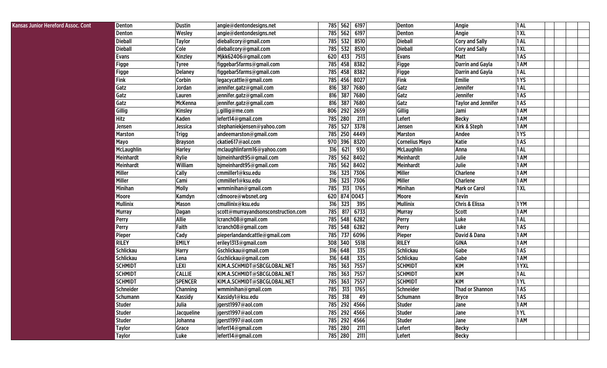| 1XL<br>562<br>6197<br>785<br>Angie<br>Denton<br>Wesley<br>angie@dentondesigns.net<br>Denton<br>532<br>8510<br>1AL<br><b>Dieball</b><br><b>Dieball</b><br><b>Taylor</b><br>dieballcory@gmail.com<br>785<br><b>Cory and Sally</b><br>8510<br><b>Dieball</b><br>532<br><b>Dieball</b><br>1 X L<br>Cole<br>dieballcory@gmail.com<br>785<br><b>Cory and Sally</b><br>620<br>433<br>7513<br>1AS<br>Evans<br><b>Kinzley</b><br>Mjkk62406@gmail.com<br><b>Matt</b><br><b>Evans</b><br>785<br>458<br>8382<br><b>Darrin and Gayla</b><br>1 AM<br>figgebar5farms@gmail.com<br><b>Figge</b><br><b>Figge</b><br><b>Tyree</b><br>785<br>458<br>8382<br>1AL<br>figgebar5farms@gmail.com<br>Figge<br>Darrin and Gayla<br><b>Delaney</b><br><b>Figge</b><br>1 YS<br>Fink<br>785<br>456<br>8027<br>Fink<br><b>Emilie</b><br>Corbin<br>legacycattle@gmail.com<br>1AL<br>387<br>7680<br>Gatz<br>Jennifer<br>Gatz<br>jennifer.gatz@gmail.com<br>816<br>Jordan<br>387<br>7680<br>Gatz<br>1AS<br>Gatz<br>816<br><b>Jennifer</b><br>jennifer.gatz@gmail.com<br>Lauren<br>387<br>7680<br>1AS<br>Gatz<br>jennifer.gatz@gmail.com<br>816<br>Gatz<br>McKenna<br><b>Taylor and Jennifer</b><br>292<br>Gillig<br>1 AM<br>Gillig<br>j.gillig@me.com<br>806<br>2659<br>Jami<br>Kinsley<br>280<br><b>Hitz</b><br>785<br>2111<br>Lefert<br><b>Becky</b><br>1 AM<br><b>Kaden</b><br>lefert14@gmail.com<br>785<br>3378<br>1 AM<br>527<br>Kirk & Steph<br>Jessica<br>stephaniekjensen@yahoo.com<br>Jensen<br>Jensen<br>1YS<br>785<br>250<br>4449<br><b>Marston</b><br>Marston<br><b>Trigg</b><br>Andee<br>andeemarston@gmail.com<br>8320<br>1AS<br>396<br>Katie<br>Mayo<br>ckatie617@aol.com<br>970<br><b>Cornelius Mayo</b><br><b>Brayson</b><br>930<br>316<br>621<br>1AL<br>McLaughlin<br>mclaughlinfarm16@yahoo.com<br>McLaughlin<br><b>Harley</b><br>Anna<br>8402<br>Meinhardt<br>785<br>562<br>Julie<br>1 AM<br>Rylie<br>bjmeinhardt95@gmail.com<br>Meinhardt<br>Meinhardt<br>785<br>562<br>8402<br>Meinhardt<br>1 AM<br>William<br>bjmeinhardt95@gmail.com<br>Julie<br>316<br>Miller<br>Miller<br>cmmiller1@ksu.edu<br>323<br>7306<br>Charlene<br>1 AM<br>Cally<br>Miller<br><b>Miller</b><br>316<br>323<br>7306<br>1 AM<br>Cami<br>cmmiller1@ksu.edu<br>Charlene<br>1765<br>785<br>313<br>Minihan<br>1 XL<br><b>Minihan</b><br>Molly<br>wmminihan@gmail.com<br><b>Mark or Carol</b><br>620<br>874 0043<br>Moore<br>cdmoore@wbsnet.org<br>Moore<br>Kevin<br>Kamdyn<br><b>Mullinix</b><br>316<br>323<br>395<br><b>Mullinix</b><br><b>Chris &amp; Elissa</b><br>1YM<br>cmullinix@ksu.edu<br>Mason<br>785<br>817<br>6733<br>scott@murrayandsonsconstruction.com<br>Murray<br>1 AM<br><b>Scott</b><br><b>Murray</b><br>Dagan<br>lcranch08@gmail.com<br>785<br>548<br>6282<br>1AL<br>Allie<br>Perry<br>Luke<br>Perry<br>785<br>6282<br>Luke<br>1AS<br>Faith<br>lcranch08@gmail.com<br>548<br>Perry<br>Perry<br>785<br>6096<br>David & Dana<br>1 AM<br>Cady<br>pieperlandandcattle@gmail.com<br>737<br>Pieper<br>Pieper<br><b>RILEY</b><br>RILEY<br><b>EMILY</b><br>5518<br><b>GINA</b><br>1 AM<br>eriley1313@gmail.com<br>308<br>340<br><b>Schlickau</b><br>648<br>335<br>Gschlickau@gmail.com<br>316<br>Schlickau<br>Gabe<br>1AS<br><b>Harry</b><br>648<br>335<br><b>Schlickau</b><br>316<br>Schlickau<br>Gabe<br>1 AM<br>Gschlickau@gmail.com<br>Lena<br>7557<br><b>SCHMIDT</b><br>363<br><b>SCHMIDT</b><br>1YXL<br>LEXI<br>KIM.A.SCHMIDT@SBCGLOBAL.NET<br>785<br><b>KIM</b><br><b>SCHMIDT</b><br><b>CALLIE</b><br>785<br>363<br>7557<br><b>SCHMIDT</b><br><b>KIM</b><br>1AL<br>KIM.A.SCHMIDT@SBCGLOBAL.NET<br><b>KIM</b><br><b>SCHMIDT</b><br><b>SPENCER</b><br>785<br>7557<br><b>SCHMIDT</b><br>1YL<br>KIM.A.SCHMIDT@SBCGLOBAL.NET<br>363<br>785<br>313<br>1765<br>1AS<br>Schneider<br>wmminihan@gmail.com<br>Schneider<br><b>Thad or Shannon</b><br>Channing<br><b>Kassidy</b><br>1AS<br>Schumann<br>Kassidy1@ksu.edu<br>785 318<br>49<br><b>Schumann</b><br><b>Bryce</b><br>292<br>4566<br>1 AM<br>Julia<br>jgerst1997@aol.com<br>785<br><b>Studer</b><br><b>Studer</b><br>Jane<br>292<br>4566<br><b>Studer</b><br>Jacqueline<br>jgerst1997@aol.com<br>785<br>1 YL<br><b>Studer</b><br>Jane<br>785 292<br>4566<br><b>Studer</b><br>1 AM<br><b>Studer</b><br>jgerst1997@aol.com<br>Johanna<br>Jane<br>785 280<br>2111<br>lefert14@gmail.com<br>Lefert<br><b>Becky</b><br><b>Taylor</b><br>Grace<br>785 280<br>2111<br>lefert14@gmail.com<br>Lefert<br><b>Taylor</b><br><b>Becky</b><br>Luke | Hereford Assoc. Cont | Denton | <b>Dustin</b> | angie@dentondesigns.net | 785 | 562 | 6197 | Denton | Angie | 1AL |
|--------------------------------------------------------------------------------------------------------------------------------------------------------------------------------------------------------------------------------------------------------------------------------------------------------------------------------------------------------------------------------------------------------------------------------------------------------------------------------------------------------------------------------------------------------------------------------------------------------------------------------------------------------------------------------------------------------------------------------------------------------------------------------------------------------------------------------------------------------------------------------------------------------------------------------------------------------------------------------------------------------------------------------------------------------------------------------------------------------------------------------------------------------------------------------------------------------------------------------------------------------------------------------------------------------------------------------------------------------------------------------------------------------------------------------------------------------------------------------------------------------------------------------------------------------------------------------------------------------------------------------------------------------------------------------------------------------------------------------------------------------------------------------------------------------------------------------------------------------------------------------------------------------------------------------------------------------------------------------------------------------------------------------------------------------------------------------------------------------------------------------------------------------------------------------------------------------------------------------------------------------------------------------------------------------------------------------------------------------------------------------------------------------------------------------------------------------------------------------------------------------------------------------------------------------------------------------------------------------------------------------------------------------------------------------------------------------------------------------------------------------------------------------------------------------------------------------------------------------------------------------------------------------------------------------------------------------------------------------------------------------------------------------------------------------------------------------------------------------------------------------------------------------------------------------------------------------------------------------------------------------------------------------------------------------------------------------------------------------------------------------------------------------------------------------------------------------------------------------------------------------------------------------------------------------------------------------------------------------------------------------------------------------------------------------------------------------------------------------------------------------------------------------------------------------------------------------------------------------------------------------------------------------------------------------------------------------------------------------------------------------------------------------------------------------------------------------------------------------------------------------------------------------------------------------------------------------------------------------------------------------------------------------------------------------------------------------------------------------------------------------------------------------------------------------------------------------------|----------------------|--------|---------------|-------------------------|-----|-----|------|--------|-------|-----|
|                                                                                                                                                                                                                                                                                                                                                                                                                                                                                                                                                                                                                                                                                                                                                                                                                                                                                                                                                                                                                                                                                                                                                                                                                                                                                                                                                                                                                                                                                                                                                                                                                                                                                                                                                                                                                                                                                                                                                                                                                                                                                                                                                                                                                                                                                                                                                                                                                                                                                                                                                                                                                                                                                                                                                                                                                                                                                                                                                                                                                                                                                                                                                                                                                                                                                                                                                                                                                                                                                                                                                                                                                                                                                                                                                                                                                                                                                                                                                                                                                                                                                                                                                                                                                                                                                                                                                                                                                                                              |                      |        |               |                         |     |     |      |        |       |     |
|                                                                                                                                                                                                                                                                                                                                                                                                                                                                                                                                                                                                                                                                                                                                                                                                                                                                                                                                                                                                                                                                                                                                                                                                                                                                                                                                                                                                                                                                                                                                                                                                                                                                                                                                                                                                                                                                                                                                                                                                                                                                                                                                                                                                                                                                                                                                                                                                                                                                                                                                                                                                                                                                                                                                                                                                                                                                                                                                                                                                                                                                                                                                                                                                                                                                                                                                                                                                                                                                                                                                                                                                                                                                                                                                                                                                                                                                                                                                                                                                                                                                                                                                                                                                                                                                                                                                                                                                                                                              |                      |        |               |                         |     |     |      |        |       |     |
|                                                                                                                                                                                                                                                                                                                                                                                                                                                                                                                                                                                                                                                                                                                                                                                                                                                                                                                                                                                                                                                                                                                                                                                                                                                                                                                                                                                                                                                                                                                                                                                                                                                                                                                                                                                                                                                                                                                                                                                                                                                                                                                                                                                                                                                                                                                                                                                                                                                                                                                                                                                                                                                                                                                                                                                                                                                                                                                                                                                                                                                                                                                                                                                                                                                                                                                                                                                                                                                                                                                                                                                                                                                                                                                                                                                                                                                                                                                                                                                                                                                                                                                                                                                                                                                                                                                                                                                                                                                              |                      |        |               |                         |     |     |      |        |       |     |
|                                                                                                                                                                                                                                                                                                                                                                                                                                                                                                                                                                                                                                                                                                                                                                                                                                                                                                                                                                                                                                                                                                                                                                                                                                                                                                                                                                                                                                                                                                                                                                                                                                                                                                                                                                                                                                                                                                                                                                                                                                                                                                                                                                                                                                                                                                                                                                                                                                                                                                                                                                                                                                                                                                                                                                                                                                                                                                                                                                                                                                                                                                                                                                                                                                                                                                                                                                                                                                                                                                                                                                                                                                                                                                                                                                                                                                                                                                                                                                                                                                                                                                                                                                                                                                                                                                                                                                                                                                                              |                      |        |               |                         |     |     |      |        |       |     |
|                                                                                                                                                                                                                                                                                                                                                                                                                                                                                                                                                                                                                                                                                                                                                                                                                                                                                                                                                                                                                                                                                                                                                                                                                                                                                                                                                                                                                                                                                                                                                                                                                                                                                                                                                                                                                                                                                                                                                                                                                                                                                                                                                                                                                                                                                                                                                                                                                                                                                                                                                                                                                                                                                                                                                                                                                                                                                                                                                                                                                                                                                                                                                                                                                                                                                                                                                                                                                                                                                                                                                                                                                                                                                                                                                                                                                                                                                                                                                                                                                                                                                                                                                                                                                                                                                                                                                                                                                                                              |                      |        |               |                         |     |     |      |        |       |     |
|                                                                                                                                                                                                                                                                                                                                                                                                                                                                                                                                                                                                                                                                                                                                                                                                                                                                                                                                                                                                                                                                                                                                                                                                                                                                                                                                                                                                                                                                                                                                                                                                                                                                                                                                                                                                                                                                                                                                                                                                                                                                                                                                                                                                                                                                                                                                                                                                                                                                                                                                                                                                                                                                                                                                                                                                                                                                                                                                                                                                                                                                                                                                                                                                                                                                                                                                                                                                                                                                                                                                                                                                                                                                                                                                                                                                                                                                                                                                                                                                                                                                                                                                                                                                                                                                                                                                                                                                                                                              |                      |        |               |                         |     |     |      |        |       |     |
|                                                                                                                                                                                                                                                                                                                                                                                                                                                                                                                                                                                                                                                                                                                                                                                                                                                                                                                                                                                                                                                                                                                                                                                                                                                                                                                                                                                                                                                                                                                                                                                                                                                                                                                                                                                                                                                                                                                                                                                                                                                                                                                                                                                                                                                                                                                                                                                                                                                                                                                                                                                                                                                                                                                                                                                                                                                                                                                                                                                                                                                                                                                                                                                                                                                                                                                                                                                                                                                                                                                                                                                                                                                                                                                                                                                                                                                                                                                                                                                                                                                                                                                                                                                                                                                                                                                                                                                                                                                              |                      |        |               |                         |     |     |      |        |       |     |
|                                                                                                                                                                                                                                                                                                                                                                                                                                                                                                                                                                                                                                                                                                                                                                                                                                                                                                                                                                                                                                                                                                                                                                                                                                                                                                                                                                                                                                                                                                                                                                                                                                                                                                                                                                                                                                                                                                                                                                                                                                                                                                                                                                                                                                                                                                                                                                                                                                                                                                                                                                                                                                                                                                                                                                                                                                                                                                                                                                                                                                                                                                                                                                                                                                                                                                                                                                                                                                                                                                                                                                                                                                                                                                                                                                                                                                                                                                                                                                                                                                                                                                                                                                                                                                                                                                                                                                                                                                                              |                      |        |               |                         |     |     |      |        |       |     |
|                                                                                                                                                                                                                                                                                                                                                                                                                                                                                                                                                                                                                                                                                                                                                                                                                                                                                                                                                                                                                                                                                                                                                                                                                                                                                                                                                                                                                                                                                                                                                                                                                                                                                                                                                                                                                                                                                                                                                                                                                                                                                                                                                                                                                                                                                                                                                                                                                                                                                                                                                                                                                                                                                                                                                                                                                                                                                                                                                                                                                                                                                                                                                                                                                                                                                                                                                                                                                                                                                                                                                                                                                                                                                                                                                                                                                                                                                                                                                                                                                                                                                                                                                                                                                                                                                                                                                                                                                                                              |                      |        |               |                         |     |     |      |        |       |     |
|                                                                                                                                                                                                                                                                                                                                                                                                                                                                                                                                                                                                                                                                                                                                                                                                                                                                                                                                                                                                                                                                                                                                                                                                                                                                                                                                                                                                                                                                                                                                                                                                                                                                                                                                                                                                                                                                                                                                                                                                                                                                                                                                                                                                                                                                                                                                                                                                                                                                                                                                                                                                                                                                                                                                                                                                                                                                                                                                                                                                                                                                                                                                                                                                                                                                                                                                                                                                                                                                                                                                                                                                                                                                                                                                                                                                                                                                                                                                                                                                                                                                                                                                                                                                                                                                                                                                                                                                                                                              |                      |        |               |                         |     |     |      |        |       |     |
|                                                                                                                                                                                                                                                                                                                                                                                                                                                                                                                                                                                                                                                                                                                                                                                                                                                                                                                                                                                                                                                                                                                                                                                                                                                                                                                                                                                                                                                                                                                                                                                                                                                                                                                                                                                                                                                                                                                                                                                                                                                                                                                                                                                                                                                                                                                                                                                                                                                                                                                                                                                                                                                                                                                                                                                                                                                                                                                                                                                                                                                                                                                                                                                                                                                                                                                                                                                                                                                                                                                                                                                                                                                                                                                                                                                                                                                                                                                                                                                                                                                                                                                                                                                                                                                                                                                                                                                                                                                              |                      |        |               |                         |     |     |      |        |       |     |
|                                                                                                                                                                                                                                                                                                                                                                                                                                                                                                                                                                                                                                                                                                                                                                                                                                                                                                                                                                                                                                                                                                                                                                                                                                                                                                                                                                                                                                                                                                                                                                                                                                                                                                                                                                                                                                                                                                                                                                                                                                                                                                                                                                                                                                                                                                                                                                                                                                                                                                                                                                                                                                                                                                                                                                                                                                                                                                                                                                                                                                                                                                                                                                                                                                                                                                                                                                                                                                                                                                                                                                                                                                                                                                                                                                                                                                                                                                                                                                                                                                                                                                                                                                                                                                                                                                                                                                                                                                                              |                      |        |               |                         |     |     |      |        |       |     |
|                                                                                                                                                                                                                                                                                                                                                                                                                                                                                                                                                                                                                                                                                                                                                                                                                                                                                                                                                                                                                                                                                                                                                                                                                                                                                                                                                                                                                                                                                                                                                                                                                                                                                                                                                                                                                                                                                                                                                                                                                                                                                                                                                                                                                                                                                                                                                                                                                                                                                                                                                                                                                                                                                                                                                                                                                                                                                                                                                                                                                                                                                                                                                                                                                                                                                                                                                                                                                                                                                                                                                                                                                                                                                                                                                                                                                                                                                                                                                                                                                                                                                                                                                                                                                                                                                                                                                                                                                                                              |                      |        |               |                         |     |     |      |        |       |     |
|                                                                                                                                                                                                                                                                                                                                                                                                                                                                                                                                                                                                                                                                                                                                                                                                                                                                                                                                                                                                                                                                                                                                                                                                                                                                                                                                                                                                                                                                                                                                                                                                                                                                                                                                                                                                                                                                                                                                                                                                                                                                                                                                                                                                                                                                                                                                                                                                                                                                                                                                                                                                                                                                                                                                                                                                                                                                                                                                                                                                                                                                                                                                                                                                                                                                                                                                                                                                                                                                                                                                                                                                                                                                                                                                                                                                                                                                                                                                                                                                                                                                                                                                                                                                                                                                                                                                                                                                                                                              |                      |        |               |                         |     |     |      |        |       |     |
|                                                                                                                                                                                                                                                                                                                                                                                                                                                                                                                                                                                                                                                                                                                                                                                                                                                                                                                                                                                                                                                                                                                                                                                                                                                                                                                                                                                                                                                                                                                                                                                                                                                                                                                                                                                                                                                                                                                                                                                                                                                                                                                                                                                                                                                                                                                                                                                                                                                                                                                                                                                                                                                                                                                                                                                                                                                                                                                                                                                                                                                                                                                                                                                                                                                                                                                                                                                                                                                                                                                                                                                                                                                                                                                                                                                                                                                                                                                                                                                                                                                                                                                                                                                                                                                                                                                                                                                                                                                              |                      |        |               |                         |     |     |      |        |       |     |
|                                                                                                                                                                                                                                                                                                                                                                                                                                                                                                                                                                                                                                                                                                                                                                                                                                                                                                                                                                                                                                                                                                                                                                                                                                                                                                                                                                                                                                                                                                                                                                                                                                                                                                                                                                                                                                                                                                                                                                                                                                                                                                                                                                                                                                                                                                                                                                                                                                                                                                                                                                                                                                                                                                                                                                                                                                                                                                                                                                                                                                                                                                                                                                                                                                                                                                                                                                                                                                                                                                                                                                                                                                                                                                                                                                                                                                                                                                                                                                                                                                                                                                                                                                                                                                                                                                                                                                                                                                                              |                      |        |               |                         |     |     |      |        |       |     |
|                                                                                                                                                                                                                                                                                                                                                                                                                                                                                                                                                                                                                                                                                                                                                                                                                                                                                                                                                                                                                                                                                                                                                                                                                                                                                                                                                                                                                                                                                                                                                                                                                                                                                                                                                                                                                                                                                                                                                                                                                                                                                                                                                                                                                                                                                                                                                                                                                                                                                                                                                                                                                                                                                                                                                                                                                                                                                                                                                                                                                                                                                                                                                                                                                                                                                                                                                                                                                                                                                                                                                                                                                                                                                                                                                                                                                                                                                                                                                                                                                                                                                                                                                                                                                                                                                                                                                                                                                                                              |                      |        |               |                         |     |     |      |        |       |     |
|                                                                                                                                                                                                                                                                                                                                                                                                                                                                                                                                                                                                                                                                                                                                                                                                                                                                                                                                                                                                                                                                                                                                                                                                                                                                                                                                                                                                                                                                                                                                                                                                                                                                                                                                                                                                                                                                                                                                                                                                                                                                                                                                                                                                                                                                                                                                                                                                                                                                                                                                                                                                                                                                                                                                                                                                                                                                                                                                                                                                                                                                                                                                                                                                                                                                                                                                                                                                                                                                                                                                                                                                                                                                                                                                                                                                                                                                                                                                                                                                                                                                                                                                                                                                                                                                                                                                                                                                                                                              |                      |        |               |                         |     |     |      |        |       |     |
|                                                                                                                                                                                                                                                                                                                                                                                                                                                                                                                                                                                                                                                                                                                                                                                                                                                                                                                                                                                                                                                                                                                                                                                                                                                                                                                                                                                                                                                                                                                                                                                                                                                                                                                                                                                                                                                                                                                                                                                                                                                                                                                                                                                                                                                                                                                                                                                                                                                                                                                                                                                                                                                                                                                                                                                                                                                                                                                                                                                                                                                                                                                                                                                                                                                                                                                                                                                                                                                                                                                                                                                                                                                                                                                                                                                                                                                                                                                                                                                                                                                                                                                                                                                                                                                                                                                                                                                                                                                              |                      |        |               |                         |     |     |      |        |       |     |
|                                                                                                                                                                                                                                                                                                                                                                                                                                                                                                                                                                                                                                                                                                                                                                                                                                                                                                                                                                                                                                                                                                                                                                                                                                                                                                                                                                                                                                                                                                                                                                                                                                                                                                                                                                                                                                                                                                                                                                                                                                                                                                                                                                                                                                                                                                                                                                                                                                                                                                                                                                                                                                                                                                                                                                                                                                                                                                                                                                                                                                                                                                                                                                                                                                                                                                                                                                                                                                                                                                                                                                                                                                                                                                                                                                                                                                                                                                                                                                                                                                                                                                                                                                                                                                                                                                                                                                                                                                                              |                      |        |               |                         |     |     |      |        |       |     |
|                                                                                                                                                                                                                                                                                                                                                                                                                                                                                                                                                                                                                                                                                                                                                                                                                                                                                                                                                                                                                                                                                                                                                                                                                                                                                                                                                                                                                                                                                                                                                                                                                                                                                                                                                                                                                                                                                                                                                                                                                                                                                                                                                                                                                                                                                                                                                                                                                                                                                                                                                                                                                                                                                                                                                                                                                                                                                                                                                                                                                                                                                                                                                                                                                                                                                                                                                                                                                                                                                                                                                                                                                                                                                                                                                                                                                                                                                                                                                                                                                                                                                                                                                                                                                                                                                                                                                                                                                                                              |                      |        |               |                         |     |     |      |        |       |     |
|                                                                                                                                                                                                                                                                                                                                                                                                                                                                                                                                                                                                                                                                                                                                                                                                                                                                                                                                                                                                                                                                                                                                                                                                                                                                                                                                                                                                                                                                                                                                                                                                                                                                                                                                                                                                                                                                                                                                                                                                                                                                                                                                                                                                                                                                                                                                                                                                                                                                                                                                                                                                                                                                                                                                                                                                                                                                                                                                                                                                                                                                                                                                                                                                                                                                                                                                                                                                                                                                                                                                                                                                                                                                                                                                                                                                                                                                                                                                                                                                                                                                                                                                                                                                                                                                                                                                                                                                                                                              |                      |        |               |                         |     |     |      |        |       |     |
|                                                                                                                                                                                                                                                                                                                                                                                                                                                                                                                                                                                                                                                                                                                                                                                                                                                                                                                                                                                                                                                                                                                                                                                                                                                                                                                                                                                                                                                                                                                                                                                                                                                                                                                                                                                                                                                                                                                                                                                                                                                                                                                                                                                                                                                                                                                                                                                                                                                                                                                                                                                                                                                                                                                                                                                                                                                                                                                                                                                                                                                                                                                                                                                                                                                                                                                                                                                                                                                                                                                                                                                                                                                                                                                                                                                                                                                                                                                                                                                                                                                                                                                                                                                                                                                                                                                                                                                                                                                              |                      |        |               |                         |     |     |      |        |       |     |
|                                                                                                                                                                                                                                                                                                                                                                                                                                                                                                                                                                                                                                                                                                                                                                                                                                                                                                                                                                                                                                                                                                                                                                                                                                                                                                                                                                                                                                                                                                                                                                                                                                                                                                                                                                                                                                                                                                                                                                                                                                                                                                                                                                                                                                                                                                                                                                                                                                                                                                                                                                                                                                                                                                                                                                                                                                                                                                                                                                                                                                                                                                                                                                                                                                                                                                                                                                                                                                                                                                                                                                                                                                                                                                                                                                                                                                                                                                                                                                                                                                                                                                                                                                                                                                                                                                                                                                                                                                                              |                      |        |               |                         |     |     |      |        |       |     |
|                                                                                                                                                                                                                                                                                                                                                                                                                                                                                                                                                                                                                                                                                                                                                                                                                                                                                                                                                                                                                                                                                                                                                                                                                                                                                                                                                                                                                                                                                                                                                                                                                                                                                                                                                                                                                                                                                                                                                                                                                                                                                                                                                                                                                                                                                                                                                                                                                                                                                                                                                                                                                                                                                                                                                                                                                                                                                                                                                                                                                                                                                                                                                                                                                                                                                                                                                                                                                                                                                                                                                                                                                                                                                                                                                                                                                                                                                                                                                                                                                                                                                                                                                                                                                                                                                                                                                                                                                                                              |                      |        |               |                         |     |     |      |        |       |     |
|                                                                                                                                                                                                                                                                                                                                                                                                                                                                                                                                                                                                                                                                                                                                                                                                                                                                                                                                                                                                                                                                                                                                                                                                                                                                                                                                                                                                                                                                                                                                                                                                                                                                                                                                                                                                                                                                                                                                                                                                                                                                                                                                                                                                                                                                                                                                                                                                                                                                                                                                                                                                                                                                                                                                                                                                                                                                                                                                                                                                                                                                                                                                                                                                                                                                                                                                                                                                                                                                                                                                                                                                                                                                                                                                                                                                                                                                                                                                                                                                                                                                                                                                                                                                                                                                                                                                                                                                                                                              |                      |        |               |                         |     |     |      |        |       |     |
|                                                                                                                                                                                                                                                                                                                                                                                                                                                                                                                                                                                                                                                                                                                                                                                                                                                                                                                                                                                                                                                                                                                                                                                                                                                                                                                                                                                                                                                                                                                                                                                                                                                                                                                                                                                                                                                                                                                                                                                                                                                                                                                                                                                                                                                                                                                                                                                                                                                                                                                                                                                                                                                                                                                                                                                                                                                                                                                                                                                                                                                                                                                                                                                                                                                                                                                                                                                                                                                                                                                                                                                                                                                                                                                                                                                                                                                                                                                                                                                                                                                                                                                                                                                                                                                                                                                                                                                                                                                              |                      |        |               |                         |     |     |      |        |       |     |
|                                                                                                                                                                                                                                                                                                                                                                                                                                                                                                                                                                                                                                                                                                                                                                                                                                                                                                                                                                                                                                                                                                                                                                                                                                                                                                                                                                                                                                                                                                                                                                                                                                                                                                                                                                                                                                                                                                                                                                                                                                                                                                                                                                                                                                                                                                                                                                                                                                                                                                                                                                                                                                                                                                                                                                                                                                                                                                                                                                                                                                                                                                                                                                                                                                                                                                                                                                                                                                                                                                                                                                                                                                                                                                                                                                                                                                                                                                                                                                                                                                                                                                                                                                                                                                                                                                                                                                                                                                                              |                      |        |               |                         |     |     |      |        |       |     |
|                                                                                                                                                                                                                                                                                                                                                                                                                                                                                                                                                                                                                                                                                                                                                                                                                                                                                                                                                                                                                                                                                                                                                                                                                                                                                                                                                                                                                                                                                                                                                                                                                                                                                                                                                                                                                                                                                                                                                                                                                                                                                                                                                                                                                                                                                                                                                                                                                                                                                                                                                                                                                                                                                                                                                                                                                                                                                                                                                                                                                                                                                                                                                                                                                                                                                                                                                                                                                                                                                                                                                                                                                                                                                                                                                                                                                                                                                                                                                                                                                                                                                                                                                                                                                                                                                                                                                                                                                                                              |                      |        |               |                         |     |     |      |        |       |     |
|                                                                                                                                                                                                                                                                                                                                                                                                                                                                                                                                                                                                                                                                                                                                                                                                                                                                                                                                                                                                                                                                                                                                                                                                                                                                                                                                                                                                                                                                                                                                                                                                                                                                                                                                                                                                                                                                                                                                                                                                                                                                                                                                                                                                                                                                                                                                                                                                                                                                                                                                                                                                                                                                                                                                                                                                                                                                                                                                                                                                                                                                                                                                                                                                                                                                                                                                                                                                                                                                                                                                                                                                                                                                                                                                                                                                                                                                                                                                                                                                                                                                                                                                                                                                                                                                                                                                                                                                                                                              |                      |        |               |                         |     |     |      |        |       |     |
|                                                                                                                                                                                                                                                                                                                                                                                                                                                                                                                                                                                                                                                                                                                                                                                                                                                                                                                                                                                                                                                                                                                                                                                                                                                                                                                                                                                                                                                                                                                                                                                                                                                                                                                                                                                                                                                                                                                                                                                                                                                                                                                                                                                                                                                                                                                                                                                                                                                                                                                                                                                                                                                                                                                                                                                                                                                                                                                                                                                                                                                                                                                                                                                                                                                                                                                                                                                                                                                                                                                                                                                                                                                                                                                                                                                                                                                                                                                                                                                                                                                                                                                                                                                                                                                                                                                                                                                                                                                              |                      |        |               |                         |     |     |      |        |       |     |
|                                                                                                                                                                                                                                                                                                                                                                                                                                                                                                                                                                                                                                                                                                                                                                                                                                                                                                                                                                                                                                                                                                                                                                                                                                                                                                                                                                                                                                                                                                                                                                                                                                                                                                                                                                                                                                                                                                                                                                                                                                                                                                                                                                                                                                                                                                                                                                                                                                                                                                                                                                                                                                                                                                                                                                                                                                                                                                                                                                                                                                                                                                                                                                                                                                                                                                                                                                                                                                                                                                                                                                                                                                                                                                                                                                                                                                                                                                                                                                                                                                                                                                                                                                                                                                                                                                                                                                                                                                                              |                      |        |               |                         |     |     |      |        |       |     |
|                                                                                                                                                                                                                                                                                                                                                                                                                                                                                                                                                                                                                                                                                                                                                                                                                                                                                                                                                                                                                                                                                                                                                                                                                                                                                                                                                                                                                                                                                                                                                                                                                                                                                                                                                                                                                                                                                                                                                                                                                                                                                                                                                                                                                                                                                                                                                                                                                                                                                                                                                                                                                                                                                                                                                                                                                                                                                                                                                                                                                                                                                                                                                                                                                                                                                                                                                                                                                                                                                                                                                                                                                                                                                                                                                                                                                                                                                                                                                                                                                                                                                                                                                                                                                                                                                                                                                                                                                                                              |                      |        |               |                         |     |     |      |        |       |     |
|                                                                                                                                                                                                                                                                                                                                                                                                                                                                                                                                                                                                                                                                                                                                                                                                                                                                                                                                                                                                                                                                                                                                                                                                                                                                                                                                                                                                                                                                                                                                                                                                                                                                                                                                                                                                                                                                                                                                                                                                                                                                                                                                                                                                                                                                                                                                                                                                                                                                                                                                                                                                                                                                                                                                                                                                                                                                                                                                                                                                                                                                                                                                                                                                                                                                                                                                                                                                                                                                                                                                                                                                                                                                                                                                                                                                                                                                                                                                                                                                                                                                                                                                                                                                                                                                                                                                                                                                                                                              |                      |        |               |                         |     |     |      |        |       |     |
|                                                                                                                                                                                                                                                                                                                                                                                                                                                                                                                                                                                                                                                                                                                                                                                                                                                                                                                                                                                                                                                                                                                                                                                                                                                                                                                                                                                                                                                                                                                                                                                                                                                                                                                                                                                                                                                                                                                                                                                                                                                                                                                                                                                                                                                                                                                                                                                                                                                                                                                                                                                                                                                                                                                                                                                                                                                                                                                                                                                                                                                                                                                                                                                                                                                                                                                                                                                                                                                                                                                                                                                                                                                                                                                                                                                                                                                                                                                                                                                                                                                                                                                                                                                                                                                                                                                                                                                                                                                              |                      |        |               |                         |     |     |      |        |       |     |
|                                                                                                                                                                                                                                                                                                                                                                                                                                                                                                                                                                                                                                                                                                                                                                                                                                                                                                                                                                                                                                                                                                                                                                                                                                                                                                                                                                                                                                                                                                                                                                                                                                                                                                                                                                                                                                                                                                                                                                                                                                                                                                                                                                                                                                                                                                                                                                                                                                                                                                                                                                                                                                                                                                                                                                                                                                                                                                                                                                                                                                                                                                                                                                                                                                                                                                                                                                                                                                                                                                                                                                                                                                                                                                                                                                                                                                                                                                                                                                                                                                                                                                                                                                                                                                                                                                                                                                                                                                                              |                      |        |               |                         |     |     |      |        |       |     |
|                                                                                                                                                                                                                                                                                                                                                                                                                                                                                                                                                                                                                                                                                                                                                                                                                                                                                                                                                                                                                                                                                                                                                                                                                                                                                                                                                                                                                                                                                                                                                                                                                                                                                                                                                                                                                                                                                                                                                                                                                                                                                                                                                                                                                                                                                                                                                                                                                                                                                                                                                                                                                                                                                                                                                                                                                                                                                                                                                                                                                                                                                                                                                                                                                                                                                                                                                                                                                                                                                                                                                                                                                                                                                                                                                                                                                                                                                                                                                                                                                                                                                                                                                                                                                                                                                                                                                                                                                                                              |                      |        |               |                         |     |     |      |        |       |     |
|                                                                                                                                                                                                                                                                                                                                                                                                                                                                                                                                                                                                                                                                                                                                                                                                                                                                                                                                                                                                                                                                                                                                                                                                                                                                                                                                                                                                                                                                                                                                                                                                                                                                                                                                                                                                                                                                                                                                                                                                                                                                                                                                                                                                                                                                                                                                                                                                                                                                                                                                                                                                                                                                                                                                                                                                                                                                                                                                                                                                                                                                                                                                                                                                                                                                                                                                                                                                                                                                                                                                                                                                                                                                                                                                                                                                                                                                                                                                                                                                                                                                                                                                                                                                                                                                                                                                                                                                                                                              |                      |        |               |                         |     |     |      |        |       |     |
|                                                                                                                                                                                                                                                                                                                                                                                                                                                                                                                                                                                                                                                                                                                                                                                                                                                                                                                                                                                                                                                                                                                                                                                                                                                                                                                                                                                                                                                                                                                                                                                                                                                                                                                                                                                                                                                                                                                                                                                                                                                                                                                                                                                                                                                                                                                                                                                                                                                                                                                                                                                                                                                                                                                                                                                                                                                                                                                                                                                                                                                                                                                                                                                                                                                                                                                                                                                                                                                                                                                                                                                                                                                                                                                                                                                                                                                                                                                                                                                                                                                                                                                                                                                                                                                                                                                                                                                                                                                              |                      |        |               |                         |     |     |      |        |       |     |
|                                                                                                                                                                                                                                                                                                                                                                                                                                                                                                                                                                                                                                                                                                                                                                                                                                                                                                                                                                                                                                                                                                                                                                                                                                                                                                                                                                                                                                                                                                                                                                                                                                                                                                                                                                                                                                                                                                                                                                                                                                                                                                                                                                                                                                                                                                                                                                                                                                                                                                                                                                                                                                                                                                                                                                                                                                                                                                                                                                                                                                                                                                                                                                                                                                                                                                                                                                                                                                                                                                                                                                                                                                                                                                                                                                                                                                                                                                                                                                                                                                                                                                                                                                                                                                                                                                                                                                                                                                                              |                      |        |               |                         |     |     |      |        |       |     |

**Kansas Junior I**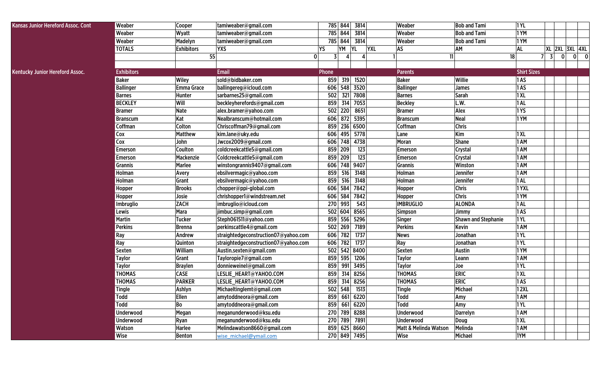| <b>Kansas Junior Hereford Assoc. Cont</b> | Weaber            | Cooper            | tamiweaber@gmail.com                 |                                | 785 844 3814            | Weaber                | <b>Bob and Tami</b>        | <b>1YL</b>         |                |   |                |  |
|-------------------------------------------|-------------------|-------------------|--------------------------------------|--------------------------------|-------------------------|-----------------------|----------------------------|--------------------|----------------|---|----------------|--|
|                                           | Weaber            | Wyatt             | tamiweaber@gmail.com                 |                                | 785 844 3814            | Weaber                | <b>Bob and Tami</b>        | 1YM                |                |   |                |  |
|                                           | Weaber            | Madelyn           | tamiweaber@gmail.com                 |                                | 785 844 3814            | Weaber                | <b>Bob and Tami</b>        | 1YM                |                |   |                |  |
|                                           | <b>TOTALS</b>     | <b>Exhibitors</b> | <b>YXS</b>                           | YM<br>YS                       | <b>YL</b><br><b>YXL</b> | AS                    | AM                         | <b>AL</b>          |                |   | XL 2XL 3XL 4XL |  |
|                                           |                   | 55                |                                      | $\overline{3}$<br>$\mathbf{0}$ |                         | 11                    | 18                         |                    | $\overline{3}$ | 0 | $0\qquad 0$    |  |
|                                           |                   |                   |                                      |                                |                         |                       |                            |                    |                |   |                |  |
| Kentucky Junior Hereford Assoc.           | <b>Exhibitors</b> |                   | <b>Email</b>                         | Phone                          |                         | <b>Parents</b>        |                            | <b>Shirt Sizes</b> |                |   |                |  |
|                                           | <b>Baker</b>      | <b>Wiley</b>      | sold@bidbaker.com                    | 859                            | 319<br>1520             | <b>Baker</b>          | Willie                     | 1AS                |                |   |                |  |
|                                           | <b>Ballinger</b>  | <b>Emma Grace</b> | ballingereg@icloud.com               |                                | 606 548 3520            | <b>Ballinger</b>      | <b>James</b>               | 1AS                |                |   |                |  |
|                                           | <b>Barnes</b>     | Hunter            | sarbarnes25@gmail.com                | 502                            | 321 7808                | <b>Barnes</b>         | <b>Sarah</b>               | 1XL                |                |   |                |  |
|                                           | <b>BECKLEY</b>    | Will              | beckleyherefords@gmail.com           | 859                            | 314<br>7053             | <b>Beckley</b>        | L.W.                       | 1AL                |                |   |                |  |
|                                           | <b>Bramer</b>     | <b>Nate</b>       | alex.bramer@yahoo.com                | 502 220                        | 8651                    | <b>Bramer</b>         | Alex                       | 1YS                |                |   |                |  |
|                                           | <b>Branscum</b>   | Kat               | Nealbranscum@hotmail.com             |                                | 606 872 5395            | <b>Branscum</b>       | Neal                       | 1 YM               |                |   |                |  |
|                                           | Coffman           | Colton            | Chriscoffman79@gmail.com             |                                | 859 236 6500            | <b>Coffman</b>        | <b>Chris</b>               |                    |                |   |                |  |
|                                           | Cox               | <b>Matthew</b>    | kim.lane@uky.edu                     |                                | 606 495 5778            | Lane                  | Kim                        | 1 XL               |                |   |                |  |
|                                           | Cox               | John              | Jwcox2009@gmail.com                  |                                | 606 748 4738            | Moran                 | <b>Shane</b>               | 1 AM               |                |   |                |  |
|                                           | <b>Emerson</b>    | Coulton           | coldcreekcattle5@gmail.com           | 859 209                        | 123                     | Emerson               | <b>Crystal</b>             | 1 AM               |                |   |                |  |
|                                           | <b>Emerson</b>    | Mackenzie         | Coldcreekcattle5@gmail.com           | 859 209                        | 123                     | Emerson               | Crystal                    | 1 AM               |                |   |                |  |
|                                           | <b>Grannis</b>    | <b>Marlee</b>     | winstongrannis9407@gmail.com         |                                | 606 748 9407            | Grannis               | Winston                    | 1 AM               |                |   |                |  |
|                                           | Holman            | Avery             | ebsilvermagic@yahoo.com              | 859                            | 516<br>3148             | Holman                | <b>Jennifer</b>            | 1 AM               |                |   |                |  |
|                                           | Holman            | Grant             | ebsilvermagic@yahoo.com              | 859                            | 516<br>3148             | Holman                | Jennifer                   | 1AL                |                |   |                |  |
|                                           | Hopper            | <b>Brooks</b>     | chopper@ppi-global.com               | 606 584                        | 7842                    | Hopper                | <b>Chris</b>               | 1YXL               |                |   |                |  |
|                                           | Hopper            | Josie             | chrishopper1@windstream.net          | 606 584                        | 7842                    | Hopper                | <b>Chris</b>               | 1 YM               |                |   |                |  |
|                                           | Imbruglio         | <b>ZACH</b>       | imbruglio@icloud.com                 | 270 993                        | 543                     | <b>IMBRUGLIO</b>      | <b>ALONDA</b>              | 1AL                |                |   |                |  |
|                                           | Lewis             | Mara              | jimbuc.simp@gmail.com                | 502 604                        | 8565                    | Simpson               | <b>Jimmy</b>               | 1AS                |                |   |                |  |
|                                           | <b>Martin</b>     | <b>Tucker</b>     | Steph061511@yahoo.com                |                                | 859 556 5296            | Singer                | <b>Shawn and Stephanie</b> | 1 YL               |                |   |                |  |
|                                           | <b>Perkins</b>    | <b>Brenna</b>     | perkinscattle4@gmail.com             |                                | 502 269 7189            | <b>Perkins</b>        | Kevin                      | 1 AM               |                |   |                |  |
|                                           | Ray               | Andrew            | straightedgeconstruction07@yahoo.com |                                | 606 782 1737            | <b>News</b>           | Jonathan                   | 1 YL               |                |   |                |  |
|                                           | Ray               | Quinton           | straightedgeconstruction07@yahoo.com |                                | 606 782 1737            | Ray                   | Jonathan                   | 1 YL               |                |   |                |  |
|                                           | <b>Sexten</b>     | William           | Austin.sexten@gmail.com              |                                | 502 542 8400            | Sexten                | <b>Austin</b>              | 1YM                |                |   |                |  |
|                                           | <b>Taylor</b>     | Grant             | Tayloropie7@gmail.com                |                                | 859 595 1206            | <b>Taylor</b>         | Leann                      | 1 AM               |                |   |                |  |
|                                           | <b>Taylor</b>     | <b>Braylen</b>    | donnieweinel@gmail.com               | 859                            | 991 3495                | <b>Taylor</b>         | Joe                        | 1 YL               |                |   |                |  |
|                                           | <b>THOMAS</b>     | <b>CASE</b>       | LESLIE_HEART@YAHOO.COM               | 859                            | $\overline{314}$ 8256   | <b>THOMAS</b>         | <b>ERIC</b>                | 1XL                |                |   |                |  |
|                                           | <b>THOMAS</b>     | <b>PARKER</b>     | LESLIE_HEART@YAHOO.COM               | 859                            | 314<br>8256             | <b>THOMAS</b>         | <b>ERIC</b>                | 1AS                |                |   |                |  |
|                                           | <b>Tingle</b>     | Ashlyn            | Michaeltinglemt@gmail.com            |                                | 502 548 1513            | <b>Tingle</b>         | Michael                    | <b>12XL</b>        |                |   |                |  |
|                                           | Todd              | Ellen             | amytoddneora@gmail.com               |                                | 859 661 6220            | Todd                  | Amy                        | 1 AM               |                |   |                |  |
|                                           | Todd              | Bo                | amytoddneora@gmail.com               |                                | 859 661 6220            | <b>Todd</b>           | Amy                        | 1 YL               |                |   |                |  |
|                                           | Underwood         | Megan             | meganunderwood@ksu.edu               |                                | 270 789 8288            | Underwood             | <b>Darrelyn</b>            | 1 AM               |                |   |                |  |
|                                           | <b>Underwood</b>  | Ryan              | meganunderwood@ksu.edu               |                                | 270 789 7891            | Underwood             | Doug                       | 1XL                |                |   |                |  |
|                                           | Watson            | Harlee            | Melindawatson8660@gmail.com          |                                | 859 625 8660            | Matt & Melinda Watson | Melinda                    | 1 AM               |                |   |                |  |
|                                           | Wise              | <b>Benton</b>     | wise michael@ymail.com               |                                | 270 849 7495            | Wise                  | Michael                    | 1YM                |                |   |                |  |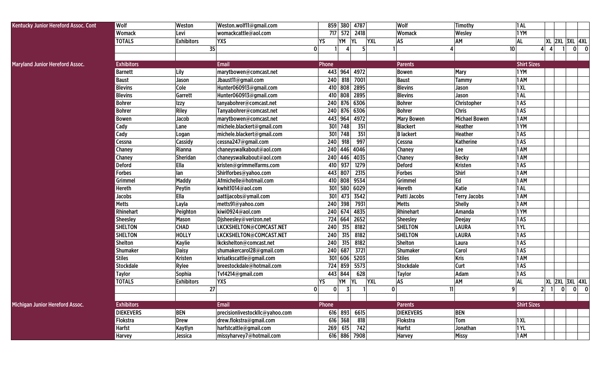| Kentucky Junior Hereford Assoc. Cont   | Wolf              | Weston            | Weston.wolf11@gmail.com         |          |                                                  | 859 380 4787 |            | Wolf              | Timothy              | $ 1$ AL            |                         |                         |                                         |
|----------------------------------------|-------------------|-------------------|---------------------------------|----------|--------------------------------------------------|--------------|------------|-------------------|----------------------|--------------------|-------------------------|-------------------------|-----------------------------------------|
|                                        | <b>Womack</b>     | Levi              | womackcattle@aol.com            |          |                                                  | 717 572 2418 |            | Womack            | Wesley               | 1YM                |                         |                         |                                         |
|                                        | <b>TOTALS</b>     | <b>Exhibitors</b> | <b>YXS</b>                      | YS       | YM                                               | <b>YL</b>    | <b>YXL</b> | AS                | AM                   | <b>AL</b>          |                         |                         | <b>XL 2XL 3XL 4XL</b>                   |
|                                        |                   | 35                | 0                               |          |                                                  |              |            |                   | 10 <sup>1</sup>      | $\vert$            | $\overline{\mathbf{4}}$ |                         | $\overline{\mathbf{0}}$<br>$\mathbf{0}$ |
|                                        |                   |                   |                                 |          |                                                  |              |            |                   |                      |                    |                         |                         |                                         |
| <b>Maryland Junior Hereford Assoc.</b> | <b>Exhibitors</b> |                   | <b>Email</b>                    | Phone    |                                                  |              |            | <b>Parents</b>    |                      | <b>Shirt Sizes</b> |                         |                         |                                         |
|                                        | Barnett           | Lily              | marytbowen@comcast.net          | 443      | 964                                              | 4972         |            | Bowen             | <b>Mary</b>          | 1YM                |                         |                         |                                         |
|                                        | <b>Baust</b>      | Jason             | Jbaust11@gmail.com              | 240      | 818                                              | 7001         |            | <b>Baust</b>      | <b>Tammy</b>         | 1 AM               |                         |                         |                                         |
|                                        | <b>Blevins</b>    | Cole              | Hunter060913@gmail.com          | 410      | 808                                              | 2895         |            | <b>Blevins</b>    | Jason                | 1XL                |                         |                         |                                         |
|                                        | <b>Blevins</b>    | Garrett           | Hunter060913@gmail.com          | 410      | 808                                              | 2895         |            | <b>Blevins</b>    | Jason                | 1AL                |                         |                         |                                         |
|                                        | Bohrer            | Izzy              | tanyabohrer@comcast.net         | 240      | 876                                              | 6306         |            | <b>Bohrer</b>     | Christopher          | 1AS                |                         |                         |                                         |
|                                        | <b>Bohrer</b>     | Riley             | Tanyabohrer@comcast.net         | 240      |                                                  | 876 6306     |            | <b>Bohrer</b>     | <b>Chris</b>         | 1AS                |                         |                         |                                         |
|                                        | Bowen             | Jacob             | marytbowen@comcast.net          | 443      | 964                                              | 4972         |            | <b>Mary Bowen</b> | <b>Michael Bowen</b> | 1 AM               |                         |                         |                                         |
|                                        | Cady              | Lane              | michele.blackert@gmail.com      | 301      | 748                                              | 351          |            | <b>Blackert</b>   | <b>Heather</b>       | 1YM                |                         |                         |                                         |
|                                        | Cady              | Logan             | michele.blackert@gmail.com      | 301      | 748                                              | 351          |            | <b>B</b> lackert  | Heather              | 1AS                |                         |                         |                                         |
|                                        | Cessna            | Cassidy           | cessna247@gmail.com             | 240      | 918                                              | 997          |            | Cessna            | Katherine            | 1AS                |                         |                         |                                         |
|                                        | <b>Chaney</b>     | Rianna            | chaneyswalkabout@aol.com        |          |                                                  | 240 446 4046 |            | Chaney            | Lee                  | 1 AM               |                         |                         |                                         |
|                                        | <b>Chaney</b>     | Sheridan          | chaneyswalkabout@aol.com        |          | 240 446                                          | 4035         |            | Chaney            | <b>Becky</b>         | 1AM                |                         |                         |                                         |
|                                        | <b>Deford</b>     | Ella              | kristen@grimmelfarms.com        | 410      | 937                                              | 1279         |            | Deford            | Kristen              | 1AS                |                         |                         |                                         |
|                                        | <b>Forbes</b>     | lan               | Shirlforbes@yahoo.com           | 443      | 807                                              | 2315         |            | <b>Forbes</b>     | Shirl                | 1 AM               |                         |                         |                                         |
|                                        | Grimmel           | <b>Maddy</b>      | Afmichelle@hotmail.com          | 410      | 808                                              | 9534         |            | Grimmel           | Ed                   | 1 AM               |                         |                         |                                         |
|                                        | Hereth            | Peytin            | kwhit1014@aol.com               | 301      | 580                                              | 6029         |            | Hereth            | Katie                | $ 1$ AL            |                         |                         |                                         |
|                                        | <b>Jacobs</b>     | Ella              | pattijacobs@ymail.com           | 301      | 473                                              | 3542         |            | Patti Jacobs      | <b>Terry Jacobs</b>  | 1 AM               |                         |                         |                                         |
|                                        | <b>Metts</b>      | Layla             | metts91@yahoo.com               | 240      | 398                                              | 7931         |            | <b>Metts</b>      | Shelly               | 1 AM               |                         |                         |                                         |
|                                        | Rhinehart         | Peighton          | kiwi0924@aol.com                | 240      | 674                                              | 4835         |            | Rhinehart         | Amanda               | 1YM                |                         |                         |                                         |
|                                        | <b>Sheesley</b>   | Mason             | Disheesley@verizon.net          | 724      | 664                                              | 2652         |            | <b>Sheesley</b>   | <b>Deejay</b>        | 1AS                |                         |                         |                                         |
|                                        | <b>SHELTON</b>    | <b>CHAD</b>       | LKCKSHELTON@COMCAST.NET         | 240      | 315                                              | 8182         |            | <b>SHELTON</b>    | <b>LAURA</b>         | 1YL                |                         |                         |                                         |
|                                        | <b>SHELTON</b>    | <b>HOLLY</b>      | LKCKSHELTON@COMCAST.NET         | 240      | 315                                              | 8182         |            | <b>SHELTON</b>    | <b>LAURA</b>         | 1AS                |                         |                         |                                         |
|                                        | <b>Shelton</b>    | <b>Kaylie</b>     | Ikckshelton@comcast.net         | 240      | 315                                              | 8182         |            | Shelton           | Laura                | 1AS                |                         |                         |                                         |
|                                        | Shumaker          | <b>Daisy</b>      | shumakercarol28@gmail.com       | 240      | 687                                              | 3721         |            | Shumaker          | Carol                | 1AS                |                         |                         |                                         |
|                                        | <b>Stiles</b>     | <b>Kristen</b>    | krisatkscattle@gmail.com        | 301      | 606                                              | 5203         |            | <b>Stiles</b>     | <b>Kris</b>          | 1 AM               |                         |                         |                                         |
|                                        | Stockdale         | Rylee             | breestockdale@hotmail.com       | 724      | 859                                              | 5573         |            | Stockdale         | Curt                 | 1AS                |                         |                         |                                         |
|                                        | <b>Taylor</b>     | Sophia            | Tvf4214@gmail.com               | 443      | 844                                              | 628          |            | <b>Taylor</b>     | Adam                 | 1AS                |                         |                         |                                         |
|                                        | <b>TOTALS</b>     | <b>Exhibitors</b> | <b>YXS</b>                      | YS       | YM                                               | YL           | <b>YXL</b> | AS                | AM                   | <b>AL</b>          |                         |                         | XL   2XL   3XL   4XL                    |
|                                        |                   | 27                | $\Omega$                        | $\Omega$ | $\overline{\mathbf{z}}$<br>$\tilde{\phantom{a}}$ |              | $\Omega$   |                   | 11<br>$\mathbf{Q}$   |                    | $2 \mid 1 \mid$         | $\overline{\mathbf{0}}$ | ി<br> 0                                 |
|                                        |                   |                   |                                 |          |                                                  |              |            |                   |                      |                    |                         |                         |                                         |
| Michigan Junior Hereford Assoc.        | <b>Exhibitors</b> |                   | <b>Email</b>                    | Phone    |                                                  |              |            | <b>Parents</b>    |                      | <b>Shirt Sizes</b> |                         |                         |                                         |
|                                        | <b>DIEKEVERS</b>  | <b>BEN</b>        | precisionlivestockllc@yahoo.com |          |                                                  | 616 893 6615 |            | <b>DIEKEVERS</b>  | <b>BEN</b>           |                    |                         |                         |                                         |
|                                        | Flokstra          | <b>Drew</b>       | drew.flokstra@gmail.com         |          | 616 368                                          | 818          |            | Flokstra          | Tom                  | 1XL                |                         |                         |                                         |
|                                        | <b>Harfst</b>     | Kaytlyn           | harfstcattle@gmail.com          | 269      | 615                                              | 742          |            | <b>Harfst</b>     | Jonathan             | 1YL                |                         |                         |                                         |
|                                        | Harvey            | Jessica           | missyharvey7@hotmail.com        |          |                                                  | 616 886 7908 |            | Harvey            | <b>Missy</b>         | 1 AM               |                         |                         |                                         |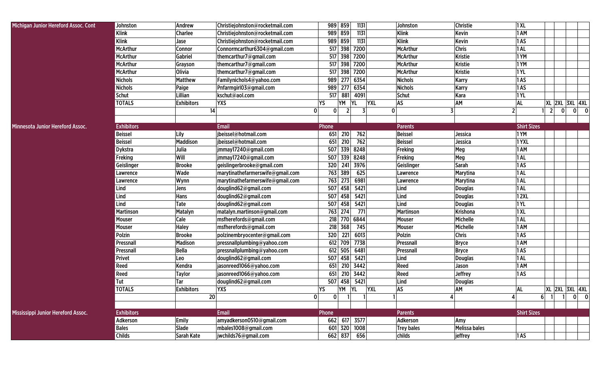| Michigan Junior Hereford Assoc. Cont    | Johnston          | Andrew            | Christiejohnston@rocketmail.com  | 989 859                                       | 1131         |              | Johnston             | Christie             | 1XL                |                       |                               |
|-----------------------------------------|-------------------|-------------------|----------------------------------|-----------------------------------------------|--------------|--------------|----------------------|----------------------|--------------------|-----------------------|-------------------------------|
|                                         | <b>Klink</b>      | <b>Charlee</b>    | Christiejohnston@rocketmail.com  | 989<br>859                                    | 1131         |              | <b>Klink</b>         | Kevin                | 1 AM               |                       |                               |
|                                         | <b>Klink</b>      | Jase              | Christiejohnston@rocketmail.com  | 989<br>859                                    | 1131         |              | <b>Klink</b>         | Kevin                | 1AS                |                       |                               |
|                                         | <b>McArthur</b>   | Connor            | Connormcarthur6304@gmail.com     | 517<br>398                                    | 7200         |              | <b>McArthur</b>      | <b>Chris</b>         | 1AL                |                       |                               |
|                                         | <b>McArthur</b>   | Gabriel           | themcarthur7@gmail.com           | 517                                           | 398 7200     |              | <b>McArthur</b>      | <b>Kristie</b>       | 1YM                |                       |                               |
|                                         | <b>McArthur</b>   | Grayson           | themcarthur7@gmail.com           | 517                                           | 398 7200     |              | <b>McArthur</b>      | <b>Kristie</b>       | 1YM                |                       |                               |
|                                         | <b>McArthur</b>   | <b>Olivia</b>     | themcarthur7@gmail.com           | 517                                           | 398 7200     |              | <b>McArthur</b>      | <b>Kristie</b>       | <b>1YL</b>         |                       |                               |
|                                         | <b>Nichols</b>    | Matthew           | Familynichols4@yahoo.com         | 277<br>989                                    | 6354         |              | <b>Nichols</b>       | <b>Karry</b>         | 1AS                |                       |                               |
|                                         | <b>Nichols</b>    | Paige             | Pnfarmgirl03@gmail.com           | 989<br>277                                    | 6354         |              | <b>Nichols</b>       | <b>Karry</b>         | 1AS                |                       |                               |
|                                         | <b>Schut</b>      | Lillian           | kschut@aol.com                   | 517<br>881                                    | 4091         |              | Schut                | Kara                 | 1YL                |                       |                               |
|                                         | <b>TOTALS</b>     | <b>Exhibitors</b> | <b>YXS</b>                       | YS<br>YΜ                                      | YL           | <b>YXL</b>   | AS                   | AM                   | AL                 | <b>XL 2XL 3XL 4XL</b> |                               |
|                                         |                   | 14                |                                  | 0<br>$\mathbf{0}$<br>$\overline{\phantom{a}}$ | 3            | $\mathbf{0}$ | 3                    |                      | $2 \overline{)}$   | $\overline{2}$<br> 0  | 0 <br>$\overline{\mathbf{0}}$ |
|                                         |                   |                   |                                  |                                               |              |              |                      |                      |                    |                       |                               |
| <b>Minnesota Junior Hereford Assoc.</b> | <b>Exhibitors</b> |                   | <b>Email</b>                     | Phone                                         |              |              | <b>Parents</b>       |                      | <b>Shirt Sizes</b> |                       |                               |
|                                         | <b>Beissel</b>    | Lily              | jbeissel@hotmail.com             | 210<br>651                                    | 762          |              | <b>Beissel</b>       | Jessica              | 1YM                |                       |                               |
|                                         | <b>Beissel</b>    | Maddison          | jbeissel@hotmail.com             | 651<br>210                                    | 762          |              | <b>Beissel</b>       | Jessica              | 1YXL               |                       |                               |
|                                         | <b>Dykstra</b>    | Julia             | jmmay17240@gmail.com             | 507<br>339                                    | 8248         |              | Freking              | Meg                  | 1AM                |                       |                               |
|                                         | Freking           | Will              | jmmay17240@gmail.com             | 507<br>339                                    | 8248         |              | Freking              | Meg                  | 1AL                |                       |                               |
|                                         | Geislinger        | <b>Brooke</b>     | geislingerbrooke@gmail.com       | 320<br>241                                    | 3976         |              | Geislinger           | Sarah                | 1AS                |                       |                               |
|                                         | Lawrence          | Wade              | marytinathefarmerswife@gmail.com | 763<br>389                                    | 625          |              | Lawrence             | <b>Marytina</b>      | 1AL                |                       |                               |
|                                         | Lawrence          | Wynn              | marytinathefarmerswife@gmail.com | 763<br>273                                    | 6981         |              | Lawrence             | <b>Marytina</b>      | 1AL                |                       |                               |
|                                         | Lind              | Jens              | douglind62@gmail.com             | 507<br>458                                    | 5421         |              | Lind                 | <b>Douglas</b>       | 1AL                |                       |                               |
|                                         | Lind              | Hans              | douglind62@gmail.com             | 507<br>458                                    | 5421         |              | Lind                 | <b>Douglas</b>       | <b>12XL</b>        |                       |                               |
|                                         | Lind              | Tate              | douglind62@gmail.com             | 507<br>458                                    | 5421         |              | Lind                 | <b>Douglas</b>       | 1YL                |                       |                               |
|                                         | <b>Martinson</b>  | Matalyn           | matalyn.martinson@gmail.com      | 763<br>274                                    | 771          |              | <b>Martinson</b>     | <b>Krishona</b>      | 1XL                |                       |                               |
|                                         | Mouser            | Cale              | msfherefords@gmail.com           | 218<br>770                                    | 6844         |              | Mouser               | Michelle             | 1AL                |                       |                               |
|                                         | Mouser            | <b>Haley</b>      | msfherefords@gmail.com           | 368<br>218                                    | 745          |              | Mouser               | Michelle             | 1 AM               |                       |                               |
|                                         | Polzin            | <b>Brooke</b>     | polzinembryocenter@gmail.com     | 320<br>221                                    | 6013         |              | <b>Polzin</b>        | <b>Chris</b>         | 1AS                |                       |                               |
|                                         | Pressnall         | <b>Madison</b>    | pressnallplumbing@yahoo.com      | 612<br>709                                    | 7738         |              | Pressnall            | <b>Bryce</b>         | 1 AM               |                       |                               |
|                                         | Pressnall         | <b>Bella</b>      | pressnallplumbing@yahoo.com      | 612<br>505                                    | 6481         |              | Pressnall            | <b>Bryce</b>         | 1AS                |                       |                               |
|                                         | Privet            | Leo               | douglind62@gmail.com             | 458<br>507                                    | 5421         |              | Lind                 | <b>Douglas</b>       | 1AL                |                       |                               |
|                                         | Reed              | Kendra            | jasonreed1066@yahoo.com          | 651<br>210                                    | 3442         |              | Reed                 | Jason                | 1 AM               |                       |                               |
|                                         | Reed              | <b>Taylor</b>     | jasonreed1066@yahoo.com          | 651<br>210                                    | 3442         |              | Reed                 | <b>Jeffrey</b>       | 1AS                |                       |                               |
|                                         | Tut               | Tar               | douglind62@gmail.com             | 507<br>458                                    | 5421         |              | Lind                 | <b>Douglas</b>       |                    |                       |                               |
|                                         | <b>TOTALS</b>     | <b>Exhibitors</b> | <b>YXS</b>                       | YS<br>$YM$ $YL$                               |              | <b>YXI</b>   | $\mathsf{AS}\xspace$ | AM                   | ΔI                 | <b>XL 2XL 3XL 4XL</b> |                               |
|                                         |                   | 20 <sup>1</sup>   |                                  | 01<br> 0                                      | $\mathbf{1}$ |              |                      |                      |                    | $6$ 1 1 0 0           |                               |
|                                         |                   |                   |                                  |                                               |              |              |                      |                      |                    |                       |                               |
| Mississippi Junior Hereford Assoc.      | <b>Exhibitors</b> |                   | Email                            | Phone                                         |              |              | <b>Parents</b>       |                      | <b>Shirt Sizes</b> |                       |                               |
|                                         | Adkerson          | <b>Emily</b>      | amyadkerson0510@gmail.com        | 662 617 3577                                  |              |              | Adkerson             | Amy                  |                    |                       |                               |
|                                         | <b>Bales</b>      | Slade             | mbales1008@gmail.com             | 601 320 1008                                  |              |              | Trey bales           | <b>Melissa bales</b> |                    |                       |                               |
|                                         | <b>Childs</b>     | Sarah Kate        | jwchilds76@gmail.com             | 662 837 656                                   |              |              | childs               | jeffrey              | 1AS                |                       |                               |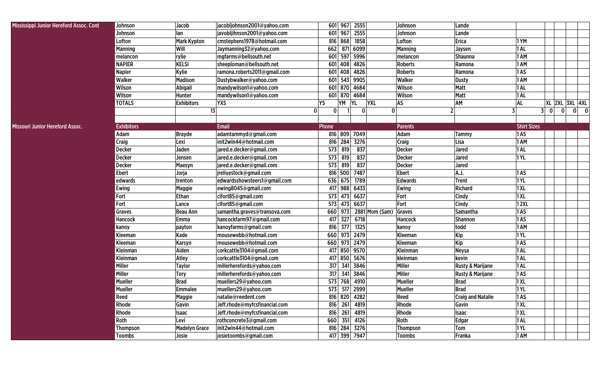| Mississippi Junior Hereford Assoc. Cont | Johnson           | Jacob                | jacobljohnson2001@yahoo.com   | 601 967 2555                          | Johnson         | Lande                       |                    |                                                     |
|-----------------------------------------|-------------------|----------------------|-------------------------------|---------------------------------------|-----------------|-----------------------------|--------------------|-----------------------------------------------------|
|                                         | Johnson           | lan                  | javobljihnson2001@yahoo.com   | 601 967 2555                          | Johnson         | Lande                       |                    |                                                     |
|                                         | Lofton            | <b>Mark Kypton</b>   | cmstephens1978@hotmail.com    | 816 868 1858                          | Lofton          | <b>Erica</b>                | 1YM                |                                                     |
|                                         | <b>Manning</b>    | Will                 | Jaymanning32@yahoo.com        | 662 871 6099                          | <b>Manning</b>  | Jaysen                      | 1AL                |                                                     |
|                                         | melancon          | rylie                | mgfarms@bellsouth.net         | 601 597 5996                          | melancon        | <b>Shaunna</b>              | 1 AM               |                                                     |
|                                         | <b>NAPIER</b>     | <b>KELSI</b>         | sheeploman@bellsouth.net      | 601 408 4826                          | <b>Roberts</b>  | Ramona                      | 1 AM               |                                                     |
|                                         | <b>Napier</b>     | Kylie                | ramona.roberts2011@gmail.com  | 601 408 4826                          | <b>Roberts</b>  | Ramona                      | 1AS                |                                                     |
|                                         | <b>Walker</b>     | <b>Madison</b>       | Dustybwalker@yahoo.com        | 601 543 9905                          | Walker          | <b>Dusty</b>                | 1 AM               |                                                     |
|                                         | Wilson            | Abigail              | mandywilson1@yahoo.com        | 601 870 4684                          | Wilson          | Matt                        | 1AL                |                                                     |
|                                         | Wilson            | Hunter               | mandywilson1@yahoo.com        | 601 870 4684                          | Wilson          | Matt                        | 1AL                |                                                     |
|                                         | <b>TOTALS</b>     | <b>Exhibitors</b>    | <b>YXS</b>                    | YS.<br>YM<br><b>YL</b><br><b>YXL</b>  | <b>AS</b>       | AM                          | <b>AL</b>          | XL 2XL 3XL 4XL                                      |
|                                         |                   | 13                   |                               | $\overline{0}$<br> 0 <br>$\mathbf{0}$ | 0               | $\overline{2}$              | 3<br>3             | $\Omega$<br>$\overline{0}$<br>$\mathbf{0}$<br>- 0 I |
|                                         |                   |                      |                               |                                       |                 |                             |                    |                                                     |
| Missouri Junior Hereford Assoc.         | <b>Exhibitors</b> |                      | <b>Email</b>                  | Phone                                 | <b>Parents</b>  |                             | <b>Shirt Sizes</b> |                                                     |
|                                         | Adam              | <b>Brayde</b>        | adamtammyd@gmail.com          | 816 809 7049                          | Adam            | Tammy                       | 1AS                |                                                     |
|                                         | <b>Craig</b>      | Lexi                 | init2win44@hotmail.com        | 816 284 3276                          | <b>Craig</b>    | Lisa                        | 1 AM               |                                                     |
|                                         | Decker            | Jaden                | jared.e.decker@gmail.com      | 573 819<br>837                        | <b>Decker</b>   | Jared                       | $ 1$ AL            |                                                     |
|                                         | <b>Decker</b>     | Jensen               | jared.e.decker@gmail.com      | 837<br>573 819                        | <b>Decker</b>   | Jared                       | 1YL                |                                                     |
|                                         | <b>Decker</b>     | Maesyn               | jared.e.decker@gmail.com      | 573 819<br>837                        | <b>Decker</b>   | Jared                       |                    |                                                     |
|                                         | <b>Ebert</b>      | Jorja                | jrelivestock@gmail.com        | 816 500 7487                          | <b>Ebert</b>    | A.J.                        | 1AS                |                                                     |
|                                         | edwards           | trenton              | edwardsshowsteers1@gmail.com  | 636 675<br>1789                       | <b>Edwards</b>  | Trent                       | <b>1YL</b>         |                                                     |
|                                         | Ewing             | <b>Maggie</b>        | ewing8045@gmail.com           | 417 988 6433                          | Ewing           | Richard                     | 1XL                |                                                     |
|                                         | Fort              | Ethan                | clfort85@gmail.com            | 573 473 6637                          | Fort            | Cindy                       | 1XL                |                                                     |
|                                         | Fort              | Lance                | clfort85@gmail.com            | 573 473 6637                          | Fort            | Cindy                       | <b>12XL</b>        |                                                     |
|                                         | Graves            | <b>Beau Ann</b>      | samantha.graves@transova.com  | $2881$ Mom (Sam)<br>660 973           | Graves          | Samantha                    | 1AS                |                                                     |
|                                         | Hancock           | Emma                 | hancockfarm97@gmail.com       | 327<br>6718<br>417                    | Hancock         | <b>Shannon</b>              | 1AS                |                                                     |
|                                         | kanoy             | payton               | kanoyfarms@gmail.com          | 816 377<br>1325                       | kanoy           | todd                        | 1 AM               |                                                     |
|                                         | Kleeman           | Kade                 | mousewebb@hotmail.com         | 660 973 2479                          | Kleeman         | Kip                         | <b>1YL</b>         |                                                     |
|                                         | Kleeman           | Karsyn               | mousewebb@hotmail.com         | 660 973 2479                          | Kleeman         | Kip                         | 1AS                |                                                     |
|                                         | Kleinman          | Aiden                | corkcattle3104@gmail.com      | 417 850 9570                          | <b>Kleinman</b> | <b>Neysa</b>                | 1 AL               |                                                     |
|                                         | Kleinman          | <b>Atley</b>         | corkcattle3104@gmail.com      | 417 850 5676                          | kleinman        | kevin                       | 1AL                |                                                     |
|                                         | <b>Miller</b>     | <b>Taylor</b>        | millerherefords@yahoo.com     | 317 341 3846                          | Miller          | <b>Rusty &amp; Marijane</b> | 1AL                |                                                     |
|                                         | <b>Miller</b>     | Tory                 | millerherefords@yahoo.com     | 317 341 3846                          | Miller          | <b>Rusty &amp; Marijane</b> | 1AS                |                                                     |
|                                         | <b>Mueller</b>    | <b>Brad</b>          | muellers29@yahoo.com          | 573 768 4910                          | <b>Mueller</b>  | <b>Brad</b>                 | 1XL                |                                                     |
|                                         | Mueller           | <b>Emmalee</b>       | muellers29@yahoo.com          | 573 517 2999                          | Mueller         | <b>Brad</b>                 | 1YL                |                                                     |
|                                         | Reed              | <b>Maggie</b>        | natalie@reedent.com           | 816 820 4282                          | Reed            | <b>Craig and Natalie</b>    | 1AS                |                                                     |
|                                         | Rhode             | Gavin                | Jeff.rhode@myfcsfinancial.com | 816 261 4819                          | Rhode           | Gavin                       | 1 XL               |                                                     |
|                                         | Rhode             | <b>Isaac</b>         | Jeff.rhode@myfcsfinancial.com | 816 261 4819                          | Rhode           | <b>Isaac</b>                | 1 XL               |                                                     |
|                                         | Roth              | Levi                 | rothconcrete3@gmail.com       | 660 351 4126                          | Roth            | <b>Edgar</b>                | 1AL                |                                                     |
|                                         | <b>Thompson</b>   | <b>Madelyn Grace</b> | init2win44@hotmail.com        | 816 284 3276                          | Thompson        | Tom                         | <b>1 YL</b>        |                                                     |
|                                         | Toombs            | Josie                | josietoombs@gmail.com         | 417 399 7947                          | <b>Toombs</b>   | Franka                      | 1 AM               |                                                     |
|                                         |                   |                      |                               |                                       |                 |                             |                    |                                                     |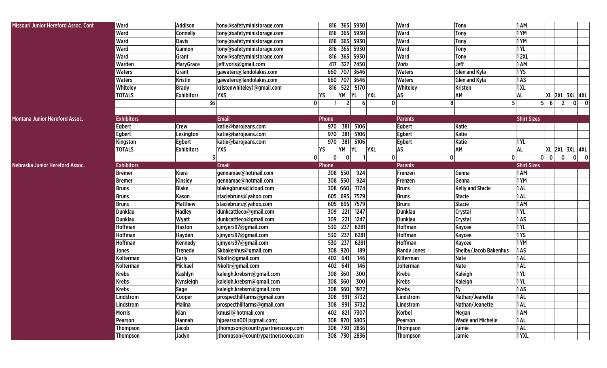| Ward<br><b>Ward</b><br>Addison<br>816 365 5930<br><b>1 AM</b><br>tony@safetyministorage.com<br>Tony<br>816 365 5930<br>1 YM<br>Ward<br><b>Connelly</b><br>tony@safetyministorage.com<br><b>Ward</b><br><b>Tony</b><br>1YM<br>Ward<br><b>Davis</b><br>816 365 5930<br>Ward<br>tony@safetyministorage.com<br>Tony<br>816 365 5930<br>1YL<br>Ward<br>Gannon<br>Ward<br>tony@safetyministorage.com<br><b>Tony</b><br>816 365 5930<br>12XL<br><b>Ward</b><br>Ward<br>Grant<br>Tony<br>tony@safetyministorage.com<br>417 327 7450<br>1 AM<br>Jeff<br>Warden<br><b>MaryGrace</b><br>jeff.voris@gmail.com<br><b>Voris</b><br>660 707 3646<br>1YS<br><b>Waters</b><br>Grant<br><b>Waters</b><br>Glen and Kyla<br>gawaters@landolakes.com<br> 1AS<br>660 707 3646<br><b>Waters</b><br><b>Waters</b><br>Kristin<br>gawaters@landolakes.com<br>Glen and Kyla<br> 1 XL<br>Whiteley<br>816 522 5170<br>Whiteley<br><b>Brady</b><br>kristenwhiteley1@gmail.com<br><b>Kristen</b><br>YM<br>AS<br><b>AL</b><br><b>TOTALS</b><br><b>YXS</b><br>YS<br><b>YL</b><br><b>YXL</b><br>AM<br><b>Exhibitors</b><br>36<br>$\overline{0}$<br>$2 \overline{ }$<br>5<br>5<br>6 <sup>1</sup><br>6<br>0<br>8<br><b>Exhibitors</b><br><b>Email</b><br><b>Shirt Sizes</b><br>Phone<br><b>Parents</b><br>381 5106<br><b>Egbert</b><br>Egbert<br>Katie<br><b>Crew</b><br>katie@barojeans.com<br>970<br>Egbert<br>381 5106<br>Katie<br>970<br>Egbert<br>Lexington<br>katie@barojeans.com<br>970 381 5106<br>Katie<br>Egbert<br>katie@barojeans.com<br>Egbert<br> 1 YL<br>Kingston<br><b>YXL</b><br>AS<br>AM<br><b>AL</b><br><b>TOTALS</b><br><b>Exhibitors</b><br>YS<br>YM<br><b>YL</b><br>YXS<br>$\overline{0}$ 0<br>$\mathbf{0}$<br> 0 <br>$\mathbf{0}$<br> 0 <br>$\mathbf{0}$<br>0<br><b>Exhibitors</b><br><b>Shirt Sizes</b><br><b>Email</b><br><b>Parents</b><br>Phone<br>924<br>1 AM<br>308 550<br><b>Bremer</b><br>Kiera<br>gennamae@hotmail.com<br>Frenzen<br>Genna<br>308 550<br>924<br>1YM<br>Genna<br><b>Bremer</b><br>Kinsley<br>gennamae@hotmail.com<br>Frenzen<br>308 660 7174<br>1AL<br><b>Blake</b><br>blakegbruns@icloud.com<br><b>Bruns</b><br><b>Kelly and Stacie</b><br><b>Bruns</b><br>1AL<br>605 695 7579<br><b>Bruns</b><br>staciebruns@yahoo.com<br><b>Bruns</b><br><b>Stacie</b><br>Kason<br>1 AM<br><b>Matthew</b><br>605 695 7579<br><b>Stacie</b><br><b>Bruns</b><br>staciebruns@yahoo.com<br><b>Bruns</b><br>221<br>1YL<br>309<br>1247<br>Dunklau<br>Dunklau<br><b>Hadley</b><br>dunkcattleco@gmail.com<br>Crystal<br>221<br>1AS<br><b>Dunklau</b><br>309<br>1247<br>Dunklau<br>Wyatt<br>dunkcattleco@gmail.com<br>Crystal<br><b>Hoffman</b><br>530 237<br>6281<br>Hoffman<br>1YL<br>Haxton<br>sjmyers97@gmail.com<br>Kaycee<br>530 237<br>6281<br>1YS<br><b>Hoffman</b><br><b>Hoffman</b><br>Hayden<br>sjmyers97@gmail.com<br><b>Kaycee</b><br>530 237<br>1YM<br>6281<br><b>Hoffman</b><br>sjmyers97@gmail.com<br><b>Hoffman</b><br>Kennedy<br>Kaycee<br>308 920<br>1AS<br>189<br>Shelby/Jacob Bakenhus<br>Skbakenhus@gmail.com<br><b>Randy Jones</b><br>Trenedy<br>Jones<br>402 641<br>1AL<br>Kilterman<br><b>Carly</b><br>Nkoltr@gmail.com<br>146<br><b>Nate</b><br>Kolterman<br>1AL<br>Michael<br>402 641<br><b>Nate</b><br>Nkoltr@gmail.com<br>146<br>Jolterman<br>Kolterman<br>1YL<br>308 360<br>Kaleigh<br><b>Krebs</b><br>Kashlyn<br>kaleigh.krebsrn@gmail.com<br>300<br><b>Krebs</b><br>1YL<br><b>Krebs</b><br>308 360<br>300<br><b>Krebs</b><br>kaleigh.krebsrn@gmail.com<br>Kaleigh<br>Kynsleigh<br>1AS<br><b>Krebs</b><br>308 360 1972<br><b>Krebs</b><br>$I_y$<br>Sage<br>kaleigh.krebsrn@gmail.com<br>Lindstrom<br>prospecthillfarms@gmail.com<br>308 991 3732<br>Nathan/Jeanette<br>$ 1$ AL<br>Cooper<br>Lindstrom<br>308 991 3732<br>prospecthillfarms@gmail.com<br>Nathan/Jeanette<br>Lindstrom<br><b>Malina</b><br>Lindstrom<br>1 AL<br>402 821 7307<br>Kian<br>kmusil@hotmail.com<br>1 AM<br>Morris<br>Korbel<br>Megan<br>hjpearson001@gmail.com;<br>308 870 3805<br><b>Wade and Michelle</b><br>$ 1$ AL<br>Hannah<br>Pearson<br>Pearson<br>$ 1$ AL<br>308 730 2836<br>Jacob<br>jthompson@countrypartnerscoop.com<br>Thompson<br>Jamie<br>Thompson |                                      |                 |       |                                   |              |                 |       |              |                                        |
|---------------------------------------------------------------------------------------------------------------------------------------------------------------------------------------------------------------------------------------------------------------------------------------------------------------------------------------------------------------------------------------------------------------------------------------------------------------------------------------------------------------------------------------------------------------------------------------------------------------------------------------------------------------------------------------------------------------------------------------------------------------------------------------------------------------------------------------------------------------------------------------------------------------------------------------------------------------------------------------------------------------------------------------------------------------------------------------------------------------------------------------------------------------------------------------------------------------------------------------------------------------------------------------------------------------------------------------------------------------------------------------------------------------------------------------------------------------------------------------------------------------------------------------------------------------------------------------------------------------------------------------------------------------------------------------------------------------------------------------------------------------------------------------------------------------------------------------------------------------------------------------------------------------------------------------------------------------------------------------------------------------------------------------------------------------------------------------------------------------------------------------------------------------------------------------------------------------------------------------------------------------------------------------------------------------------------------------------------------------------------------------------------------------------------------------------------------------------------------------------------------------------------------------------------------------------------------------------------------------------------------------------------------------------------------------------------------------------------------------------------------------------------------------------------------------------------------------------------------------------------------------------------------------------------------------------------------------------------------------------------------------------------------------------------------------------------------------------------------------------------------------------------------------------------------------------------------------------------------------------------------------------------------------------------------------------------------------------------------------------------------------------------------------------------------------------------------------------------------------------------------------------------------------------------------------------------------------------------------------------------------------------------------------------------------------------------------------------------------------------------------------------------------------------------------------------------------------------------------------------------------------------------------------------------------------------------------------------------------------------------------------------------------------------------------------------------------------------------------------------------------------------------------------|--------------------------------------|-----------------|-------|-----------------------------------|--------------|-----------------|-------|--------------|----------------------------------------|
|                                                                                                                                                                                                                                                                                                                                                                                                                                                                                                                                                                                                                                                                                                                                                                                                                                                                                                                                                                                                                                                                                                                                                                                                                                                                                                                                                                                                                                                                                                                                                                                                                                                                                                                                                                                                                                                                                                                                                                                                                                                                                                                                                                                                                                                                                                                                                                                                                                                                                                                                                                                                                                                                                                                                                                                                                                                                                                                                                                                                                                                                                                                                                                                                                                                                                                                                                                                                                                                                                                                                                                                                                                                                                                                                                                                                                                                                                                                                                                                                                                                                                                                                                               | Missouri Junior Hereford Assoc. Cont |                 |       |                                   |              |                 |       |              |                                        |
|                                                                                                                                                                                                                                                                                                                                                                                                                                                                                                                                                                                                                                                                                                                                                                                                                                                                                                                                                                                                                                                                                                                                                                                                                                                                                                                                                                                                                                                                                                                                                                                                                                                                                                                                                                                                                                                                                                                                                                                                                                                                                                                                                                                                                                                                                                                                                                                                                                                                                                                                                                                                                                                                                                                                                                                                                                                                                                                                                                                                                                                                                                                                                                                                                                                                                                                                                                                                                                                                                                                                                                                                                                                                                                                                                                                                                                                                                                                                                                                                                                                                                                                                                               |                                      |                 |       |                                   |              |                 |       |              |                                        |
|                                                                                                                                                                                                                                                                                                                                                                                                                                                                                                                                                                                                                                                                                                                                                                                                                                                                                                                                                                                                                                                                                                                                                                                                                                                                                                                                                                                                                                                                                                                                                                                                                                                                                                                                                                                                                                                                                                                                                                                                                                                                                                                                                                                                                                                                                                                                                                                                                                                                                                                                                                                                                                                                                                                                                                                                                                                                                                                                                                                                                                                                                                                                                                                                                                                                                                                                                                                                                                                                                                                                                                                                                                                                                                                                                                                                                                                                                                                                                                                                                                                                                                                                                               |                                      |                 |       |                                   |              |                 |       |              |                                        |
|                                                                                                                                                                                                                                                                                                                                                                                                                                                                                                                                                                                                                                                                                                                                                                                                                                                                                                                                                                                                                                                                                                                                                                                                                                                                                                                                                                                                                                                                                                                                                                                                                                                                                                                                                                                                                                                                                                                                                                                                                                                                                                                                                                                                                                                                                                                                                                                                                                                                                                                                                                                                                                                                                                                                                                                                                                                                                                                                                                                                                                                                                                                                                                                                                                                                                                                                                                                                                                                                                                                                                                                                                                                                                                                                                                                                                                                                                                                                                                                                                                                                                                                                                               |                                      |                 |       |                                   |              |                 |       |              |                                        |
| Montana Junior Hereford Assoc.<br>Nebraska Junior Hereford Assoc.                                                                                                                                                                                                                                                                                                                                                                                                                                                                                                                                                                                                                                                                                                                                                                                                                                                                                                                                                                                                                                                                                                                                                                                                                                                                                                                                                                                                                                                                                                                                                                                                                                                                                                                                                                                                                                                                                                                                                                                                                                                                                                                                                                                                                                                                                                                                                                                                                                                                                                                                                                                                                                                                                                                                                                                                                                                                                                                                                                                                                                                                                                                                                                                                                                                                                                                                                                                                                                                                                                                                                                                                                                                                                                                                                                                                                                                                                                                                                                                                                                                                                             |                                      |                 |       |                                   |              |                 |       |              |                                        |
|                                                                                                                                                                                                                                                                                                                                                                                                                                                                                                                                                                                                                                                                                                                                                                                                                                                                                                                                                                                                                                                                                                                                                                                                                                                                                                                                                                                                                                                                                                                                                                                                                                                                                                                                                                                                                                                                                                                                                                                                                                                                                                                                                                                                                                                                                                                                                                                                                                                                                                                                                                                                                                                                                                                                                                                                                                                                                                                                                                                                                                                                                                                                                                                                                                                                                                                                                                                                                                                                                                                                                                                                                                                                                                                                                                                                                                                                                                                                                                                                                                                                                                                                                               |                                      |                 |       |                                   |              |                 |       |              |                                        |
|                                                                                                                                                                                                                                                                                                                                                                                                                                                                                                                                                                                                                                                                                                                                                                                                                                                                                                                                                                                                                                                                                                                                                                                                                                                                                                                                                                                                                                                                                                                                                                                                                                                                                                                                                                                                                                                                                                                                                                                                                                                                                                                                                                                                                                                                                                                                                                                                                                                                                                                                                                                                                                                                                                                                                                                                                                                                                                                                                                                                                                                                                                                                                                                                                                                                                                                                                                                                                                                                                                                                                                                                                                                                                                                                                                                                                                                                                                                                                                                                                                                                                                                                                               |                                      |                 |       |                                   |              |                 |       |              |                                        |
|                                                                                                                                                                                                                                                                                                                                                                                                                                                                                                                                                                                                                                                                                                                                                                                                                                                                                                                                                                                                                                                                                                                                                                                                                                                                                                                                                                                                                                                                                                                                                                                                                                                                                                                                                                                                                                                                                                                                                                                                                                                                                                                                                                                                                                                                                                                                                                                                                                                                                                                                                                                                                                                                                                                                                                                                                                                                                                                                                                                                                                                                                                                                                                                                                                                                                                                                                                                                                                                                                                                                                                                                                                                                                                                                                                                                                                                                                                                                                                                                                                                                                                                                                               |                                      |                 |       |                                   |              |                 |       |              |                                        |
|                                                                                                                                                                                                                                                                                                                                                                                                                                                                                                                                                                                                                                                                                                                                                                                                                                                                                                                                                                                                                                                                                                                                                                                                                                                                                                                                                                                                                                                                                                                                                                                                                                                                                                                                                                                                                                                                                                                                                                                                                                                                                                                                                                                                                                                                                                                                                                                                                                                                                                                                                                                                                                                                                                                                                                                                                                                                                                                                                                                                                                                                                                                                                                                                                                                                                                                                                                                                                                                                                                                                                                                                                                                                                                                                                                                                                                                                                                                                                                                                                                                                                                                                                               |                                      |                 |       |                                   |              |                 |       |              |                                        |
|                                                                                                                                                                                                                                                                                                                                                                                                                                                                                                                                                                                                                                                                                                                                                                                                                                                                                                                                                                                                                                                                                                                                                                                                                                                                                                                                                                                                                                                                                                                                                                                                                                                                                                                                                                                                                                                                                                                                                                                                                                                                                                                                                                                                                                                                                                                                                                                                                                                                                                                                                                                                                                                                                                                                                                                                                                                                                                                                                                                                                                                                                                                                                                                                                                                                                                                                                                                                                                                                                                                                                                                                                                                                                                                                                                                                                                                                                                                                                                                                                                                                                                                                                               |                                      |                 |       |                                   |              |                 |       |              | XL 2XL 3XL 4XL                         |
|                                                                                                                                                                                                                                                                                                                                                                                                                                                                                                                                                                                                                                                                                                                                                                                                                                                                                                                                                                                                                                                                                                                                                                                                                                                                                                                                                                                                                                                                                                                                                                                                                                                                                                                                                                                                                                                                                                                                                                                                                                                                                                                                                                                                                                                                                                                                                                                                                                                                                                                                                                                                                                                                                                                                                                                                                                                                                                                                                                                                                                                                                                                                                                                                                                                                                                                                                                                                                                                                                                                                                                                                                                                                                                                                                                                                                                                                                                                                                                                                                                                                                                                                                               |                                      |                 |       |                                   |              |                 |       |              | $0$ 0<br>2                             |
|                                                                                                                                                                                                                                                                                                                                                                                                                                                                                                                                                                                                                                                                                                                                                                                                                                                                                                                                                                                                                                                                                                                                                                                                                                                                                                                                                                                                                                                                                                                                                                                                                                                                                                                                                                                                                                                                                                                                                                                                                                                                                                                                                                                                                                                                                                                                                                                                                                                                                                                                                                                                                                                                                                                                                                                                                                                                                                                                                                                                                                                                                                                                                                                                                                                                                                                                                                                                                                                                                                                                                                                                                                                                                                                                                                                                                                                                                                                                                                                                                                                                                                                                                               |                                      |                 |       |                                   |              |                 |       |              |                                        |
|                                                                                                                                                                                                                                                                                                                                                                                                                                                                                                                                                                                                                                                                                                                                                                                                                                                                                                                                                                                                                                                                                                                                                                                                                                                                                                                                                                                                                                                                                                                                                                                                                                                                                                                                                                                                                                                                                                                                                                                                                                                                                                                                                                                                                                                                                                                                                                                                                                                                                                                                                                                                                                                                                                                                                                                                                                                                                                                                                                                                                                                                                                                                                                                                                                                                                                                                                                                                                                                                                                                                                                                                                                                                                                                                                                                                                                                                                                                                                                                                                                                                                                                                                               |                                      |                 |       |                                   |              |                 |       |              |                                        |
|                                                                                                                                                                                                                                                                                                                                                                                                                                                                                                                                                                                                                                                                                                                                                                                                                                                                                                                                                                                                                                                                                                                                                                                                                                                                                                                                                                                                                                                                                                                                                                                                                                                                                                                                                                                                                                                                                                                                                                                                                                                                                                                                                                                                                                                                                                                                                                                                                                                                                                                                                                                                                                                                                                                                                                                                                                                                                                                                                                                                                                                                                                                                                                                                                                                                                                                                                                                                                                                                                                                                                                                                                                                                                                                                                                                                                                                                                                                                                                                                                                                                                                                                                               |                                      |                 |       |                                   |              |                 |       |              |                                        |
|                                                                                                                                                                                                                                                                                                                                                                                                                                                                                                                                                                                                                                                                                                                                                                                                                                                                                                                                                                                                                                                                                                                                                                                                                                                                                                                                                                                                                                                                                                                                                                                                                                                                                                                                                                                                                                                                                                                                                                                                                                                                                                                                                                                                                                                                                                                                                                                                                                                                                                                                                                                                                                                                                                                                                                                                                                                                                                                                                                                                                                                                                                                                                                                                                                                                                                                                                                                                                                                                                                                                                                                                                                                                                                                                                                                                                                                                                                                                                                                                                                                                                                                                                               |                                      |                 |       |                                   |              |                 |       |              |                                        |
|                                                                                                                                                                                                                                                                                                                                                                                                                                                                                                                                                                                                                                                                                                                                                                                                                                                                                                                                                                                                                                                                                                                                                                                                                                                                                                                                                                                                                                                                                                                                                                                                                                                                                                                                                                                                                                                                                                                                                                                                                                                                                                                                                                                                                                                                                                                                                                                                                                                                                                                                                                                                                                                                                                                                                                                                                                                                                                                                                                                                                                                                                                                                                                                                                                                                                                                                                                                                                                                                                                                                                                                                                                                                                                                                                                                                                                                                                                                                                                                                                                                                                                                                                               |                                      |                 |       |                                   |              |                 |       |              |                                        |
|                                                                                                                                                                                                                                                                                                                                                                                                                                                                                                                                                                                                                                                                                                                                                                                                                                                                                                                                                                                                                                                                                                                                                                                                                                                                                                                                                                                                                                                                                                                                                                                                                                                                                                                                                                                                                                                                                                                                                                                                                                                                                                                                                                                                                                                                                                                                                                                                                                                                                                                                                                                                                                                                                                                                                                                                                                                                                                                                                                                                                                                                                                                                                                                                                                                                                                                                                                                                                                                                                                                                                                                                                                                                                                                                                                                                                                                                                                                                                                                                                                                                                                                                                               |                                      |                 |       |                                   |              |                 |       |              | <b>XL 2XL 3XL 4XL</b>                  |
|                                                                                                                                                                                                                                                                                                                                                                                                                                                                                                                                                                                                                                                                                                                                                                                                                                                                                                                                                                                                                                                                                                                                                                                                                                                                                                                                                                                                                                                                                                                                                                                                                                                                                                                                                                                                                                                                                                                                                                                                                                                                                                                                                                                                                                                                                                                                                                                                                                                                                                                                                                                                                                                                                                                                                                                                                                                                                                                                                                                                                                                                                                                                                                                                                                                                                                                                                                                                                                                                                                                                                                                                                                                                                                                                                                                                                                                                                                                                                                                                                                                                                                                                                               |                                      |                 |       |                                   |              |                 |       |              | $\overline{\mathbf{0}}$<br> 0 <br>- 01 |
|                                                                                                                                                                                                                                                                                                                                                                                                                                                                                                                                                                                                                                                                                                                                                                                                                                                                                                                                                                                                                                                                                                                                                                                                                                                                                                                                                                                                                                                                                                                                                                                                                                                                                                                                                                                                                                                                                                                                                                                                                                                                                                                                                                                                                                                                                                                                                                                                                                                                                                                                                                                                                                                                                                                                                                                                                                                                                                                                                                                                                                                                                                                                                                                                                                                                                                                                                                                                                                                                                                                                                                                                                                                                                                                                                                                                                                                                                                                                                                                                                                                                                                                                                               |                                      |                 |       |                                   |              |                 |       |              |                                        |
|                                                                                                                                                                                                                                                                                                                                                                                                                                                                                                                                                                                                                                                                                                                                                                                                                                                                                                                                                                                                                                                                                                                                                                                                                                                                                                                                                                                                                                                                                                                                                                                                                                                                                                                                                                                                                                                                                                                                                                                                                                                                                                                                                                                                                                                                                                                                                                                                                                                                                                                                                                                                                                                                                                                                                                                                                                                                                                                                                                                                                                                                                                                                                                                                                                                                                                                                                                                                                                                                                                                                                                                                                                                                                                                                                                                                                                                                                                                                                                                                                                                                                                                                                               |                                      |                 |       |                                   |              |                 |       |              |                                        |
|                                                                                                                                                                                                                                                                                                                                                                                                                                                                                                                                                                                                                                                                                                                                                                                                                                                                                                                                                                                                                                                                                                                                                                                                                                                                                                                                                                                                                                                                                                                                                                                                                                                                                                                                                                                                                                                                                                                                                                                                                                                                                                                                                                                                                                                                                                                                                                                                                                                                                                                                                                                                                                                                                                                                                                                                                                                                                                                                                                                                                                                                                                                                                                                                                                                                                                                                                                                                                                                                                                                                                                                                                                                                                                                                                                                                                                                                                                                                                                                                                                                                                                                                                               |                                      |                 |       |                                   |              |                 |       |              |                                        |
|                                                                                                                                                                                                                                                                                                                                                                                                                                                                                                                                                                                                                                                                                                                                                                                                                                                                                                                                                                                                                                                                                                                                                                                                                                                                                                                                                                                                                                                                                                                                                                                                                                                                                                                                                                                                                                                                                                                                                                                                                                                                                                                                                                                                                                                                                                                                                                                                                                                                                                                                                                                                                                                                                                                                                                                                                                                                                                                                                                                                                                                                                                                                                                                                                                                                                                                                                                                                                                                                                                                                                                                                                                                                                                                                                                                                                                                                                                                                                                                                                                                                                                                                                               |                                      |                 |       |                                   |              |                 |       |              |                                        |
|                                                                                                                                                                                                                                                                                                                                                                                                                                                                                                                                                                                                                                                                                                                                                                                                                                                                                                                                                                                                                                                                                                                                                                                                                                                                                                                                                                                                                                                                                                                                                                                                                                                                                                                                                                                                                                                                                                                                                                                                                                                                                                                                                                                                                                                                                                                                                                                                                                                                                                                                                                                                                                                                                                                                                                                                                                                                                                                                                                                                                                                                                                                                                                                                                                                                                                                                                                                                                                                                                                                                                                                                                                                                                                                                                                                                                                                                                                                                                                                                                                                                                                                                                               |                                      |                 |       |                                   |              |                 |       |              |                                        |
|                                                                                                                                                                                                                                                                                                                                                                                                                                                                                                                                                                                                                                                                                                                                                                                                                                                                                                                                                                                                                                                                                                                                                                                                                                                                                                                                                                                                                                                                                                                                                                                                                                                                                                                                                                                                                                                                                                                                                                                                                                                                                                                                                                                                                                                                                                                                                                                                                                                                                                                                                                                                                                                                                                                                                                                                                                                                                                                                                                                                                                                                                                                                                                                                                                                                                                                                                                                                                                                                                                                                                                                                                                                                                                                                                                                                                                                                                                                                                                                                                                                                                                                                                               |                                      |                 |       |                                   |              |                 |       |              |                                        |
|                                                                                                                                                                                                                                                                                                                                                                                                                                                                                                                                                                                                                                                                                                                                                                                                                                                                                                                                                                                                                                                                                                                                                                                                                                                                                                                                                                                                                                                                                                                                                                                                                                                                                                                                                                                                                                                                                                                                                                                                                                                                                                                                                                                                                                                                                                                                                                                                                                                                                                                                                                                                                                                                                                                                                                                                                                                                                                                                                                                                                                                                                                                                                                                                                                                                                                                                                                                                                                                                                                                                                                                                                                                                                                                                                                                                                                                                                                                                                                                                                                                                                                                                                               |                                      |                 |       |                                   |              |                 |       |              |                                        |
|                                                                                                                                                                                                                                                                                                                                                                                                                                                                                                                                                                                                                                                                                                                                                                                                                                                                                                                                                                                                                                                                                                                                                                                                                                                                                                                                                                                                                                                                                                                                                                                                                                                                                                                                                                                                                                                                                                                                                                                                                                                                                                                                                                                                                                                                                                                                                                                                                                                                                                                                                                                                                                                                                                                                                                                                                                                                                                                                                                                                                                                                                                                                                                                                                                                                                                                                                                                                                                                                                                                                                                                                                                                                                                                                                                                                                                                                                                                                                                                                                                                                                                                                                               |                                      |                 |       |                                   |              |                 |       |              |                                        |
|                                                                                                                                                                                                                                                                                                                                                                                                                                                                                                                                                                                                                                                                                                                                                                                                                                                                                                                                                                                                                                                                                                                                                                                                                                                                                                                                                                                                                                                                                                                                                                                                                                                                                                                                                                                                                                                                                                                                                                                                                                                                                                                                                                                                                                                                                                                                                                                                                                                                                                                                                                                                                                                                                                                                                                                                                                                                                                                                                                                                                                                                                                                                                                                                                                                                                                                                                                                                                                                                                                                                                                                                                                                                                                                                                                                                                                                                                                                                                                                                                                                                                                                                                               |                                      |                 |       |                                   |              |                 |       |              |                                        |
|                                                                                                                                                                                                                                                                                                                                                                                                                                                                                                                                                                                                                                                                                                                                                                                                                                                                                                                                                                                                                                                                                                                                                                                                                                                                                                                                                                                                                                                                                                                                                                                                                                                                                                                                                                                                                                                                                                                                                                                                                                                                                                                                                                                                                                                                                                                                                                                                                                                                                                                                                                                                                                                                                                                                                                                                                                                                                                                                                                                                                                                                                                                                                                                                                                                                                                                                                                                                                                                                                                                                                                                                                                                                                                                                                                                                                                                                                                                                                                                                                                                                                                                                                               |                                      |                 |       |                                   |              |                 |       |              |                                        |
|                                                                                                                                                                                                                                                                                                                                                                                                                                                                                                                                                                                                                                                                                                                                                                                                                                                                                                                                                                                                                                                                                                                                                                                                                                                                                                                                                                                                                                                                                                                                                                                                                                                                                                                                                                                                                                                                                                                                                                                                                                                                                                                                                                                                                                                                                                                                                                                                                                                                                                                                                                                                                                                                                                                                                                                                                                                                                                                                                                                                                                                                                                                                                                                                                                                                                                                                                                                                                                                                                                                                                                                                                                                                                                                                                                                                                                                                                                                                                                                                                                                                                                                                                               |                                      |                 |       |                                   |              |                 |       |              |                                        |
|                                                                                                                                                                                                                                                                                                                                                                                                                                                                                                                                                                                                                                                                                                                                                                                                                                                                                                                                                                                                                                                                                                                                                                                                                                                                                                                                                                                                                                                                                                                                                                                                                                                                                                                                                                                                                                                                                                                                                                                                                                                                                                                                                                                                                                                                                                                                                                                                                                                                                                                                                                                                                                                                                                                                                                                                                                                                                                                                                                                                                                                                                                                                                                                                                                                                                                                                                                                                                                                                                                                                                                                                                                                                                                                                                                                                                                                                                                                                                                                                                                                                                                                                                               |                                      |                 |       |                                   |              |                 |       |              |                                        |
|                                                                                                                                                                                                                                                                                                                                                                                                                                                                                                                                                                                                                                                                                                                                                                                                                                                                                                                                                                                                                                                                                                                                                                                                                                                                                                                                                                                                                                                                                                                                                                                                                                                                                                                                                                                                                                                                                                                                                                                                                                                                                                                                                                                                                                                                                                                                                                                                                                                                                                                                                                                                                                                                                                                                                                                                                                                                                                                                                                                                                                                                                                                                                                                                                                                                                                                                                                                                                                                                                                                                                                                                                                                                                                                                                                                                                                                                                                                                                                                                                                                                                                                                                               |                                      |                 |       |                                   |              |                 |       |              |                                        |
|                                                                                                                                                                                                                                                                                                                                                                                                                                                                                                                                                                                                                                                                                                                                                                                                                                                                                                                                                                                                                                                                                                                                                                                                                                                                                                                                                                                                                                                                                                                                                                                                                                                                                                                                                                                                                                                                                                                                                                                                                                                                                                                                                                                                                                                                                                                                                                                                                                                                                                                                                                                                                                                                                                                                                                                                                                                                                                                                                                                                                                                                                                                                                                                                                                                                                                                                                                                                                                                                                                                                                                                                                                                                                                                                                                                                                                                                                                                                                                                                                                                                                                                                                               |                                      |                 |       |                                   |              |                 |       |              |                                        |
|                                                                                                                                                                                                                                                                                                                                                                                                                                                                                                                                                                                                                                                                                                                                                                                                                                                                                                                                                                                                                                                                                                                                                                                                                                                                                                                                                                                                                                                                                                                                                                                                                                                                                                                                                                                                                                                                                                                                                                                                                                                                                                                                                                                                                                                                                                                                                                                                                                                                                                                                                                                                                                                                                                                                                                                                                                                                                                                                                                                                                                                                                                                                                                                                                                                                                                                                                                                                                                                                                                                                                                                                                                                                                                                                                                                                                                                                                                                                                                                                                                                                                                                                                               |                                      |                 |       |                                   |              |                 |       |              |                                        |
|                                                                                                                                                                                                                                                                                                                                                                                                                                                                                                                                                                                                                                                                                                                                                                                                                                                                                                                                                                                                                                                                                                                                                                                                                                                                                                                                                                                                                                                                                                                                                                                                                                                                                                                                                                                                                                                                                                                                                                                                                                                                                                                                                                                                                                                                                                                                                                                                                                                                                                                                                                                                                                                                                                                                                                                                                                                                                                                                                                                                                                                                                                                                                                                                                                                                                                                                                                                                                                                                                                                                                                                                                                                                                                                                                                                                                                                                                                                                                                                                                                                                                                                                                               |                                      |                 |       |                                   |              |                 |       |              |                                        |
|                                                                                                                                                                                                                                                                                                                                                                                                                                                                                                                                                                                                                                                                                                                                                                                                                                                                                                                                                                                                                                                                                                                                                                                                                                                                                                                                                                                                                                                                                                                                                                                                                                                                                                                                                                                                                                                                                                                                                                                                                                                                                                                                                                                                                                                                                                                                                                                                                                                                                                                                                                                                                                                                                                                                                                                                                                                                                                                                                                                                                                                                                                                                                                                                                                                                                                                                                                                                                                                                                                                                                                                                                                                                                                                                                                                                                                                                                                                                                                                                                                                                                                                                                               |                                      |                 |       |                                   |              |                 |       |              |                                        |
|                                                                                                                                                                                                                                                                                                                                                                                                                                                                                                                                                                                                                                                                                                                                                                                                                                                                                                                                                                                                                                                                                                                                                                                                                                                                                                                                                                                                                                                                                                                                                                                                                                                                                                                                                                                                                                                                                                                                                                                                                                                                                                                                                                                                                                                                                                                                                                                                                                                                                                                                                                                                                                                                                                                                                                                                                                                                                                                                                                                                                                                                                                                                                                                                                                                                                                                                                                                                                                                                                                                                                                                                                                                                                                                                                                                                                                                                                                                                                                                                                                                                                                                                                               |                                      |                 |       |                                   |              |                 |       |              |                                        |
|                                                                                                                                                                                                                                                                                                                                                                                                                                                                                                                                                                                                                                                                                                                                                                                                                                                                                                                                                                                                                                                                                                                                                                                                                                                                                                                                                                                                                                                                                                                                                                                                                                                                                                                                                                                                                                                                                                                                                                                                                                                                                                                                                                                                                                                                                                                                                                                                                                                                                                                                                                                                                                                                                                                                                                                                                                                                                                                                                                                                                                                                                                                                                                                                                                                                                                                                                                                                                                                                                                                                                                                                                                                                                                                                                                                                                                                                                                                                                                                                                                                                                                                                                               |                                      |                 |       |                                   |              |                 |       |              |                                        |
|                                                                                                                                                                                                                                                                                                                                                                                                                                                                                                                                                                                                                                                                                                                                                                                                                                                                                                                                                                                                                                                                                                                                                                                                                                                                                                                                                                                                                                                                                                                                                                                                                                                                                                                                                                                                                                                                                                                                                                                                                                                                                                                                                                                                                                                                                                                                                                                                                                                                                                                                                                                                                                                                                                                                                                                                                                                                                                                                                                                                                                                                                                                                                                                                                                                                                                                                                                                                                                                                                                                                                                                                                                                                                                                                                                                                                                                                                                                                                                                                                                                                                                                                                               |                                      |                 |       |                                   |              |                 |       |              |                                        |
|                                                                                                                                                                                                                                                                                                                                                                                                                                                                                                                                                                                                                                                                                                                                                                                                                                                                                                                                                                                                                                                                                                                                                                                                                                                                                                                                                                                                                                                                                                                                                                                                                                                                                                                                                                                                                                                                                                                                                                                                                                                                                                                                                                                                                                                                                                                                                                                                                                                                                                                                                                                                                                                                                                                                                                                                                                                                                                                                                                                                                                                                                                                                                                                                                                                                                                                                                                                                                                                                                                                                                                                                                                                                                                                                                                                                                                                                                                                                                                                                                                                                                                                                                               |                                      |                 |       |                                   |              |                 |       |              |                                        |
|                                                                                                                                                                                                                                                                                                                                                                                                                                                                                                                                                                                                                                                                                                                                                                                                                                                                                                                                                                                                                                                                                                                                                                                                                                                                                                                                                                                                                                                                                                                                                                                                                                                                                                                                                                                                                                                                                                                                                                                                                                                                                                                                                                                                                                                                                                                                                                                                                                                                                                                                                                                                                                                                                                                                                                                                                                                                                                                                                                                                                                                                                                                                                                                                                                                                                                                                                                                                                                                                                                                                                                                                                                                                                                                                                                                                                                                                                                                                                                                                                                                                                                                                                               |                                      |                 |       |                                   |              |                 |       |              |                                        |
|                                                                                                                                                                                                                                                                                                                                                                                                                                                                                                                                                                                                                                                                                                                                                                                                                                                                                                                                                                                                                                                                                                                                                                                                                                                                                                                                                                                                                                                                                                                                                                                                                                                                                                                                                                                                                                                                                                                                                                                                                                                                                                                                                                                                                                                                                                                                                                                                                                                                                                                                                                                                                                                                                                                                                                                                                                                                                                                                                                                                                                                                                                                                                                                                                                                                                                                                                                                                                                                                                                                                                                                                                                                                                                                                                                                                                                                                                                                                                                                                                                                                                                                                                               |                                      | <b>Thompson</b> | Jadyn | jthompson@countrypartnerscoop.com | 308 730 2836 | <b>Thompson</b> | Jamie | <b>1 YXL</b> |                                        |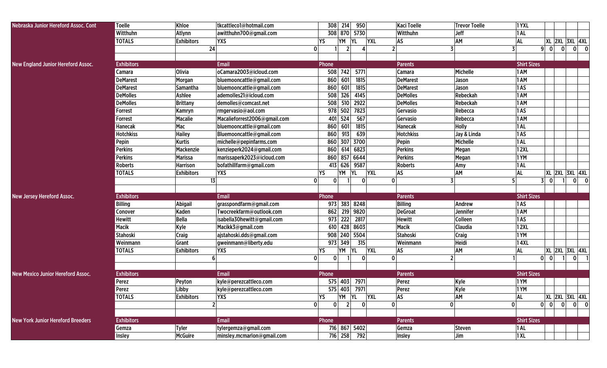| Nebraska Junior Hereford Assoc. Cont      | <b>Toelle</b>     | Khloe             | tkcattleco1@hotmail.com      | 308<br>214                      | 950       |              | <b>Kaci Toelle</b> | <b>Trevor Toelle</b> | <b>1 YXL</b>       |                             |   |                  |  |
|-------------------------------------------|-------------------|-------------------|------------------------------|---------------------------------|-----------|--------------|--------------------|----------------------|--------------------|-----------------------------|---|------------------|--|
|                                           | Witthuhn          | Atlynn            | awitthuhn700@gmail.com       | 308 870                         | 5730      |              | Witthuhn           | Jeff                 | 1AL                |                             |   |                  |  |
|                                           | <b>TOTALS</b>     | <b>Exhibitors</b> | <b>YXS</b>                   | YΜ<br>YS                        | <b>YL</b> | <b>YXL</b>   | AS                 | AM                   | <b>AL</b>          | <b>XL 2XL 3XL 4XL</b>       |   |                  |  |
|                                           |                   | 24                |                              | 0                               |           |              | 2 <sup>1</sup>     |                      |                    | 9 <sup>1</sup><br> 0        | 0 | $\overline{0}$ 0 |  |
|                                           |                   |                   |                              |                                 |           |              |                    |                      |                    |                             |   |                  |  |
| <b>New England Junior Hereford Assoc.</b> | <b>Exhibitors</b> |                   | <b>Email</b>                 | Phone                           |           |              | <b>Parents</b>     |                      | <b>Shirt Sizes</b> |                             |   |                  |  |
|                                           | Camara            | <b>Olivia</b>     | oCamara2003@icloud.com       | 508<br>742                      | 5771      |              | Camara             | Michelle             | 1 AM               |                             |   |                  |  |
|                                           | <b>DeMarest</b>   | Morgan            | bluemooncattle@gmail.com     | 860<br>601                      | 1815      |              | <b>DeMarest</b>    | Jason                | 1 AM               |                             |   |                  |  |
|                                           | <b>DeMarest</b>   | Samantha          | bluemooncattle@gmail.com     | 860<br>601                      | 1815      |              | <b>DeMarest</b>    | Jason                | 1AS                |                             |   |                  |  |
|                                           | <b>DeMolles</b>   | Ashlee            | ademolles21@icloud.com       | 508<br>326                      | 4145      |              | <b>DeMolles</b>    | Rebeckah             | 1 AM               |                             |   |                  |  |
|                                           | <b>DeMolles</b>   | <b>Brittany</b>   | demolles@comcast.net         | 508<br>510                      | 2922      |              | <b>DeMolles</b>    | Rebeckah             | 1 AM               |                             |   |                  |  |
|                                           | Forrest           | Kamryn            | rmgervasio@aol.com           | 502<br>978                      | 7823      |              | Gervasio           | Rebecca              | 1AS                |                             |   |                  |  |
|                                           | Forrest           | <b>Macalie</b>    | Macalieforrest2006@gmail.com | 524<br>401                      | 567       |              | Gervasio           | Rebecca              | 1 AM               |                             |   |                  |  |
|                                           | <b>Hanecak</b>    | Mac               | bluemooncattle@gmail.com     | 860<br>601                      | 1815      |              | <b>Hanecak</b>     | <b>Holly</b>         | 1AL                |                             |   |                  |  |
|                                           | <b>Hotchkiss</b>  | <b>Hailey</b>     | Bluemooncattle@gmail.com     | 913<br>860                      | 639       |              | <b>Hotchkiss</b>   | Jay & Linda          | 1AS                |                             |   |                  |  |
|                                           | Pepin             | <b>Kurtis</b>     | michelle@pepinfarms.com      | 860<br>307                      | 3700      |              | Pepin              | Michelle             | 1AL                |                             |   |                  |  |
|                                           | <b>Perkins</b>    | Mackenzie         | kenzieperk2024@gmail.com     | 860<br>614                      | 6823      |              | <b>Perkins</b>     | Megan                | <b>12XL</b>        |                             |   |                  |  |
|                                           | <b>Perkins</b>    | <b>Marissa</b>    | marissaperk2023@icloud.com   | 860                             | 857 6644  |              | <b>Perkins</b>     | Megan                | 1YM                |                             |   |                  |  |
|                                           | <b>Roberts</b>    | <b>Harrison</b>   | bofathillfarm@gmail.com      | 413<br>626                      | 9587      |              | <b>Roberts</b>     | Amy                  | 1AL                |                             |   |                  |  |
|                                           | <b>TOTALS</b>     | <b>Exhibitors</b> | <b>YXS</b>                   | YS<br>YΜ                        | YL        | <b>YXL</b>   | AS                 | AM                   | <b>AL</b>          | <b>XL 2XL 3XL 4XL</b>       |   |                  |  |
|                                           |                   | 13                |                              | 0<br>0                          |           | $\mathbf{0}$ | 0                  |                      | 5                  | 31<br>$\mathbf{0}$          |   | $0\qquad$ 0      |  |
|                                           |                   |                   |                              |                                 |           |              |                    |                      |                    |                             |   |                  |  |
| <b>New Jersey Hereford Assoc.</b>         | <b>Exhibitors</b> |                   | Email                        | Phone                           |           |              | <b>Parents</b>     |                      | <b>Shirt Sizes</b> |                             |   |                  |  |
|                                           | <b>Billing</b>    | <b>Abigail</b>    | grasspondfarm@gmail.com      | 973                             | 383 8248  |              | <b>Billing</b>     | Andrew               | 1AS                |                             |   |                  |  |
|                                           | Conover           | Kaden             | Twocreekfarm@outlook.com     | 862                             | 219 9820  |              | <b>DeGroat</b>     | Jennifer             | 1 AM               |                             |   |                  |  |
|                                           | <b>Hewitt</b>     | <b>Bella</b>      | isabella30hewitt@gmail.com   | 222<br>973                      | 2817      |              | <b>Hewitt</b>      | Colleen              | 1AS                |                             |   |                  |  |
|                                           | <b>Macik</b>      | <b>Kyle</b>       | Macikk3@gmail.com            | 610                             | 428 8603  |              | Macik              | Claudia              | 12XL               |                             |   |                  |  |
|                                           | <b>Stahoski</b>   | Craig             | ajstahoski.dds@gmail.com     | 908                             | 240 5504  |              | Stahoski           | Craig                | 1YM                |                             |   |                  |  |
|                                           | Weinmann          | Grant             | gweinmann@liberty.edu        | 973 349                         | 315       |              | Weinmann           | Heidi                | 14XL               |                             |   |                  |  |
|                                           | <b>TOTALS</b>     | <b>Exhibitors</b> | <b>YXS</b>                   | YS.<br>YΜ                       | YL        | <b>YXL</b>   | AS                 | AM                   | <b>AL</b>          | <b>XL 2XL 3XL 4XL</b>       |   |                  |  |
|                                           |                   | 6                 |                              | 0<br>$\mathbf{0}$               |           | $\mathbf 0$  | $\mathbf{0}$       | 2 <sup>1</sup>       |                    | $\mathbf{0}$<br>$\mathbf 0$ |   | $\mathbf{0}$     |  |
|                                           |                   |                   |                              |                                 |           |              |                    |                      |                    |                             |   |                  |  |
| <b>New Mexico Junior Hereford Assoc.</b>  | <b>Exhibitors</b> |                   | <b>Email</b>                 | Phone                           |           |              | <b>Parents</b>     |                      | <b>Shirt Sizes</b> |                             |   |                  |  |
|                                           | Perez             | Peyton            | kyle@perezcattleco.com       | 575 403                         | 7971      |              | Perez              | <b>Kyle</b>          | 1YM                |                             |   |                  |  |
|                                           | Perez             | Libby             | kyle@perezcattleco.com       | 575 403 7971                    |           |              | Perez              | Kyle                 | 1YM                |                             |   |                  |  |
|                                           | <b>TOTALS</b>     | <b>Exhibitors</b> | <b>YXS</b>                   | YM YL<br><b>YS</b>              |           | <b>YXL</b>   | AS                 | AM                   | <b>AL</b>          | XL 2XL 3XL 4XL              |   |                  |  |
|                                           |                   | $\overline{2}$    |                              | $2 \mid$<br> 0 <br>$\mathbf{0}$ |           | 0            | 0                  | $\mathbf{0}$         | 0                  | $0$ $0$ $0$                 |   | $0$ 0            |  |
|                                           |                   |                   |                              |                                 |           |              |                    |                      |                    |                             |   |                  |  |
| <b>New York Junior Hereford Breeders</b>  | <b>Exhibitors</b> |                   | <b>Email</b>                 | Phone                           |           |              | <b>Parents</b>     |                      | <b>Shirt Sizes</b> |                             |   |                  |  |
|                                           | Gemza             | <b>Tyler</b>      | tylergemza@gmail.com         | 716 867 5402                    |           |              | Gemza              | <b>Steven</b>        | $ 1$ AL            |                             |   |                  |  |
|                                           | Insley            | <b>McGuire</b>    | minsley.mcmarlon@gmail.com   | 716 258                         | 792       |              | Insley             | Jim                  | 1 XL               |                             |   |                  |  |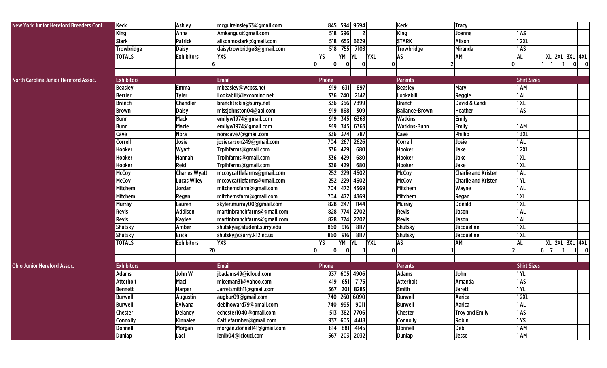| <b>New York Junior Hereford Breeders Cont</b> | Keck              | Ashley               | mcguireinsley33@gmail.com   | 845 594 9694                                 |                         | <b>Keck</b>           | <b>Tracy</b>               |                    |                        |                       |             |   |
|-----------------------------------------------|-------------------|----------------------|-----------------------------|----------------------------------------------|-------------------------|-----------------------|----------------------------|--------------------|------------------------|-----------------------|-------------|---|
|                                               | <b>King</b>       | Anna                 | Amkangus@gmail.com          | 518 396                                      | $\overline{2}$          | <b>King</b>           | Joanne                     | 1AS                |                        |                       |             |   |
|                                               | <b>Stark</b>      | Patrick              | alisonmostark@gmail.com     | 518                                          | 653 6629                | <b>STARK</b>          | Alison                     | <b>12XL</b>        |                        |                       |             |   |
|                                               | Trowbridge        | <b>Daisy</b>         | daisytrowbridge8@gmail.com  | 518<br>755                                   | 7103                    | Trowbridge            | Miranda                    | 1AS                |                        |                       |             |   |
|                                               | <b>TOTALS</b>     | <b>Exhibitors</b>    | <b>YXS</b>                  | YS<br>YΜ                                     | <b>YL</b><br><b>YXL</b> | <b>AS</b>             | <b>AM</b>                  | <b>AL</b>          |                        | <b>XL 2XL 3XL 4XL</b> |             |   |
|                                               |                   |                      | 6                           | $\mathbf 0$<br>$\mathbf{0}$<br>$\bf{0}$      | $\mathbf{0}$            | $\mathbf{0}$          | $\mathbf 0$                |                    |                        |                       | 0           | 0 |
|                                               |                   |                      |                             |                                              |                         |                       |                            |                    |                        |                       |             |   |
| North Carolina Junior Hereford Assoc.         | <b>Exhibitors</b> |                      | <b>Email</b>                | Phone                                        |                         | <b>Parents</b>        |                            | <b>Shirt Sizes</b> |                        |                       |             |   |
|                                               | <b>Beasley</b>    | Emma                 | mbeasley@wcpss.net          | 919<br>631                                   | 897                     | <b>Beasley</b>        | Mary                       | 1 AM               |                        |                       |             |   |
|                                               | <b>Berrier</b>    | <b>Tyler</b>         | Lookabill@lexcominc.net     | 336 240                                      | 2142                    | Lookabill             | Reggie                     | 1AL                |                        |                       |             |   |
|                                               | <b>Branch</b>     | <b>Chandler</b>      | branchtrckin@surry.net      | 336 366 7899                                 |                         | <b>Branch</b>         | David & Candi              | 1XL                |                        |                       |             |   |
|                                               | <b>Brown</b>      | <b>Daisy</b>         | missjohnston04@aol.com      | 919<br>868                                   | 309                     | <b>Ballance-Brown</b> | <b>Heather</b>             | 1AS                |                        |                       |             |   |
|                                               | <b>Bunn</b>       | Mack                 | emilyw1974@gmail.com        | 345<br>919                                   | 6363                    | <b>Watkins</b>        | Emily                      |                    |                        |                       |             |   |
|                                               | <b>Bunn</b>       | <b>Mazie</b>         | emilyw1974@gmail.com        | 919 345 6363                                 |                         | <b>Watkins-Bunn</b>   | Emily                      | 1 AM               |                        |                       |             |   |
|                                               | Cave              | <b>Nora</b>          | noracave7@gmail.com         | 336 374                                      | 787                     | Cave                  | Phillip                    | <b>13XL</b>        |                        |                       |             |   |
|                                               | Correll           | Josie                | josiecarson249@gmail.com    | 704                                          | 267 2626                | <b>Correll</b>        | Josie                      | 1AL                |                        |                       |             |   |
|                                               | Hooker            | Wyatt                | Trplhfarms@gmail.com        | 336 429                                      | 680                     | Hooker                | Jake                       | <b>12XL</b>        |                        |                       |             |   |
|                                               | Hooker            | Hannah               | TrpIhfarms@gmail.com        | 336 429                                      | 680                     | Hooker                | Jake                       | 1 XL               |                        |                       |             |   |
|                                               | Hooker            | Reid                 | TrpIhfarms@gmail.com        | 336<br>429                                   | 680                     | Hooker                | Jake                       | 1XL                |                        |                       |             |   |
|                                               | <b>McCoy</b>      | <b>Charles Wyatt</b> | mccoycattlefarms@gmail.com  | 252 229 4602                                 |                         | <b>McCoy</b>          | <b>Charlie and Kristen</b> | 1AL                |                        |                       |             |   |
|                                               | McCoy             | <b>Lucas Wiley</b>   | mccoycattlefarms@gmail.com  | 252 229 4602                                 |                         | <b>McCoy</b>          | <b>Charlie and Kristen</b> | 1 YL               |                        |                       |             |   |
|                                               | Mitchem           | Jordan               | mitchemsfarm@gmail.com      | 704                                          | 472 4369                | Mitchem               | Wayne                      | 1AL                |                        |                       |             |   |
|                                               | Mitchem           | Regan                | mitchemsfarm@gmail.com      | 704                                          | 472 4369                | Mitchem               | Regan                      | 1 XL               |                        |                       |             |   |
|                                               | <b>Murray</b>     | Lauren               | skyler.murray00@gmail.com   | 828 247                                      | 1144                    | <b>Murray</b>         | <b>Donald</b>              | 1XL                |                        |                       |             |   |
|                                               | <b>Revis</b>      | <b>Addison</b>       | martinbranchfarms@gmail.com | 828                                          | 774 2702                | <b>Revis</b>          | Jason                      | 1AL                |                        |                       |             |   |
|                                               | <b>Revis</b>      | <b>Kaylee</b>        | martinbranchfarms@gmail.com | 828                                          | 774 2702                | Revis                 | Jason                      | 1AL                |                        |                       |             |   |
|                                               | <b>Shutsky</b>    | Amber                | shutskya@student.surry.edu  | 916<br>860                                   | 8117                    | Shutsky               | Jacqueline                 | 1XL                |                        |                       |             |   |
|                                               | Shutsky           | Erica                | shutskyj@surry.k12.nc.us    | 860<br>916                                   | 8117                    | Shutsky               | Jacqueline                 | 1XL                |                        |                       |             |   |
|                                               | <b>TOTALS</b>     | <b>Exhibitors</b>    | <b>YXS</b>                  | YM YL<br>YS                                  | <b>YXL</b>              | AS                    | <b>AM</b>                  | <b>AL</b>          |                        | <b>XL 2XL 3XL 4XL</b> |             |   |
|                                               |                   | 20                   |                             | $\mathbf{0}$<br>$\mathbf{0}$<br>$\mathbf{0}$ |                         | $\mathbf{0}$          | $\mathfrak z$              |                    | 6 <sup>1</sup><br>- 71 |                       | $1 \quad 0$ |   |
|                                               |                   |                      |                             |                                              |                         |                       |                            |                    |                        |                       |             |   |
| <b>Ohio Junior Hereford Assoc.</b>            | <b>Exhibitors</b> |                      | <b>Email</b>                | Phone                                        |                         | Parents               |                            | <b>Shirt Sizes</b> |                        |                       |             |   |
|                                               | <b>Adams</b>      | John W               | jbadams49@icloud.com        | 937 605 4906                                 |                         | Adams                 | John                       | 1YL                |                        |                       |             |   |
|                                               | <b>Atterholt</b>  | Maci                 | miceman31@yahoo.com         | 419<br>651                                   | 7175                    | Atterholt             | Amanda                     | 1AS                |                        |                       |             |   |
|                                               | <b>Bennett</b>    | <b>Harper</b>        | Jarretsmith11@gmail.com     | 567 201 8283                                 |                         | Smith                 | Jarett                     | 1YL                |                        |                       |             |   |
|                                               | <b>Burwell</b>    | Augustin             | augbur09@gmail.com          | 740 260 6090                                 |                         | <b>Burwell</b>        | Aarica                     | <b>12XL</b>        |                        |                       |             |   |
|                                               | <b>Burwell</b>    | <b>Evlyana</b>       | debihoward79@gmail.com      | 740 995 9011                                 |                         | <b>Burwell</b>        | Aarica                     | 1AL                |                        |                       |             |   |
|                                               | <b>Chester</b>    | <b>Delaney</b>       | echester1040@gmail.com      | 513 382 7706                                 |                         | <b>Chester</b>        | <b>Troy and Emily</b>      | 1AS                |                        |                       |             |   |
|                                               | Connolly          | Kinnalee             | Cattlefarmher@gmail.com     | 937 605 4418                                 |                         | <b>Connolly</b>       | Robin                      | 1YS                |                        |                       |             |   |
|                                               | <b>Donnell</b>    | Morgan               | morgan.donnell41@gmail.com  | 814 881 4145                                 |                         | Donnell               | Deb                        | 1 AM               |                        |                       |             |   |
|                                               | Dunlap            | Laci                 | lenib04@icloud.com          | 567 203 2032                                 |                         | <b>Dunlap</b>         | Jesse                      | 1 AM               |                        |                       |             |   |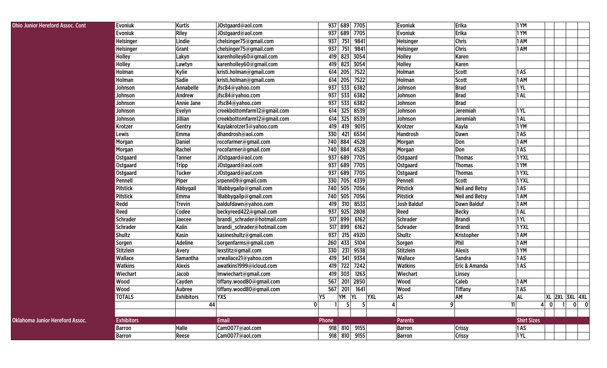| <b>Ohio Junior Hereford Assoc. Cont</b> | Evoniuk           | Kurtis            | JOstgaard@aol.com           | 937 689            | 7705           | <b>Evoniuk</b>     | Erika                 | 1 YM               |                                             |       |
|-----------------------------------------|-------------------|-------------------|-----------------------------|--------------------|----------------|--------------------|-----------------------|--------------------|---------------------------------------------|-------|
|                                         | <b>Evoniuk</b>    | <b>Riley</b>      | JOstgaard@aol.com           | 937 689            | 7705           | <b>Evoniuk</b>     | Erika                 | 1YM                |                                             |       |
|                                         | Helsinger         | Lindie            | chelsinger75@gmail.com      | 751<br>937         | 9841           | Helsinger          | <b>Chris</b>          | 1 AM               |                                             |       |
|                                         | Helsinger         | Grant             | chelsinger75@gmail.com      | 937<br>751         | 9841           | <b>Helsinger</b>   | <b>Chris</b>          | 1 AM               |                                             |       |
|                                         | Holley            | Lakyn             | karenholley60@gmail.com     | 823<br>419         | 3054           | <b>Holley</b>      | Karen                 |                    |                                             |       |
|                                         | Holley            | Lawtyn            | karenholley60@gmail.com     | 823<br>419         | 3054           | Holley             | Karen                 |                    |                                             |       |
|                                         | Holman            | Kylie             | kristi.holman@gmail.com     | 614 205            | 7522           | Holman             | Scott                 | 1AS                |                                             |       |
|                                         | Holman            | Sadie             | kristi.holman@gmail.com     | 614 205            | 7522           | Holman             | <b>Scott</b>          | 1 AM               |                                             |       |
|                                         | Johnson           | Annabelle         | jfsc84@yahoo.com            | 937<br>533         | 6382           | Johnson            | <b>Brad</b>           | 1YL                |                                             |       |
|                                         | Johnson           | Andrew            | jfsc84@yahoo.com            | 533<br>937         | 6382           | Johnson            | <b>Brad</b>           | 1AL                |                                             |       |
|                                         | Johnson           | <b>Annie Jane</b> | Jfsc84@yahoo.com            | 533<br>937         | 6382           | Johnson            | <b>Brad</b>           |                    |                                             |       |
|                                         | Johnson           | Evelyn            | creekbottomfarm12@gmail.com | 325<br>614         | 8539           | Johnson            | Jeremiah              | 1YL                |                                             |       |
|                                         | Johnson           | Jillian           | creekbottomfarm12@gmail.com | 614<br>325         | 8539           | Johnson            | Jeremiah              | 1AL                |                                             |       |
|                                         | Krotzer           | Gentry            | Kaylakrotzer3@yahoo.com     | 419<br>419         | 9015           | Krotzer            | Kayla                 | 1YM                |                                             |       |
|                                         | Lewis             | <b>Emma</b>       | dhandrosh@aol.com           | 330<br>421         | 6534           | <b>Handrosh</b>    | Dawn                  | 1AS                |                                             |       |
|                                         | Morgan            | <b>Daniel</b>     | rocofarmer@gmail.com        | 740 884            | 4528           | Morgan             | Don                   | 1 AM               |                                             |       |
|                                         | Morgan            | Rachel            | rocofarmer@gmail.com        | 740 884            | 4528           | Morgan             | Don                   | 1AS                |                                             |       |
|                                         | Ostgaard          | <b>Tanner</b>     | JOstgaard@aol.com           | 689<br>937         | 7705           | <b>Ostgaard</b>    | <b>Thomas</b>         | 1YXL               |                                             |       |
|                                         | Ostgaard          | <b>Tripp</b>      | JOstgaard@aol.com           | 937 689            | 7705           | <b>Ostgaard</b>    | <b>Thomas</b>         | 1YM                |                                             |       |
|                                         | Ostgaard          | <b>Tucker</b>     | JOstgaard@aol.com           | 937 689            | 7705           | <b>Ostgaard</b>    | <b>Thomas</b>         | 1YXL               |                                             |       |
|                                         | Pennell           | Piper             | srpenn09@gmail.com          | 330 705            | 4339           | Pennell            | <b>Scott</b>          | 1YXL               |                                             |       |
|                                         | <b>Pitstick</b>   | Abbygail          | 18abbygailp@gmail.com       | 740 505            | 7056           | <b>Pitstick</b>    | <b>Neil and Betsy</b> | 1AS                |                                             |       |
|                                         | <b>Pitstick</b>   | Emma              | 18abbygailp@gmail.com       | 505<br>740         | 7056           | <b>Pitstick</b>    | <b>Neil and Betsy</b> | 1 AM               |                                             |       |
|                                         | Redd              | <b>Trevin</b>     | baldufdawn@yahoo.com        | 419<br>310         | 8533           | <b>Josh Balduf</b> | <b>Dawn Balduf</b>    | 1 AM               |                                             |       |
|                                         | Reed              | Codee             | beckyreed422@gmail.com      | 937<br>925         | 2808           | Reed               | <b>Becky</b>          | 1AL                |                                             |       |
|                                         | <b>Schrader</b>   | Jaecee            | brandi_schrader@hotmail.com | 517 899            | 6162           | <b>Schrader</b>    | <b>Brandi</b>         | <b>1YL</b>         |                                             |       |
|                                         | <b>Schrader</b>   | Kalin             | brandi schrader@hotmail.com | 517 899            | 6162           | <b>Schrader</b>    | <b>Brandi</b>         | 1YXL               |                                             |       |
|                                         | <b>Shultz</b>     | Kasin             | kasineshultz@gmail.com      | 937<br>215         | 4920           | <b>Shultz</b>      | Kristopher            | 1 AM               |                                             |       |
|                                         | Sorgen            | Adeline           | Sorgenfarms@gmail.com       | 433<br>260         | 5104           | Sorgen             | Phil                  | 1 AM               |                                             |       |
|                                         | <b>Stitzlein</b>  | Avery             | lexstitz@gmail.com          | 330<br>231         | 9538           | <b>Stitzlein</b>   | Alexis                | 1YM                |                                             |       |
|                                         | Wallace           | Samantha          | srwallace21@yahoo.com       | 419<br>341         | 9334           | Wallace            | Sandra                | 1AS                |                                             |       |
|                                         | <b>Watkins</b>    | <b>Alexis</b>     | awatkins1999@icloud.com     | 722<br>419         | 7242           | <b>Watkins</b>     | Eric & Amanda         | 1AS                |                                             |       |
|                                         | Wiechart          | Jacob             | Imwiechart@gmail.com        | 419<br>303         | 1263           | <b>Wiechart</b>    | Linsey                |                    |                                             |       |
|                                         | Wood              | Cayden            | tiffany.wood80@gmail.com    | 567<br>201         | 2850           | Wood               | <b>Caleb</b>          | 1 AM               |                                             |       |
|                                         | Wood              | Aubree            | tiffany.wood80@gmail.com    | 567<br>201         | 1641           | Wood               | <b>Tiffany</b>        | 1AS                |                                             |       |
|                                         | <b>TOTALS</b>     | <b>Exhibitors</b> | <b>YXS</b>                  | <b>YS</b><br>YM YL | <b>YXL</b>     | <b>AS</b>          | AM                    | AL.                | XL 2XL 3XL 4XL                              |       |
|                                         |                   |                   | 44                          | $\mathbf 0$<br>5   | 5 <sup>1</sup> |                    | 9                     | 11                 | $\vert$ 1<br>$\overline{0}$<br>$\mathbf{A}$ | $0$ 0 |
|                                         | <b>Exhibitors</b> |                   | <b>Email</b>                | Phone              |                | <b>Parents</b>     |                       | <b>Shirt Sizes</b> |                                             |       |
|                                         |                   |                   |                             |                    |                |                    |                       |                    |                                             |       |
| <b>Oklahoma Junior Hereford Assoc.</b>  | <b>Barron</b>     | <b>Halle</b>      | Cam0077@aol.com             | 918 810 9155       |                | <b>Barron</b>      | <b>Crissy</b>         | 1AS                |                                             |       |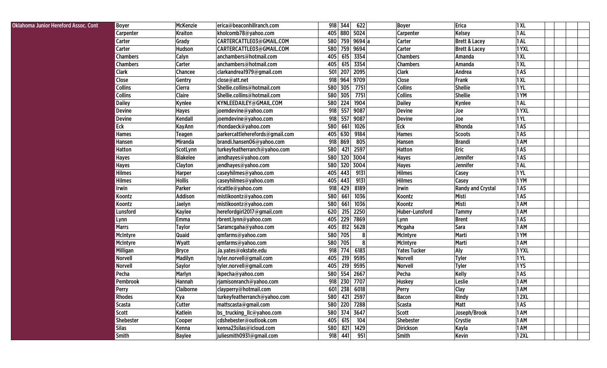| 1AL<br><b>Kraiton</b><br>405<br>880 5024<br>Kelsey<br>kholcomb78@yahoo.com<br><b>Carpenter</b><br>Carpenter<br>759 9694 a<br>1AL<br>Grady<br>CARTERCATTLE03@GMAIL.COM<br>580<br>Carter<br><b>Brett &amp; Lacey</b><br>Carter<br>759 9694<br><b>Carter</b><br>1YXL<br>Carter<br>Hudson<br>CARTERCATTLE03@GMAIL.COM<br>580<br><b>Brett &amp; Lacey</b><br><b>Calyn</b><br>405<br>3354<br>1XL<br><b>Chambers</b><br>anchambers@hotmail.com<br>615<br><b>Chambers</b><br>Amanda<br>3354<br>1XL<br><b>Chambers</b><br>anchambers@hotmail.com<br>405<br>615<br><b>Carter</b><br><b>Chambers</b><br>Amanda<br>501<br>207<br>1AS<br><b>Clark</b><br>Chancee<br>clarkandrea1979@gmail.com<br>2095<br><b>Clark</b><br>Andrea<br>Close<br>918<br>964<br>9709<br>1XL<br>Gentry<br>close@att.net<br>Close<br>Frank<br>580<br><b>Collins</b><br>1YL<br><b>Collins</b><br>Shellie.collins@hotmail.com<br>305<br>7751<br><b>Shellie</b><br><b>Cierra</b><br><b>Claire</b><br>580<br>7751<br>Shellie<br>1YM<br><b>Collins</b><br>Shellie.collins@hotmail.com<br>305<br><b>Collins</b><br>580<br>224<br>1904<br>1 AL<br><b>Dailey</b><br>Kynlee<br>KYNLEEDAILEY@GMAIL.COM<br><b>Dailey</b><br>Kynlee<br>557<br><b>Devine</b><br>918<br>9087<br><b>Devine</b><br>1YXL<br><b>Hayes</b><br>joemdevine@yahoo.com<br>Joe<br>557<br>Kendall<br>joemdevine@yahoo.com<br>918<br>9087<br><b>Devine</b><br>Joe<br>$1$ YL<br><b>Devine</b><br>Eck<br>580<br>661<br>Eck<br>Rhonda<br><b>KayAnn</b><br>rhondaeck@yahoo.com<br>1026<br>1AS<br>405<br>9184<br>1AS<br><b>Hames</b><br>parkercattleherefords@gmail.com<br>630<br><b>Hames</b><br><b>Scoots</b><br>Teagen<br>869<br>805<br>1 AM<br>Miranda<br>brandi.hansen06@yahoo.com<br>918<br><b>Brandi</b><br>Hansen<br>Hansen<br>580<br>421<br>2597<br>Eric<br>1AS<br><b>Hatton</b><br>ScotLynn<br>turkeyfeatherranch@yahoo.com<br><b>Hatton</b><br><b>Blakelee</b><br>580<br>320 3004<br>1AS<br><b>Hayes</b><br>jendhayes@yahoo.com<br><b>Hayes</b><br>Jennifer<br>580<br>320<br>3004<br>jendhayes@yahoo.com<br>$ 1$ AL<br><b>Hayes</b><br><b>Clayton</b><br><b>Hayes</b><br>Jennifer<br><b>Hilmes</b><br>443<br>1YL<br><b>Harper</b><br>caseyhilmes@yahoo.com<br>405<br>9131<br><b>Hilmes</b><br>Casey<br><b>Hilmes</b><br><b>Hollis</b><br>405<br>9131<br>1YM<br>caseyhilmes@yahoo.com<br>443<br><b>Hilmes</b><br>Casey<br>429<br>8189<br>Irwin<br>Irwin<br>Parker<br>918<br><b>Randy and Crystal</b><br>$\vert$ 1 AS<br>ricattle@yahoo.com<br>1036<br>1AS<br>Addison<br>580<br>661<br>Misti<br>Koontz<br>mistikoontz@yahoo.com<br>Koontz<br>580<br>661<br>1036<br>Misti<br>1 AM<br>Koontz<br>Jaelyn<br>mistikoontz@yahoo.com<br>Koontz<br>620<br>2250<br>1 AM<br>Kaylee<br>herefordgirl2017@gmail.com<br>215<br>Huber-Lunsford<br>Lunsford<br><b>Tammy</b><br>229<br>7869<br>rbrent.lynn@yahoo.com<br>405<br>1AS<br><b>Emma</b><br><b>Brent</b><br>Lynn<br>Lynn<br>405<br>5628<br>1 AM<br><b>Marrs</b><br><b>Taylor</b><br>812<br>Mcgaha<br>Sara<br>Saramcgaha@yahoo.com<br>580<br>Quaid<br>705<br>Marti<br>1YM<br>qmfarms@yahoo.com<br>McIntyre<br>McIntyre<br>580<br>Marti<br><b>1 AM</b><br>Wyatt<br>705<br>McIntyre<br>McIntyre<br>qmfarms@yahoo.com<br>774<br>6183<br><b>Yates Tucker</b><br>Aly<br>1YXL<br>Milligan<br><b>Bryce</b><br>Ja.yates@okstate.edu<br>918<br>Madilyn<br>219<br>9595<br>1YL<br>Norvell<br>tyler.norvell@gmail.com<br>405<br><b>Tyler</b><br>Norvell<br>219<br>tyler.norvell@gmail.com<br>405<br>9595<br>Norvell<br>Tyler<br>1 <sub>Y</sub><br>Norvell<br><b>Saylor</b><br>554<br>2667<br>Pecha<br>Marlyn<br>lkpecha@yahoo.com<br>580<br><b>Kelly</b><br>$\vert$ 1 AS<br>Pecha<br>918<br>230<br>Pembrook<br>Hannah<br>rjamisonranch@yahoo.com<br>7707<br><b>Huskey</b><br>Leslie<br>1 AM<br>238<br>1 AM<br><b>Claiborne</b><br>601<br>6018<br><b>Clay</b><br>Perry<br>clayperry@hotmail.com<br><b>Perry</b><br><b>12XL</b><br>Kya<br>421 2597<br>Rindy<br><b>Rhodes</b><br>turkeyfeatherranch@yahoo.com<br>580<br>Bacon<br><b>Cutter</b><br>580<br>220 7288<br>1AS<br><b>Scasta</b><br>mattscasta@gmail.com<br>Scasta<br>Matt<br>Joseph/Brook<br><b>Scott</b><br>Katlein<br>580 374 3647<br>Scott<br>1 AM<br>bs_trucking_llc@yahoo.com<br>cdshebester@outlook.com<br>405<br>615<br>104<br><b>Shebester</b><br>Shebester<br><b>1 AM</b><br>Cooper<br><b>Crystie</b><br><b>Silas</b><br>kenna23silas@icloud.com<br>580<br>821<br>1429<br><b>Dirickson</b><br><b>1 AM</b><br>Kenna<br>Kayla<br>juliesmith0931@gmail.com<br>918<br>441<br><b>Smith</b><br>951<br><b>Baylee</b><br>Smith<br>Kevin<br><b>12XL</b> | Oklahoma Junior Hereford Assoc. Cont | <b>Boyer</b> | McKenzie | erica@beaconhillranch.com | 622<br>918<br>344 | <b>Boyer</b> | Erica | 1 XL |  |  |
|----------------------------------------------------------------------------------------------------------------------------------------------------------------------------------------------------------------------------------------------------------------------------------------------------------------------------------------------------------------------------------------------------------------------------------------------------------------------------------------------------------------------------------------------------------------------------------------------------------------------------------------------------------------------------------------------------------------------------------------------------------------------------------------------------------------------------------------------------------------------------------------------------------------------------------------------------------------------------------------------------------------------------------------------------------------------------------------------------------------------------------------------------------------------------------------------------------------------------------------------------------------------------------------------------------------------------------------------------------------------------------------------------------------------------------------------------------------------------------------------------------------------------------------------------------------------------------------------------------------------------------------------------------------------------------------------------------------------------------------------------------------------------------------------------------------------------------------------------------------------------------------------------------------------------------------------------------------------------------------------------------------------------------------------------------------------------------------------------------------------------------------------------------------------------------------------------------------------------------------------------------------------------------------------------------------------------------------------------------------------------------------------------------------------------------------------------------------------------------------------------------------------------------------------------------------------------------------------------------------------------------------------------------------------------------------------------------------------------------------------------------------------------------------------------------------------------------------------------------------------------------------------------------------------------------------------------------------------------------------------------------------------------------------------------------------------------------------------------------------------------------------------------------------------------------------------------------------------------------------------------------------------------------------------------------------------------------------------------------------------------------------------------------------------------------------------------------------------------------------------------------------------------------------------------------------------------------------------------------------------------------------------------------------------------------------------------------------------------------------------------------------------------------------------------------------------------------------------------------------------------------------------------------------------------------------------------------------------------------------------------------------------------------------------------------------------------------------------------------------------------------------------------------------------------------------------------------------------------------------------------------------------------------------------------------------------------------------------------------------------------------------------------------------------------------------------------------------------------------------------------------------------------------------------------------------|--------------------------------------|--------------|----------|---------------------------|-------------------|--------------|-------|------|--|--|
|                                                                                                                                                                                                                                                                                                                                                                                                                                                                                                                                                                                                                                                                                                                                                                                                                                                                                                                                                                                                                                                                                                                                                                                                                                                                                                                                                                                                                                                                                                                                                                                                                                                                                                                                                                                                                                                                                                                                                                                                                                                                                                                                                                                                                                                                                                                                                                                                                                                                                                                                                                                                                                                                                                                                                                                                                                                                                                                                                                                                                                                                                                                                                                                                                                                                                                                                                                                                                                                                                                                                                                                                                                                                                                                                                                                                                                                                                                                                                                                                                                                                                                                                                                                                                                                                                                                                                                                                                                                                                                                                                                |                                      |              |          |                           |                   |              |       |      |  |  |
|                                                                                                                                                                                                                                                                                                                                                                                                                                                                                                                                                                                                                                                                                                                                                                                                                                                                                                                                                                                                                                                                                                                                                                                                                                                                                                                                                                                                                                                                                                                                                                                                                                                                                                                                                                                                                                                                                                                                                                                                                                                                                                                                                                                                                                                                                                                                                                                                                                                                                                                                                                                                                                                                                                                                                                                                                                                                                                                                                                                                                                                                                                                                                                                                                                                                                                                                                                                                                                                                                                                                                                                                                                                                                                                                                                                                                                                                                                                                                                                                                                                                                                                                                                                                                                                                                                                                                                                                                                                                                                                                                                |                                      |              |          |                           |                   |              |       |      |  |  |
|                                                                                                                                                                                                                                                                                                                                                                                                                                                                                                                                                                                                                                                                                                                                                                                                                                                                                                                                                                                                                                                                                                                                                                                                                                                                                                                                                                                                                                                                                                                                                                                                                                                                                                                                                                                                                                                                                                                                                                                                                                                                                                                                                                                                                                                                                                                                                                                                                                                                                                                                                                                                                                                                                                                                                                                                                                                                                                                                                                                                                                                                                                                                                                                                                                                                                                                                                                                                                                                                                                                                                                                                                                                                                                                                                                                                                                                                                                                                                                                                                                                                                                                                                                                                                                                                                                                                                                                                                                                                                                                                                                |                                      |              |          |                           |                   |              |       |      |  |  |
|                                                                                                                                                                                                                                                                                                                                                                                                                                                                                                                                                                                                                                                                                                                                                                                                                                                                                                                                                                                                                                                                                                                                                                                                                                                                                                                                                                                                                                                                                                                                                                                                                                                                                                                                                                                                                                                                                                                                                                                                                                                                                                                                                                                                                                                                                                                                                                                                                                                                                                                                                                                                                                                                                                                                                                                                                                                                                                                                                                                                                                                                                                                                                                                                                                                                                                                                                                                                                                                                                                                                                                                                                                                                                                                                                                                                                                                                                                                                                                                                                                                                                                                                                                                                                                                                                                                                                                                                                                                                                                                                                                |                                      |              |          |                           |                   |              |       |      |  |  |
|                                                                                                                                                                                                                                                                                                                                                                                                                                                                                                                                                                                                                                                                                                                                                                                                                                                                                                                                                                                                                                                                                                                                                                                                                                                                                                                                                                                                                                                                                                                                                                                                                                                                                                                                                                                                                                                                                                                                                                                                                                                                                                                                                                                                                                                                                                                                                                                                                                                                                                                                                                                                                                                                                                                                                                                                                                                                                                                                                                                                                                                                                                                                                                                                                                                                                                                                                                                                                                                                                                                                                                                                                                                                                                                                                                                                                                                                                                                                                                                                                                                                                                                                                                                                                                                                                                                                                                                                                                                                                                                                                                |                                      |              |          |                           |                   |              |       |      |  |  |
|                                                                                                                                                                                                                                                                                                                                                                                                                                                                                                                                                                                                                                                                                                                                                                                                                                                                                                                                                                                                                                                                                                                                                                                                                                                                                                                                                                                                                                                                                                                                                                                                                                                                                                                                                                                                                                                                                                                                                                                                                                                                                                                                                                                                                                                                                                                                                                                                                                                                                                                                                                                                                                                                                                                                                                                                                                                                                                                                                                                                                                                                                                                                                                                                                                                                                                                                                                                                                                                                                                                                                                                                                                                                                                                                                                                                                                                                                                                                                                                                                                                                                                                                                                                                                                                                                                                                                                                                                                                                                                                                                                |                                      |              |          |                           |                   |              |       |      |  |  |
|                                                                                                                                                                                                                                                                                                                                                                                                                                                                                                                                                                                                                                                                                                                                                                                                                                                                                                                                                                                                                                                                                                                                                                                                                                                                                                                                                                                                                                                                                                                                                                                                                                                                                                                                                                                                                                                                                                                                                                                                                                                                                                                                                                                                                                                                                                                                                                                                                                                                                                                                                                                                                                                                                                                                                                                                                                                                                                                                                                                                                                                                                                                                                                                                                                                                                                                                                                                                                                                                                                                                                                                                                                                                                                                                                                                                                                                                                                                                                                                                                                                                                                                                                                                                                                                                                                                                                                                                                                                                                                                                                                |                                      |              |          |                           |                   |              |       |      |  |  |
|                                                                                                                                                                                                                                                                                                                                                                                                                                                                                                                                                                                                                                                                                                                                                                                                                                                                                                                                                                                                                                                                                                                                                                                                                                                                                                                                                                                                                                                                                                                                                                                                                                                                                                                                                                                                                                                                                                                                                                                                                                                                                                                                                                                                                                                                                                                                                                                                                                                                                                                                                                                                                                                                                                                                                                                                                                                                                                                                                                                                                                                                                                                                                                                                                                                                                                                                                                                                                                                                                                                                                                                                                                                                                                                                                                                                                                                                                                                                                                                                                                                                                                                                                                                                                                                                                                                                                                                                                                                                                                                                                                |                                      |              |          |                           |                   |              |       |      |  |  |
|                                                                                                                                                                                                                                                                                                                                                                                                                                                                                                                                                                                                                                                                                                                                                                                                                                                                                                                                                                                                                                                                                                                                                                                                                                                                                                                                                                                                                                                                                                                                                                                                                                                                                                                                                                                                                                                                                                                                                                                                                                                                                                                                                                                                                                                                                                                                                                                                                                                                                                                                                                                                                                                                                                                                                                                                                                                                                                                                                                                                                                                                                                                                                                                                                                                                                                                                                                                                                                                                                                                                                                                                                                                                                                                                                                                                                                                                                                                                                                                                                                                                                                                                                                                                                                                                                                                                                                                                                                                                                                                                                                |                                      |              |          |                           |                   |              |       |      |  |  |
|                                                                                                                                                                                                                                                                                                                                                                                                                                                                                                                                                                                                                                                                                                                                                                                                                                                                                                                                                                                                                                                                                                                                                                                                                                                                                                                                                                                                                                                                                                                                                                                                                                                                                                                                                                                                                                                                                                                                                                                                                                                                                                                                                                                                                                                                                                                                                                                                                                                                                                                                                                                                                                                                                                                                                                                                                                                                                                                                                                                                                                                                                                                                                                                                                                                                                                                                                                                                                                                                                                                                                                                                                                                                                                                                                                                                                                                                                                                                                                                                                                                                                                                                                                                                                                                                                                                                                                                                                                                                                                                                                                |                                      |              |          |                           |                   |              |       |      |  |  |
|                                                                                                                                                                                                                                                                                                                                                                                                                                                                                                                                                                                                                                                                                                                                                                                                                                                                                                                                                                                                                                                                                                                                                                                                                                                                                                                                                                                                                                                                                                                                                                                                                                                                                                                                                                                                                                                                                                                                                                                                                                                                                                                                                                                                                                                                                                                                                                                                                                                                                                                                                                                                                                                                                                                                                                                                                                                                                                                                                                                                                                                                                                                                                                                                                                                                                                                                                                                                                                                                                                                                                                                                                                                                                                                                                                                                                                                                                                                                                                                                                                                                                                                                                                                                                                                                                                                                                                                                                                                                                                                                                                |                                      |              |          |                           |                   |              |       |      |  |  |
|                                                                                                                                                                                                                                                                                                                                                                                                                                                                                                                                                                                                                                                                                                                                                                                                                                                                                                                                                                                                                                                                                                                                                                                                                                                                                                                                                                                                                                                                                                                                                                                                                                                                                                                                                                                                                                                                                                                                                                                                                                                                                                                                                                                                                                                                                                                                                                                                                                                                                                                                                                                                                                                                                                                                                                                                                                                                                                                                                                                                                                                                                                                                                                                                                                                                                                                                                                                                                                                                                                                                                                                                                                                                                                                                                                                                                                                                                                                                                                                                                                                                                                                                                                                                                                                                                                                                                                                                                                                                                                                                                                |                                      |              |          |                           |                   |              |       |      |  |  |
|                                                                                                                                                                                                                                                                                                                                                                                                                                                                                                                                                                                                                                                                                                                                                                                                                                                                                                                                                                                                                                                                                                                                                                                                                                                                                                                                                                                                                                                                                                                                                                                                                                                                                                                                                                                                                                                                                                                                                                                                                                                                                                                                                                                                                                                                                                                                                                                                                                                                                                                                                                                                                                                                                                                                                                                                                                                                                                                                                                                                                                                                                                                                                                                                                                                                                                                                                                                                                                                                                                                                                                                                                                                                                                                                                                                                                                                                                                                                                                                                                                                                                                                                                                                                                                                                                                                                                                                                                                                                                                                                                                |                                      |              |          |                           |                   |              |       |      |  |  |
|                                                                                                                                                                                                                                                                                                                                                                                                                                                                                                                                                                                                                                                                                                                                                                                                                                                                                                                                                                                                                                                                                                                                                                                                                                                                                                                                                                                                                                                                                                                                                                                                                                                                                                                                                                                                                                                                                                                                                                                                                                                                                                                                                                                                                                                                                                                                                                                                                                                                                                                                                                                                                                                                                                                                                                                                                                                                                                                                                                                                                                                                                                                                                                                                                                                                                                                                                                                                                                                                                                                                                                                                                                                                                                                                                                                                                                                                                                                                                                                                                                                                                                                                                                                                                                                                                                                                                                                                                                                                                                                                                                |                                      |              |          |                           |                   |              |       |      |  |  |
|                                                                                                                                                                                                                                                                                                                                                                                                                                                                                                                                                                                                                                                                                                                                                                                                                                                                                                                                                                                                                                                                                                                                                                                                                                                                                                                                                                                                                                                                                                                                                                                                                                                                                                                                                                                                                                                                                                                                                                                                                                                                                                                                                                                                                                                                                                                                                                                                                                                                                                                                                                                                                                                                                                                                                                                                                                                                                                                                                                                                                                                                                                                                                                                                                                                                                                                                                                                                                                                                                                                                                                                                                                                                                                                                                                                                                                                                                                                                                                                                                                                                                                                                                                                                                                                                                                                                                                                                                                                                                                                                                                |                                      |              |          |                           |                   |              |       |      |  |  |
|                                                                                                                                                                                                                                                                                                                                                                                                                                                                                                                                                                                                                                                                                                                                                                                                                                                                                                                                                                                                                                                                                                                                                                                                                                                                                                                                                                                                                                                                                                                                                                                                                                                                                                                                                                                                                                                                                                                                                                                                                                                                                                                                                                                                                                                                                                                                                                                                                                                                                                                                                                                                                                                                                                                                                                                                                                                                                                                                                                                                                                                                                                                                                                                                                                                                                                                                                                                                                                                                                                                                                                                                                                                                                                                                                                                                                                                                                                                                                                                                                                                                                                                                                                                                                                                                                                                                                                                                                                                                                                                                                                |                                      |              |          |                           |                   |              |       |      |  |  |
|                                                                                                                                                                                                                                                                                                                                                                                                                                                                                                                                                                                                                                                                                                                                                                                                                                                                                                                                                                                                                                                                                                                                                                                                                                                                                                                                                                                                                                                                                                                                                                                                                                                                                                                                                                                                                                                                                                                                                                                                                                                                                                                                                                                                                                                                                                                                                                                                                                                                                                                                                                                                                                                                                                                                                                                                                                                                                                                                                                                                                                                                                                                                                                                                                                                                                                                                                                                                                                                                                                                                                                                                                                                                                                                                                                                                                                                                                                                                                                                                                                                                                                                                                                                                                                                                                                                                                                                                                                                                                                                                                                |                                      |              |          |                           |                   |              |       |      |  |  |
|                                                                                                                                                                                                                                                                                                                                                                                                                                                                                                                                                                                                                                                                                                                                                                                                                                                                                                                                                                                                                                                                                                                                                                                                                                                                                                                                                                                                                                                                                                                                                                                                                                                                                                                                                                                                                                                                                                                                                                                                                                                                                                                                                                                                                                                                                                                                                                                                                                                                                                                                                                                                                                                                                                                                                                                                                                                                                                                                                                                                                                                                                                                                                                                                                                                                                                                                                                                                                                                                                                                                                                                                                                                                                                                                                                                                                                                                                                                                                                                                                                                                                                                                                                                                                                                                                                                                                                                                                                                                                                                                                                |                                      |              |          |                           |                   |              |       |      |  |  |
|                                                                                                                                                                                                                                                                                                                                                                                                                                                                                                                                                                                                                                                                                                                                                                                                                                                                                                                                                                                                                                                                                                                                                                                                                                                                                                                                                                                                                                                                                                                                                                                                                                                                                                                                                                                                                                                                                                                                                                                                                                                                                                                                                                                                                                                                                                                                                                                                                                                                                                                                                                                                                                                                                                                                                                                                                                                                                                                                                                                                                                                                                                                                                                                                                                                                                                                                                                                                                                                                                                                                                                                                                                                                                                                                                                                                                                                                                                                                                                                                                                                                                                                                                                                                                                                                                                                                                                                                                                                                                                                                                                |                                      |              |          |                           |                   |              |       |      |  |  |
|                                                                                                                                                                                                                                                                                                                                                                                                                                                                                                                                                                                                                                                                                                                                                                                                                                                                                                                                                                                                                                                                                                                                                                                                                                                                                                                                                                                                                                                                                                                                                                                                                                                                                                                                                                                                                                                                                                                                                                                                                                                                                                                                                                                                                                                                                                                                                                                                                                                                                                                                                                                                                                                                                                                                                                                                                                                                                                                                                                                                                                                                                                                                                                                                                                                                                                                                                                                                                                                                                                                                                                                                                                                                                                                                                                                                                                                                                                                                                                                                                                                                                                                                                                                                                                                                                                                                                                                                                                                                                                                                                                |                                      |              |          |                           |                   |              |       |      |  |  |
|                                                                                                                                                                                                                                                                                                                                                                                                                                                                                                                                                                                                                                                                                                                                                                                                                                                                                                                                                                                                                                                                                                                                                                                                                                                                                                                                                                                                                                                                                                                                                                                                                                                                                                                                                                                                                                                                                                                                                                                                                                                                                                                                                                                                                                                                                                                                                                                                                                                                                                                                                                                                                                                                                                                                                                                                                                                                                                                                                                                                                                                                                                                                                                                                                                                                                                                                                                                                                                                                                                                                                                                                                                                                                                                                                                                                                                                                                                                                                                                                                                                                                                                                                                                                                                                                                                                                                                                                                                                                                                                                                                |                                      |              |          |                           |                   |              |       |      |  |  |
|                                                                                                                                                                                                                                                                                                                                                                                                                                                                                                                                                                                                                                                                                                                                                                                                                                                                                                                                                                                                                                                                                                                                                                                                                                                                                                                                                                                                                                                                                                                                                                                                                                                                                                                                                                                                                                                                                                                                                                                                                                                                                                                                                                                                                                                                                                                                                                                                                                                                                                                                                                                                                                                                                                                                                                                                                                                                                                                                                                                                                                                                                                                                                                                                                                                                                                                                                                                                                                                                                                                                                                                                                                                                                                                                                                                                                                                                                                                                                                                                                                                                                                                                                                                                                                                                                                                                                                                                                                                                                                                                                                |                                      |              |          |                           |                   |              |       |      |  |  |
|                                                                                                                                                                                                                                                                                                                                                                                                                                                                                                                                                                                                                                                                                                                                                                                                                                                                                                                                                                                                                                                                                                                                                                                                                                                                                                                                                                                                                                                                                                                                                                                                                                                                                                                                                                                                                                                                                                                                                                                                                                                                                                                                                                                                                                                                                                                                                                                                                                                                                                                                                                                                                                                                                                                                                                                                                                                                                                                                                                                                                                                                                                                                                                                                                                                                                                                                                                                                                                                                                                                                                                                                                                                                                                                                                                                                                                                                                                                                                                                                                                                                                                                                                                                                                                                                                                                                                                                                                                                                                                                                                                |                                      |              |          |                           |                   |              |       |      |  |  |
|                                                                                                                                                                                                                                                                                                                                                                                                                                                                                                                                                                                                                                                                                                                                                                                                                                                                                                                                                                                                                                                                                                                                                                                                                                                                                                                                                                                                                                                                                                                                                                                                                                                                                                                                                                                                                                                                                                                                                                                                                                                                                                                                                                                                                                                                                                                                                                                                                                                                                                                                                                                                                                                                                                                                                                                                                                                                                                                                                                                                                                                                                                                                                                                                                                                                                                                                                                                                                                                                                                                                                                                                                                                                                                                                                                                                                                                                                                                                                                                                                                                                                                                                                                                                                                                                                                                                                                                                                                                                                                                                                                |                                      |              |          |                           |                   |              |       |      |  |  |
|                                                                                                                                                                                                                                                                                                                                                                                                                                                                                                                                                                                                                                                                                                                                                                                                                                                                                                                                                                                                                                                                                                                                                                                                                                                                                                                                                                                                                                                                                                                                                                                                                                                                                                                                                                                                                                                                                                                                                                                                                                                                                                                                                                                                                                                                                                                                                                                                                                                                                                                                                                                                                                                                                                                                                                                                                                                                                                                                                                                                                                                                                                                                                                                                                                                                                                                                                                                                                                                                                                                                                                                                                                                                                                                                                                                                                                                                                                                                                                                                                                                                                                                                                                                                                                                                                                                                                                                                                                                                                                                                                                |                                      |              |          |                           |                   |              |       |      |  |  |
|                                                                                                                                                                                                                                                                                                                                                                                                                                                                                                                                                                                                                                                                                                                                                                                                                                                                                                                                                                                                                                                                                                                                                                                                                                                                                                                                                                                                                                                                                                                                                                                                                                                                                                                                                                                                                                                                                                                                                                                                                                                                                                                                                                                                                                                                                                                                                                                                                                                                                                                                                                                                                                                                                                                                                                                                                                                                                                                                                                                                                                                                                                                                                                                                                                                                                                                                                                                                                                                                                                                                                                                                                                                                                                                                                                                                                                                                                                                                                                                                                                                                                                                                                                                                                                                                                                                                                                                                                                                                                                                                                                |                                      |              |          |                           |                   |              |       |      |  |  |
|                                                                                                                                                                                                                                                                                                                                                                                                                                                                                                                                                                                                                                                                                                                                                                                                                                                                                                                                                                                                                                                                                                                                                                                                                                                                                                                                                                                                                                                                                                                                                                                                                                                                                                                                                                                                                                                                                                                                                                                                                                                                                                                                                                                                                                                                                                                                                                                                                                                                                                                                                                                                                                                                                                                                                                                                                                                                                                                                                                                                                                                                                                                                                                                                                                                                                                                                                                                                                                                                                                                                                                                                                                                                                                                                                                                                                                                                                                                                                                                                                                                                                                                                                                                                                                                                                                                                                                                                                                                                                                                                                                |                                      |              |          |                           |                   |              |       |      |  |  |
|                                                                                                                                                                                                                                                                                                                                                                                                                                                                                                                                                                                                                                                                                                                                                                                                                                                                                                                                                                                                                                                                                                                                                                                                                                                                                                                                                                                                                                                                                                                                                                                                                                                                                                                                                                                                                                                                                                                                                                                                                                                                                                                                                                                                                                                                                                                                                                                                                                                                                                                                                                                                                                                                                                                                                                                                                                                                                                                                                                                                                                                                                                                                                                                                                                                                                                                                                                                                                                                                                                                                                                                                                                                                                                                                                                                                                                                                                                                                                                                                                                                                                                                                                                                                                                                                                                                                                                                                                                                                                                                                                                |                                      |              |          |                           |                   |              |       |      |  |  |
|                                                                                                                                                                                                                                                                                                                                                                                                                                                                                                                                                                                                                                                                                                                                                                                                                                                                                                                                                                                                                                                                                                                                                                                                                                                                                                                                                                                                                                                                                                                                                                                                                                                                                                                                                                                                                                                                                                                                                                                                                                                                                                                                                                                                                                                                                                                                                                                                                                                                                                                                                                                                                                                                                                                                                                                                                                                                                                                                                                                                                                                                                                                                                                                                                                                                                                                                                                                                                                                                                                                                                                                                                                                                                                                                                                                                                                                                                                                                                                                                                                                                                                                                                                                                                                                                                                                                                                                                                                                                                                                                                                |                                      |              |          |                           |                   |              |       |      |  |  |
|                                                                                                                                                                                                                                                                                                                                                                                                                                                                                                                                                                                                                                                                                                                                                                                                                                                                                                                                                                                                                                                                                                                                                                                                                                                                                                                                                                                                                                                                                                                                                                                                                                                                                                                                                                                                                                                                                                                                                                                                                                                                                                                                                                                                                                                                                                                                                                                                                                                                                                                                                                                                                                                                                                                                                                                                                                                                                                                                                                                                                                                                                                                                                                                                                                                                                                                                                                                                                                                                                                                                                                                                                                                                                                                                                                                                                                                                                                                                                                                                                                                                                                                                                                                                                                                                                                                                                                                                                                                                                                                                                                |                                      |              |          |                           |                   |              |       |      |  |  |
|                                                                                                                                                                                                                                                                                                                                                                                                                                                                                                                                                                                                                                                                                                                                                                                                                                                                                                                                                                                                                                                                                                                                                                                                                                                                                                                                                                                                                                                                                                                                                                                                                                                                                                                                                                                                                                                                                                                                                                                                                                                                                                                                                                                                                                                                                                                                                                                                                                                                                                                                                                                                                                                                                                                                                                                                                                                                                                                                                                                                                                                                                                                                                                                                                                                                                                                                                                                                                                                                                                                                                                                                                                                                                                                                                                                                                                                                                                                                                                                                                                                                                                                                                                                                                                                                                                                                                                                                                                                                                                                                                                |                                      |              |          |                           |                   |              |       |      |  |  |
|                                                                                                                                                                                                                                                                                                                                                                                                                                                                                                                                                                                                                                                                                                                                                                                                                                                                                                                                                                                                                                                                                                                                                                                                                                                                                                                                                                                                                                                                                                                                                                                                                                                                                                                                                                                                                                                                                                                                                                                                                                                                                                                                                                                                                                                                                                                                                                                                                                                                                                                                                                                                                                                                                                                                                                                                                                                                                                                                                                                                                                                                                                                                                                                                                                                                                                                                                                                                                                                                                                                                                                                                                                                                                                                                                                                                                                                                                                                                                                                                                                                                                                                                                                                                                                                                                                                                                                                                                                                                                                                                                                |                                      |              |          |                           |                   |              |       |      |  |  |
|                                                                                                                                                                                                                                                                                                                                                                                                                                                                                                                                                                                                                                                                                                                                                                                                                                                                                                                                                                                                                                                                                                                                                                                                                                                                                                                                                                                                                                                                                                                                                                                                                                                                                                                                                                                                                                                                                                                                                                                                                                                                                                                                                                                                                                                                                                                                                                                                                                                                                                                                                                                                                                                                                                                                                                                                                                                                                                                                                                                                                                                                                                                                                                                                                                                                                                                                                                                                                                                                                                                                                                                                                                                                                                                                                                                                                                                                                                                                                                                                                                                                                                                                                                                                                                                                                                                                                                                                                                                                                                                                                                |                                      |              |          |                           |                   |              |       |      |  |  |
|                                                                                                                                                                                                                                                                                                                                                                                                                                                                                                                                                                                                                                                                                                                                                                                                                                                                                                                                                                                                                                                                                                                                                                                                                                                                                                                                                                                                                                                                                                                                                                                                                                                                                                                                                                                                                                                                                                                                                                                                                                                                                                                                                                                                                                                                                                                                                                                                                                                                                                                                                                                                                                                                                                                                                                                                                                                                                                                                                                                                                                                                                                                                                                                                                                                                                                                                                                                                                                                                                                                                                                                                                                                                                                                                                                                                                                                                                                                                                                                                                                                                                                                                                                                                                                                                                                                                                                                                                                                                                                                                                                |                                      |              |          |                           |                   |              |       |      |  |  |
|                                                                                                                                                                                                                                                                                                                                                                                                                                                                                                                                                                                                                                                                                                                                                                                                                                                                                                                                                                                                                                                                                                                                                                                                                                                                                                                                                                                                                                                                                                                                                                                                                                                                                                                                                                                                                                                                                                                                                                                                                                                                                                                                                                                                                                                                                                                                                                                                                                                                                                                                                                                                                                                                                                                                                                                                                                                                                                                                                                                                                                                                                                                                                                                                                                                                                                                                                                                                                                                                                                                                                                                                                                                                                                                                                                                                                                                                                                                                                                                                                                                                                                                                                                                                                                                                                                                                                                                                                                                                                                                                                                |                                      |              |          |                           |                   |              |       |      |  |  |
|                                                                                                                                                                                                                                                                                                                                                                                                                                                                                                                                                                                                                                                                                                                                                                                                                                                                                                                                                                                                                                                                                                                                                                                                                                                                                                                                                                                                                                                                                                                                                                                                                                                                                                                                                                                                                                                                                                                                                                                                                                                                                                                                                                                                                                                                                                                                                                                                                                                                                                                                                                                                                                                                                                                                                                                                                                                                                                                                                                                                                                                                                                                                                                                                                                                                                                                                                                                                                                                                                                                                                                                                                                                                                                                                                                                                                                                                                                                                                                                                                                                                                                                                                                                                                                                                                                                                                                                                                                                                                                                                                                |                                      |              |          |                           |                   |              |       |      |  |  |
|                                                                                                                                                                                                                                                                                                                                                                                                                                                                                                                                                                                                                                                                                                                                                                                                                                                                                                                                                                                                                                                                                                                                                                                                                                                                                                                                                                                                                                                                                                                                                                                                                                                                                                                                                                                                                                                                                                                                                                                                                                                                                                                                                                                                                                                                                                                                                                                                                                                                                                                                                                                                                                                                                                                                                                                                                                                                                                                                                                                                                                                                                                                                                                                                                                                                                                                                                                                                                                                                                                                                                                                                                                                                                                                                                                                                                                                                                                                                                                                                                                                                                                                                                                                                                                                                                                                                                                                                                                                                                                                                                                |                                      |              |          |                           |                   |              |       |      |  |  |
|                                                                                                                                                                                                                                                                                                                                                                                                                                                                                                                                                                                                                                                                                                                                                                                                                                                                                                                                                                                                                                                                                                                                                                                                                                                                                                                                                                                                                                                                                                                                                                                                                                                                                                                                                                                                                                                                                                                                                                                                                                                                                                                                                                                                                                                                                                                                                                                                                                                                                                                                                                                                                                                                                                                                                                                                                                                                                                                                                                                                                                                                                                                                                                                                                                                                                                                                                                                                                                                                                                                                                                                                                                                                                                                                                                                                                                                                                                                                                                                                                                                                                                                                                                                                                                                                                                                                                                                                                                                                                                                                                                |                                      |              |          |                           |                   |              |       |      |  |  |
|                                                                                                                                                                                                                                                                                                                                                                                                                                                                                                                                                                                                                                                                                                                                                                                                                                                                                                                                                                                                                                                                                                                                                                                                                                                                                                                                                                                                                                                                                                                                                                                                                                                                                                                                                                                                                                                                                                                                                                                                                                                                                                                                                                                                                                                                                                                                                                                                                                                                                                                                                                                                                                                                                                                                                                                                                                                                                                                                                                                                                                                                                                                                                                                                                                                                                                                                                                                                                                                                                                                                                                                                                                                                                                                                                                                                                                                                                                                                                                                                                                                                                                                                                                                                                                                                                                                                                                                                                                                                                                                                                                |                                      |              |          |                           |                   |              |       |      |  |  |
|                                                                                                                                                                                                                                                                                                                                                                                                                                                                                                                                                                                                                                                                                                                                                                                                                                                                                                                                                                                                                                                                                                                                                                                                                                                                                                                                                                                                                                                                                                                                                                                                                                                                                                                                                                                                                                                                                                                                                                                                                                                                                                                                                                                                                                                                                                                                                                                                                                                                                                                                                                                                                                                                                                                                                                                                                                                                                                                                                                                                                                                                                                                                                                                                                                                                                                                                                                                                                                                                                                                                                                                                                                                                                                                                                                                                                                                                                                                                                                                                                                                                                                                                                                                                                                                                                                                                                                                                                                                                                                                                                                |                                      |              |          |                           |                   |              |       |      |  |  |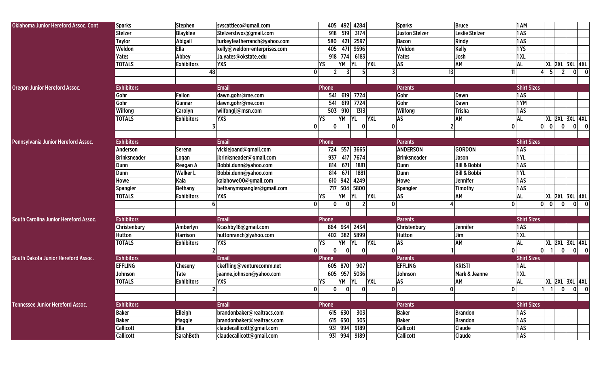| <b>Oklahoma Junior Hereford Assoc. Cont</b>  | <b>Sparks</b>       | <b>Stephen</b>    | svscattleco@gmail.com        |                | 405 492 4284                               | <b>Sparks</b>         | <b>Bruce</b>            | 1 AM               |                                                            |
|----------------------------------------------|---------------------|-------------------|------------------------------|----------------|--------------------------------------------|-----------------------|-------------------------|--------------------|------------------------------------------------------------|
|                                              | <b>Stelzer</b>      | <b>Blayklee</b>   | Stelzerstwos@gmail.com       | 918            | 519<br>3174                                | <b>Juston Stelzer</b> | Leslie Stelzer          | 1AS                |                                                            |
|                                              | <b>Taylor</b>       | Abigail           | turkeyfeatherranch@yahoo.com | 580            | 2597<br>421                                | Bacon                 | Rindy                   | 1AS                |                                                            |
|                                              | Weldon              | Ella              | kelly@weldon-enterprises.com | 405            | 9596<br>471                                | Weldon                | Kelly                   | 1YS                |                                                            |
|                                              |                     |                   |                              |                |                                            |                       |                         |                    |                                                            |
|                                              | Yates               | Abbey             | Ja.yates@okstate.edu         | 918            | 774<br>6183                                | Yates                 | Josh                    | 1 XL               |                                                            |
|                                              | <b>TOTALS</b>       | <b>Exhibitors</b> | <b>YXS</b>                   | YS             | <b>YXL</b><br>YM<br><b>YL</b>              | AS                    | AM                      | <b>AL</b>          | XL 2XL 3XL 4XL                                             |
|                                              |                     | 48                | 0                            | 2 <sup>1</sup> | 5.                                         | 13                    | 11                      |                    | -51<br>$\overline{2}$<br>$\overline{0}$<br> 0 <br>41       |
|                                              |                     |                   |                              |                |                                            |                       |                         |                    |                                                            |
| <b>Oregon Junior Hereford Assoc.</b>         | <b>Exhibitors</b>   |                   | Email                        | Phone          |                                            | <b>Parents</b>        |                         | <b>Shirt Sizes</b> |                                                            |
|                                              | Gohr                | Fallon            | dawn.gohr@me.com             | 541            | 619<br>7724                                | Gohr                  | Dawn                    | 1AS                |                                                            |
|                                              | Gohr                | Gunnar            | dawn.gohr@me.com             | 541            | 7724<br>619                                | Gohr                  | Dawn                    | 1YM                |                                                            |
|                                              | Wilfong             | Carolyn           | wilfonglj@msn.com            | 503            | 910<br>1313                                | Wilfong               | Trisha                  | 1AS                |                                                            |
|                                              | <b>TOTALS</b>       | <b>Exhibitors</b> | <b>YXS</b>                   | YS             | <b>YXL</b><br>YM<br><b>YL</b>              | AS                    | AM                      | <b>AL</b>          | <b>XL 2XL 3XL 4XL</b>                                      |
|                                              |                     |                   | 0                            | $\Omega$       | $\Omega$<br>$\mathbf{0}$                   |                       | $\mathbf{0}$            |                    | 0 <br>$\mathbf{0}$<br>$\Omega$<br>$ 0 $ $ 0 $              |
|                                              |                     |                   |                              |                |                                            |                       |                         |                    |                                                            |
| Pennsylvania Junior Hereford Assoc.          | <b>Exhibitors</b>   |                   | <b>Email</b>                 | Phone          |                                            | <b>Parents</b>        |                         | <b>Shirt Sizes</b> |                                                            |
|                                              | Anderson            | Serena            | vickiejoand@gmail.com        | 724            | 557 3665                                   | <b>ANDERSON</b>       | <b>GORDON</b>           | 1AS                |                                                            |
|                                              | <b>Brinksneader</b> | Logan             | jbrinksneader@gmail.com      | 937            | 7674<br>417                                | <b>Brinksneader</b>   | Jason                   | 1YL                |                                                            |
|                                              | <b>Dunn</b>         | Reagan A          | Bobbi.dunn@yahoo.com         | 814            | 671<br>1881                                | Dunn                  | <b>Bill &amp; Bobbi</b> | 1AS                |                                                            |
|                                              | Dunn                | <b>Walker L</b>   | Bobbi.dunn@yahoo.com         | 814            | 671<br>1881                                | <b>Dunn</b>           | <b>Bill &amp; Bobbi</b> | 1YL                |                                                            |
|                                              | Howe                | Kaia              | kaiahowe00@gmail.com         |                | 610 942 4249                               | Howe                  | Jennifer                | 1AS                |                                                            |
|                                              | Spangler            | <b>Bethany</b>    | bethanymspangler@gmail.com   | 717            | 504<br>5800                                | Spangler              | Timothy                 | 1AS                |                                                            |
|                                              | <b>TOTALS</b>       | <b>Exhibitors</b> | <b>YXS</b>                   | YS             | YΜ<br><b>YXL</b><br><b>YL</b>              | AS                    | <b>AM</b>               | <b>AL</b>          | <b>XL 2XL 3XL 4XL</b>                                      |
|                                              |                     |                   | 0 <br>6                      | $\Omega$       | $\overline{2}$<br>$\mathbf{0}$<br>$\Omega$ |                       | 0                       |                    | $0 \vert 0 \vert$<br> 0 <br> 0 <br>$\overline{\mathbf{0}}$ |
|                                              |                     |                   |                              |                |                                            |                       |                         |                    |                                                            |
| <b>South Carolina Junior Hereford Assoc.</b> | <b>Exhibitors</b>   |                   | <b>Email</b>                 | Phone          |                                            | <b>Parents</b>        |                         | <b>Shirt Sizes</b> |                                                            |
|                                              | Christenbury        | Amberlyn          | Kcashby16@gmail.com          | 864            | 934 2434                                   | Christenbury          | Jennifer                | 1AS                |                                                            |
|                                              | <b>Hutton</b>       | <b>Harrison</b>   | huttonranch@yahoo.com        |                | 402 382 5899                               | Hutton                | Jim                     | 1 XL               |                                                            |
|                                              | <b>TOTALS</b>       | <b>Exhibitors</b> | <b>YXS</b>                   | YS             | YM<br> YL<br><b>YXL</b>                    | AS                    | AM                      | <b>AL</b>          | <b>XL 2XL 3XL 4XL</b>                                      |
|                                              |                     |                   | 0                            | $\mathbf{0}$   | $\Omega$<br> 0 <br>$\mathbf 0$             |                       | $\mathbf{0}$            |                    | $\mathbf{0}$<br> 0 <br>- ol<br>$\overline{0}$              |
| South Dakota Junior Hereford Assoc.          | <b>Exhibitors</b>   |                   | <b>Email</b>                 | Phone          |                                            | <b>Parents</b>        |                         | <b>Shirt Sizes</b> |                                                            |
|                                              | <b>EFFLING</b>      |                   |                              |                | 907                                        | <b>EFFLING</b>        | <b>KRISTI</b>           |                    |                                                            |
|                                              |                     | Cheseny           | ckeffling@venturecomm.net    |                | 605 870                                    |                       |                         | 1AL                |                                                            |
|                                              | Johnson             | Tate              | jeanne.johnson@yahoo.com     |                | 605 957 5036                               | Johnson               | Mark & Jeanne           | 1 XL               |                                                            |
|                                              | <b>TOTALS</b>       | <b>Exhibitors</b> | <b>YXS</b><br>$\mathbf{r}$   | YS             | YM YL<br><b>YXL</b>                        | AS<br>$\Omega$        | <b>AM</b>               | <b>AL</b>          | <b>XL 2XL 3XL 4XL</b>                                      |
|                                              |                     |                   | 0                            | 0              | 0 <br> 0 <br>ΩL                            |                       | $\Omega$                |                    | $1$ $1$ $0$ $0$ $0$                                        |
|                                              |                     |                   |                              |                |                                            |                       |                         |                    |                                                            |
| <b>Tennessee Junior Hereford Assoc.</b>      | <b>Exhibitors</b>   |                   | <b>Email</b>                 | Phone          |                                            | <b>Parents</b>        |                         | <b>Shirt Sizes</b> |                                                            |
|                                              | <b>Baker</b>        | Elleigh           | brandonbaker@realtracs.com   |                | 615 630<br>303                             | <b>Baker</b>          | <b>Brandon</b>          | 1AS                |                                                            |
|                                              | <b>Baker</b>        | <b>Maggie</b>     | brandonbaker@realtracs.com   |                | 615 630<br>303                             | <b>Baker</b>          | <b>Brandon</b>          | 1AS                |                                                            |
|                                              | <b>Callicott</b>    | Ella              | claudecallicott@gmail.com    |                | 931 994 9189                               | <b>Callicott</b>      | <b>Claude</b>           | 1AS                |                                                            |
|                                              | <b>Callicott</b>    | <b>SarahBeth</b>  | claudecallicott@gmail.com    |                | 931 994 9189                               | <b>Callicott</b>      | <b>Claude</b>           | 1AS                |                                                            |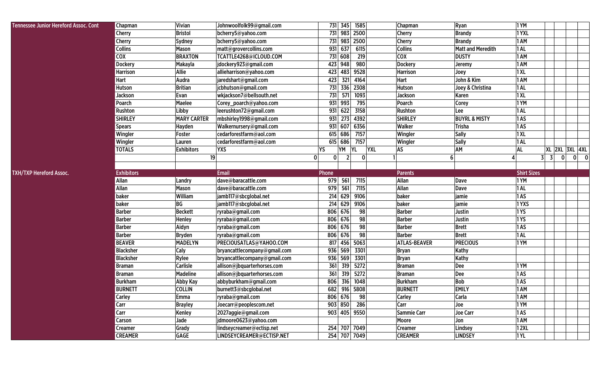| <b>Tennessee Junior Hereford Assoc. Cont</b> | Chapman                   | Vivian               | Johnwoolfolk99@gmail.com                               | 731 345 1585                                         | Chapman                          | Ryan                      | 1YM                 |                 |   |                       |       |
|----------------------------------------------|---------------------------|----------------------|--------------------------------------------------------|------------------------------------------------------|----------------------------------|---------------------------|---------------------|-----------------|---|-----------------------|-------|
|                                              | Cherry                    | <b>Bristol</b>       | bcherry5@yahoo.com                                     | 731 983 2500                                         | <b>Cherry</b>                    | <b>Brandy</b>             | 1YXL                |                 |   |                       |       |
|                                              | <b>Cherry</b>             | Sydney               | bcherry5@yahoo.com                                     | 731 983 2500                                         | <b>Cherry</b>                    | <b>Brandy</b>             | 1 AM                |                 |   |                       |       |
|                                              | <b>Collins</b>            | <b>Mason</b>         | matt@grovercollins.com                                 | 931 637<br>6115                                      | <b>Collins</b>                   | <b>Matt and Meredith</b>  | 1AL                 |                 |   |                       |       |
|                                              | <b>COX</b>                | <b>BRAXTON</b>       | TCATTLE4268@ICLOUD.COM                                 | 731 608<br>219                                       | <b>COX</b>                       | <b>DUSTY</b>              | 1 AM                |                 |   |                       |       |
|                                              | <b>Dockery</b>            | Makayla              | jdockery923@gmail.com                                  | 423 948<br>980                                       | <b>Dockery</b>                   | Jeremy                    | 1AM                 |                 |   |                       |       |
|                                              | <b>Harrison</b>           | Allie                | allieharrison@yahoo.com                                | 483<br>9528<br>423                                   | <b>Harrison</b>                  | Joey                      | 1XL                 |                 |   |                       |       |
|                                              | Hart                      | Audra                | jaredshart@gmail.com                                   | 321<br>423<br>4164                                   | Hart                             | John & Kim                | 1 AM                |                 |   |                       |       |
|                                              | Hutson                    | <b>Britian</b>       | jcbhutson@gmail.com                                    | 731 336<br>2308                                      | <b>Hutson</b>                    | Joey & Christina          | 1AL                 |                 |   |                       |       |
|                                              | Jackson                   | Evan                 | wkjackson7@bellsouth.net                               | 731<br>571<br>1093                                   | Jackson                          | Karen                     | 1XL                 |                 |   |                       |       |
|                                              | Poarch                    | Maelee               | Corey_poarch@yahoo.com                                 | 931 993<br>795                                       | Poarch                           | Corey                     | 1YM                 |                 |   |                       |       |
|                                              | Rushton                   | Libby                | leerushton72@gmail.com                                 | 931 622<br>3158                                      | Rushton                          | Lee                       | 1AL                 |                 |   |                       |       |
|                                              | <b>SHIRLEY</b>            | <b>MARY CARTER</b>   | mbshirley1998@gmail.com                                | 273<br>4392<br>931                                   | <b>SHIRLEY</b>                   | <b>BUYRL &amp; MISTY</b>  | 1AS                 |                 |   |                       |       |
|                                              | <b>Spears</b>             | Hayden               | Walkernursery@gmail.com                                | 931 607<br>6356                                      | Walker                           | <b>Trisha</b>             | 1AS                 |                 |   |                       |       |
|                                              | Wingler                   | Foster               | cedarforestfarm@aol.com                                | 615 686<br>7157                                      | Wingler                          | <b>Sally</b>              | 1XL                 |                 |   |                       |       |
|                                              | Wingler                   | Lauren               | cedarforestfarm@aol.com                                | 7157<br>615 686                                      | Wingler                          | <b>Sally</b>              | 1AL                 |                 |   |                       |       |
|                                              | <b>TOTALS</b>             | <b>Exhibitors</b>    | <b>YXS</b>                                             | YS<br>YM<br><b>YXL</b><br><b>YL</b>                  | <b>AS</b>                        | AM                        | <b>AL</b>           |                 |   | <b>XL 2XL 3XL 4XL</b> |       |
|                                              |                           | 19                   |                                                        | $\mathbf{0}$<br> 0 <br>$\overline{2}$<br>$\mathbf 0$ |                                  | 6                         |                     | $3 \mid 3 \mid$ | 0 |                       | $0$ 0 |
|                                              |                           |                      |                                                        |                                                      |                                  |                           |                     |                 |   |                       |       |
| <b>TXH/TXP Hereford Assoc.</b>               | <b>Exhibitors</b>         |                      | <b>Email</b>                                           | Phone                                                | <b>Parents</b>                   |                           | <b>Shirt Sizes</b>  |                 |   |                       |       |
|                                              | <b>Allan</b>              | Landry               | dave@baracattle.com                                    | 979<br>561<br>7115                                   | Allan                            | <b>Dave</b>               | 1YM                 |                 |   |                       |       |
|                                              | Allan                     | <b>Mason</b>         | dave@baracattle.com                                    | 979<br>561<br>7115                                   | Allan                            | <b>Dave</b>               | 1AL                 |                 |   |                       |       |
|                                              | baker                     | William              | jamb117@sbcglobal.net                                  | $\overline{214}$ 629<br>9106                         | baker                            | jamie                     | 1AS                 |                 |   |                       |       |
|                                              | baker                     | BG                   | jamb117@sbcglobal.net                                  | 214<br>629<br>9106                                   | baker                            | jamie                     | 1YXS                |                 |   |                       |       |
|                                              | <b>Barber</b>             | <b>Beckett</b>       | ryraba@gmail.com                                       | 806 676<br>98                                        | <b>Barber</b>                    | Justin                    | 1 YS                |                 |   |                       |       |
|                                              | <b>Barber</b>             | Henley               | ryraba@gmail.com                                       | 98<br>806 676                                        | <b>Barber</b>                    | Justin                    | 1 YS                |                 |   |                       |       |
|                                              | <b>Barber</b>             | Aidyn                | ryraba@gmail.com                                       | 98<br>806 676                                        | <b>Barber</b>                    | <b>Brett</b>              | 1AS                 |                 |   |                       |       |
|                                              | <b>Barber</b>             | <b>Bryden</b>        | ryraba@gmail.com                                       | 806 676<br>98                                        | <b>Barber</b>                    | <b>Brett</b>              | 1AL                 |                 |   |                       |       |
|                                              | <b>BEAVER</b>             | <b>MADELYN</b>       | PRECIOUSATLAS@YAHOO.COM                                | 817 456<br>5063                                      | <b>ATLAS-BEAVER</b>              | <b>PRECIOUS</b>           | 1YM                 |                 |   |                       |       |
|                                              | <b>Blacksher</b>          | Caly                 | bryancattlecompany@gmail.com                           | 936 569<br>3301                                      | <b>Bryan</b>                     | Kathy                     |                     |                 |   |                       |       |
|                                              | <b>Blacksher</b>          | Rylee                | bryancattlecompany@gmail.com                           | 936 569<br>3301                                      | <b>Bryan</b>                     | Kathy                     |                     |                 |   |                       |       |
|                                              | <b>Braman</b>             | Carlisle             | allison@jbquarterhorses.com                            | 361<br>319<br>5272                                   | <b>Braman</b>                    | Dee                       | 1YM                 |                 |   |                       |       |
|                                              | <b>Braman</b>             | <b>Madeline</b>      | allison@jbquarterhorses.com                            | 5272<br>361<br>319                                   | <b>Braman</b>                    | Dee                       | 1AS                 |                 |   |                       |       |
|                                              | <b>Burkham</b>            | Abby Kay             | abbyburkham@gmail.com                                  | 806<br>316<br>1048                                   | <b>Burkham</b>                   | <b>Bob</b>                | 1AS                 |                 |   |                       |       |
|                                              | <b>BURNETT</b>            | <b>COLLIN</b>        | burnett3@sbcglobal.net                                 | 682 916 5808                                         | <b>BURNETT</b>                   | <b>EMILY</b>              | 1AM                 |                 |   |                       |       |
|                                              | Carley                    | <b>Emma</b>          | ryraba@gmail.com                                       | 806 676 98                                           | <b>Carley</b>                    | Carla                     | 1 AM                |                 |   |                       |       |
|                                              | Carr                      | <b>Brayley</b>       | Joecarr@peoplescom.net                                 | 903 850 286                                          | Carr                             | Joe                       | 1YM                 |                 |   |                       |       |
|                                              | Carr                      | <b>Kenley</b>        | 2027aggie@gmail.com                                    | 903 405 9550                                         | <b>Sammie Carr</b>               | <b>Joe Carr</b>           | 1AS                 |                 |   |                       |       |
|                                              | Carson                    | Jade                 | jdmoore0623@yahoo.com                                  |                                                      | Moore                            | Jon                       | 1 AM                |                 |   |                       |       |
|                                              |                           |                      |                                                        |                                                      |                                  |                           |                     |                 |   |                       |       |
|                                              | Creamer<br><b>CREAMER</b> | Grady<br><b>GAGE</b> | lindseycreamer@ectisp.net<br>LINDSEYCREAMER@ECTISP.NET | 254 707 7049<br>254 707 7049                         | <b>Creamer</b><br><b>CREAMER</b> | Lindsey<br><b>LINDSEY</b> | <b>12XL</b><br>1 YL |                 |   |                       |       |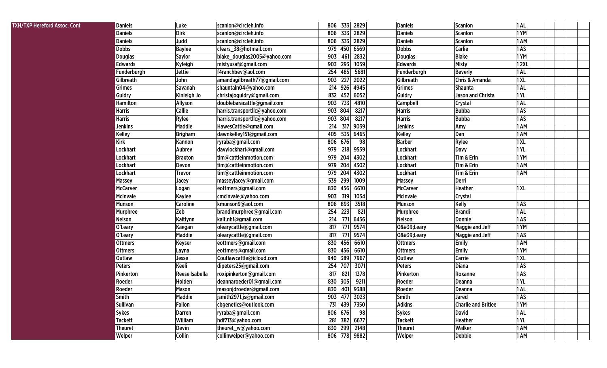| TXH/TXP Hereford Assoc. Cont | <b>Daniels</b>  | Luke            | scanlon@circleh.info          | 333 2829<br>806    | Daniels         | Scanlon                    | 1 AL        |  |
|------------------------------|-----------------|-----------------|-------------------------------|--------------------|-----------------|----------------------------|-------------|--|
|                              | <b>Daniels</b>  | <b>Dirk</b>     | scanlon@circleh.info          | 333<br>806<br>2829 | <b>Daniels</b>  | <b>Scanlon</b>             | 1YM         |  |
|                              | <b>Daniels</b>  | Judd            | scanlon@circleh.info          | 806<br>333<br>2829 | Daniels         | <b>Scanlon</b>             | 1 AM        |  |
|                              | <b>Dobbs</b>    | <b>Baylee</b>   | cfears_38@hotmail.com         | 979<br>450<br>6569 | <b>Dobbs</b>    | <b>Carlie</b>              | 1AS         |  |
|                              | <b>Douglas</b>  | <b>Saylor</b>   | blake_douglas2005@yahoo.com   | 903<br>2832<br>461 | <b>Douglas</b>  | <b>Blake</b>               | 1YM         |  |
|                              | <b>Edwards</b>  | Kyleigh         | mistyusaf@gmail.com           | 903<br>293<br>1059 | <b>Edwards</b>  | <b>Misty</b>               | <b>12XL</b> |  |
|                              | Funderburgh     | <b>Jettie</b>   | f4ranchbev@aol.com            | 254<br>5681<br>485 | Funderburgh     | <b>Beverly</b>             | 1 AL        |  |
|                              | Gilbreath       | John            | amandagilbreath77@gmail.com   | 903<br>227<br>2022 | Gilbreath       | <b>Chris &amp; Amanda</b>  | 1 XL        |  |
|                              | Grimes          | Savanah         | shauntaln04@yahoo.com         | 214<br>926<br>4945 | Grimes          | <b>Shaunta</b>             | 1AL         |  |
|                              | Guidry          | Kinleigh Jo     | christajoguidry@gmail.com     | 452<br>6052<br>832 | Guidry          | <b>Jason and Christa</b>   | 1 YL        |  |
|                              | Hamilton        | Allyson         | doublebaracattle@gmail.com    | 903<br>733<br>4810 | <b>Campbell</b> | Crystal                    | 1 AL        |  |
|                              | <b>Harris</b>   | <b>Callie</b>   | harris.transportllc@yahoo.com | 903<br>804<br>8217 | <b>Harris</b>   | <b>Bubba</b>               | 1AS         |  |
|                              | <b>Harris</b>   | Rylee           | harris.transportllc@yahoo.com | 903<br>804<br>8217 | <b>Harris</b>   | <b>Bubba</b>               | 1AS         |  |
|                              | <b>Jenkins</b>  | Maddie          | HawesCattle@gmail.com         | 214<br>317<br>9039 | Jenkins         | Amy                        | 1 AM        |  |
|                              | <b>Kelley</b>   | <b>Brigham</b>  | dawnkelley151@gmail.com       | 405<br>535 6465    | Kelley          | Dan                        | 1 AM        |  |
|                              | Kirk            | Kannon          | ryraba@gmail.com              | 806<br>676<br>98   | <b>Barber</b>   | Rylee                      | 1 X L       |  |
|                              | Lockhart        | Aubrey          | davylockhart@gmail.com        | 979<br>218<br>9559 | Lockhart        | <b>Davy</b>                | 1 YL        |  |
|                              | Lockhart        | <b>Braxton</b>  | tim@cattleinmotion.com        | 979<br>204<br>4302 | Lockhart        | Tim & Erin                 | 1YM         |  |
|                              | <b>Lockhart</b> | Devon           | tim@cattleinmotion.com        | 979<br>204<br>4302 | Lockhart        | Tim & Erin                 | 1 AM        |  |
|                              | Lockhart        | <b>Trevor</b>   | tim@cattleinmotion.com        | 204<br>979<br>4302 | Lockhart        | Tim & Erin                 | 1 AM        |  |
|                              | <b>Massey</b>   | Jacey           | masseyjacey@gmail.com         | 539<br>299<br>1009 | <b>Massey</b>   | Derri                      |             |  |
|                              | <b>McCarver</b> | Logan           | eottmers@gmail.com            | 830<br>6610<br>456 | <b>McCarver</b> | Heather                    | 1 XL        |  |
|                              | McInvale        | Kaylee          | cmcinvale@yahoo.com           | 903<br>319<br>1034 | McInvale        | <b>Crystal</b>             |             |  |
|                              | <b>Munson</b>   | <b>Caroline</b> | kmunson9@aol.com              | 3518<br>806<br>893 | Munson          | <b>Kelly</b>               | 1AS         |  |
|                              | <b>Murphree</b> | Zeb             | brandimurphree@gmail.com      | 254<br>223<br>821  | <b>Murphree</b> | <b>Brandi</b>              | 1 AL        |  |
|                              | <b>Nelson</b>   | Kaitlynn        | kait.nhf@gmail.com            | 214<br>771<br>6436 | Nelson          | Donnie                     | 1AS         |  |
|                              | O'Leary         | Kaegan          | olearycattle@gmail.com        | 817<br>771<br>9574 | 0'Leary         | Maggie and Jeff            | 1YM         |  |
|                              | O'Leary         | Maddie          | olearycattle@gmail.com        | 817<br>9574<br>771 | 0'Leary         | <b>Maggie and Jeff</b>     | 1AS         |  |
|                              | <b>Ottmers</b>  | <b>Keyser</b>   | eottmers@gmail.com            | 830<br>6610<br>456 | <b>Ottmers</b>  | <b>Emily</b>               | 1 AM        |  |
|                              | <b>Ottmers</b>  | Layna           | eottmers@gmail.com            | 456<br>830<br>6610 | <b>Ottmers</b>  | <b>Emily</b>               | 1YM         |  |
|                              | <b>Outlaw</b>   | Jesse           | Coutlawcattle@icloud.com      | 940<br>389<br>7967 | <b>Outlaw</b>   | Carrie                     | 1 XL        |  |
|                              | Peters          | Keeli           | dipeters25@gmail.com          | 254<br>707<br>3071 | Peters          | <b>Diana</b>               | 1AS         |  |
|                              | Pinkerton       | Reese Isabella  | roxipinkerton@gmail.com       | 817<br>821<br>1378 | Pinkerton       | Roxanne                    | 1AS         |  |
|                              | Roeder          | Holden          | deannaroeder01@gmail.com      | 830<br>305<br>9211 | Roeder          | Deanna                     | 1 YL        |  |
|                              | Roeder          | Mason           | masonjdroeder@gmail.com       | 830<br>401<br>9388 | Roeder          | Deanna                     | 1AL         |  |
|                              | Smith           | Maddie          | jsmith2971.js@gmail.com       | 903 477 3023       | Smith           | <b>Jared</b>               | 1AS         |  |
|                              | <b>Sullivan</b> | Fallon          | cbgenetics@outlook.com        | 731<br>439 7350    | <b>Adkins</b>   | <b>Charlie and Britlee</b> | 1YM         |  |
|                              | <b>Sykes</b>    | <b>Darren</b>   | ryraba@gmail.com              | 806 676<br>98      | <b>Sykes</b>    | <b>David</b>               | 1AL         |  |
|                              | <b>Tackett</b>  | William         | hdf713@yahoo.com              | 281<br>382 6677    | <b>Tackett</b>  | <b>Heather</b>             | 1 YL        |  |
|                              | <b>Theuret</b>  | Devin           | theuret_w@yahoo.com           | 830 299 2148       | Theuret         | Walker                     | 1 AM        |  |
|                              | Welper          | Collin          | collinwelper@yahoo.com        | 806 778 9882       | Welper          | <b>Debbie</b>              | 1 AM        |  |
|                              |                 |                 |                               |                    |                 |                            |             |  |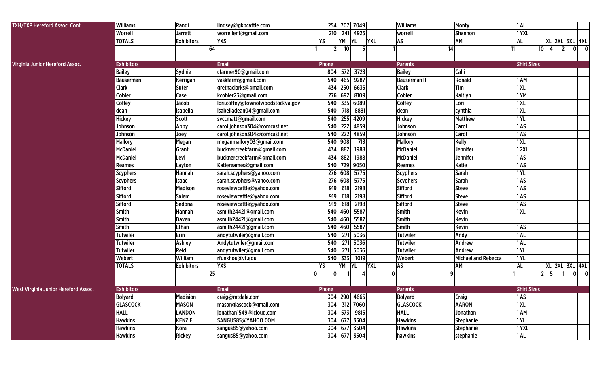| <b>TXH/TXP Hereford Assoc. Cont</b>  | Williams          | Randi             | lindsey@gkbcattle.com             |              |                 | 254 707 7049            | <b>Williams</b>     | Monty                      | <b>1AL</b>         |                 |     |                       |                                         |
|--------------------------------------|-------------------|-------------------|-----------------------------------|--------------|-----------------|-------------------------|---------------------|----------------------------|--------------------|-----------------|-----|-----------------------|-----------------------------------------|
|                                      | Worrell           | <b>Jarrett</b>    | worrellent@gmail.com              | 210          |                 | 241 4925                | worrell             | <b>Shannon</b>             | 1YXL               |                 |     |                       |                                         |
|                                      | <b>TOTALS</b>     | <b>Exhibitors</b> | <b>YXS</b>                        | YS           | YM              | <b>YXL</b><br><b>YL</b> | AS                  | AM                         | <b>AL</b>          |                 |     |                       | <b>XL 2XL 3XL 4XL</b>                   |
|                                      |                   | 64                |                                   | 2            | 10 <sup>1</sup> | 5 <sup>1</sup>          |                     | 14                         | 11                 | 10 <sup>1</sup> | 4   | $\overline{2}$        | $\mathbf{0}$<br>$\overline{\mathbf{0}}$ |
|                                      |                   |                   |                                   |              |                 |                         |                     |                            |                    |                 |     |                       |                                         |
| Virginia Junior Hereford Assoc.      | <b>Exhibitors</b> |                   | <b>Email</b>                      | Phone        |                 |                         | <b>Parents</b>      |                            | <b>Shirt Sizes</b> |                 |     |                       |                                         |
|                                      | <b>Bailey</b>     | Sydnie            | cfarmer90@gmail.com               |              |                 | 804 572 3723            | <b>Bailey</b>       | Calli                      |                    |                 |     |                       |                                         |
|                                      | Bauserman         | Kerrigan          | vaskfarm@gmail.com                | 540          |                 | 465 9287                | <b>Bauserman II</b> | Ronald                     | 1 AM               |                 |     |                       |                                         |
|                                      | Clark             | Suter             | gretnaclarks@gmail.com            | 434          |                 | 250 6635                | <b>Clark</b>        | Tim                        | 1XL                |                 |     |                       |                                         |
|                                      | Cobler            | Case              | kcobler23@gmail.com               | 276          |                 | 692 8109                | Cobler              | Kaitlyn                    | 1YM                |                 |     |                       |                                         |
|                                      | Coffey            | Jacob             | lori.coffey@townofwoodstockva.gov | 540          |                 | 335 6089                | Coffey              | Lori                       | 1XL                |                 |     |                       |                                         |
|                                      | dean              | isabella          | isabelladean04@gmail.com          | 540          | 718             | 8881                    | dean                | cynthia                    | 1XL                |                 |     |                       |                                         |
|                                      | <b>Hickey</b>     | <b>Scott</b>      | svccmatt@gmail.com                |              |                 | 540 255 4209            | <b>Hickey</b>       | <b>Matthew</b>             | 1 YL               |                 |     |                       |                                         |
|                                      | Johnson           | Abby              | carol.johnson304@comcast.net      |              |                 | 540 222 4859            | Johnson             | Carol                      | 1AS                |                 |     |                       |                                         |
|                                      | Johnson           | Joey              | carol.johnson304@comcast.net      | 540          | 222             | 4859                    | Johnson             | Carol                      | 1AS                |                 |     |                       |                                         |
|                                      | <b>Mallory</b>    | Megan             | meganmallory03@gmail.com          |              | 540 908         | 713                     | <b>Mallory</b>      | Kelly                      | 1XL                |                 |     |                       |                                         |
|                                      | <b>McDaniel</b>   | Grant             | bucknercreekfarm@gmail.com        | 434          | 882             | 1988                    | <b>McDaniel</b>     | Jennifer                   | 12XL               |                 |     |                       |                                         |
|                                      | <b>McDaniel</b>   | Levi              | bucknercreekfarm@gmail.com        | 434          | 882             | 1988                    | <b>McDaniel</b>     | Jennifer                   | 1AS                |                 |     |                       |                                         |
|                                      | Reames            | Layton            | Katiereames@gmail.com             | 540          | 729             | 9050                    | <b>Reames</b>       | Katie                      | 1AS                |                 |     |                       |                                         |
|                                      | <b>Scyphers</b>   | Hannah            | sarah.scyphers@yahoo.com          |              |                 | 276 608 5775            | <b>Scyphers</b>     | <b>Sarah</b>               | 1YL                |                 |     |                       |                                         |
|                                      | <b>Scyphers</b>   | <b>Isaac</b>      | sarah.scyphers@yahoo.com          |              | 276 608         | 5775                    | <b>Scyphers</b>     | <b>Sarah</b>               | 1AS                |                 |     |                       |                                         |
|                                      | Sifford           | <b>Madison</b>    | roseviewcattle@yahoo.com          | 919          | 618             | 2198                    | <b>Sifford</b>      | <b>Steve</b>               | 1AS                |                 |     |                       |                                         |
|                                      | Sifford           | <b>Salem</b>      | roseviewcattle@yahoo.com          | 919          | 618             | 2198                    | <b>Sifford</b>      | <b>Steve</b>               | 1AS                |                 |     |                       |                                         |
|                                      | Sifford           | Sedona            | roseviewcattle@yahoo.com          | 919          | 618             | 2198                    | Sifford             | <b>Steve</b>               | 1AS                |                 |     |                       |                                         |
|                                      | Smith             | Hannah            | asmith24421@gmail.com             | 540          | 460             | 5587                    | Smith               | Kevin                      | 1XL                |                 |     |                       |                                         |
|                                      | Smith             | Daven             | asmith24421@gmail.com             |              | 540 460         | 5587                    | Smith               | <b>Kevin</b>               |                    |                 |     |                       |                                         |
|                                      | Smith             | Ethan             | asmith24421@gmail.com             |              |                 | 540 460 5587            | <b>Smith</b>        | <b>Kevin</b>               | 1AS                |                 |     |                       |                                         |
|                                      | <b>Tutwiler</b>   | Erin              | andytutwiler@gmail.com            | 540          | 271             | 5036                    | <b>Tutwiler</b>     | Andy                       | 1AL                |                 |     |                       |                                         |
|                                      | <b>Tutwiler</b>   | Ashley            | Andytutwiler@gmail.com            | 540          | 271             | 5036                    | <b>Tutwiler</b>     | Andrew                     | 1AL                |                 |     |                       |                                         |
|                                      | <b>Tutwiler</b>   | Reid              | andytutwiler@gmail.com            | 540          | 271             | 5036                    | <b>Tutwiler</b>     | Andrew                     | 1YL                |                 |     |                       |                                         |
|                                      | Webert            | William           | rfunkhou@vt.edu                   | 540          | 333             | 1019                    | Webert              | <b>Michael and Rebecca</b> | 1YL                |                 |     |                       |                                         |
|                                      | <b>TOTALS</b>     | <b>Exhibitors</b> | <b>YXS</b>                        | YS           | YM              | <b>YXL</b><br>YL        | AS                  | AM                         | <b>AL</b>          |                 |     | <b>XL 2XL 3XL 4XL</b> |                                         |
|                                      |                   | 25                | $\mathbf{0}$                      | $\mathbf{0}$ |                 | 4                       | $\mathbf{0}$        | q                          |                    | 2 <sup>1</sup>  | -51 |                       | $\mathbf 0$<br>$\mathbf{0}$             |
|                                      |                   |                   |                                   |              |                 |                         |                     |                            |                    |                 |     |                       |                                         |
| West Virginia Junior Hereford Assoc. | <b>Exhibitors</b> |                   | <b>Email</b>                      | Phone        |                 |                         | <b>Parents</b>      |                            | <b>Shirt Sizes</b> |                 |     |                       |                                         |
|                                      | Bolyard           | <b>Madision</b>   | craig@mtdale.com                  |              |                 | 304 290 4665            | <b>Bolyard</b>      | Craig                      | 1AS                |                 |     |                       |                                         |
|                                      | <b>GLASCOCK</b>   | <b>MASON</b>      | masonglascock@gmail.com           |              |                 | 304 312 7060            | <b>GLASCOCK</b>     | <b>AARON</b>               | <b>1 XL</b>        |                 |     |                       |                                         |
|                                      | <b>HALL</b>       | <b>LANDON</b>     | jonathan1549@icloud.com           |              |                 | 304 573 9815            | <b>HALL</b>         | Jonathan                   | 1 AM               |                 |     |                       |                                         |
|                                      | <b>Hawkins</b>    | <b>KENZIE</b>     | SANGUS85@YAHOO.COM                |              |                 | 304 677 3504            | <b>Hawkins</b>      | <b>Stephanie</b>           | 1 YL               |                 |     |                       |                                         |
|                                      | <b>Hawkins</b>    | Kora              | sangus85@yahoo.com                |              |                 | 304 677 3504            | <b>Hawkins</b>      | <b>Stephanie</b>           | 1 YXL              |                 |     |                       |                                         |
|                                      | <b>Hawkins</b>    | <b>Rickey</b>     | sangus85@yahoo.com                |              |                 | 304 677 3504            | hawkins             | stephanie                  | 1AL                |                 |     |                       |                                         |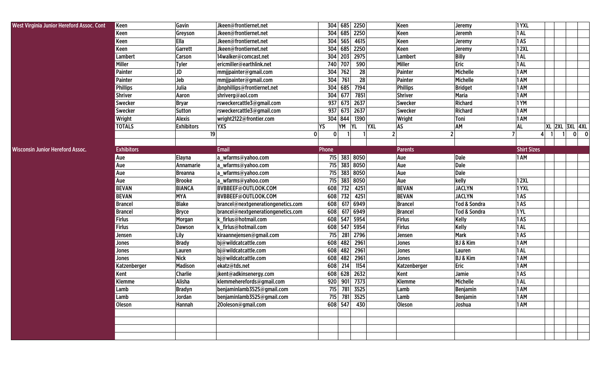| West Virginia Junior Hereford Assoc. Cont | Keen              | Gavin             | Jkeen@frontiernet.net              | 304 685 2250                 |                         | Keen            | Jeremy                  | 1YXL               |   |                |
|-------------------------------------------|-------------------|-------------------|------------------------------------|------------------------------|-------------------------|-----------------|-------------------------|--------------------|---|----------------|
|                                           | Keen              | Greyson           | Jkeen@frontiernet.net              | 304 685 2250                 |                         | Keen            | Jeremh                  | 1 AL               |   |                |
|                                           | Keen              | Ella              | Jkeen@frontiernet.net              | 304<br>565                   | 4615                    | Keen            | Jeremy                  | 1 AS               |   |                |
|                                           | Keen              | Garrett           | Jkeen@frontiernet.net              | 304 685 2250                 |                         | Keen            | Jeremy                  | 12XL               |   |                |
|                                           | Lambert           | <b>Carson</b>     | 14walker@comcast.net               | 304                          | 203 2975                | Lambert         | <b>Billy</b>            | 1 AL               |   |                |
|                                           | <b>Miller</b>     | <b>Tyler</b>      | ericmiller@earthlink.net           | 740<br>707                   | 590                     | Miller          | Eric                    | 1 AL               |   |                |
|                                           | <b>Painter</b>    | JD                | mmjjpainter@gmail.com              | 304 762                      | 28                      | Painter         | Michelle                | 1 AM               |   |                |
|                                           | <b>Painter</b>    | Jeb               | mmjjpainter@gmail.com              | 304<br>761                   | 28                      | Painter         | Michelle                | 1 AM               |   |                |
|                                           | <b>Phillips</b>   | Julia             | jbnphillips@frontiernet.net        | 304<br>685                   | 7194                    | <b>Phillips</b> | <b>Bridget</b>          | 1 AM               |   |                |
|                                           | <b>Shriver</b>    | Aaron             | shriverg@aol.com                   | 304<br>677                   | 7851                    | Shriver         | <b>Maria</b>            | 1 AM               |   |                |
|                                           | <b>Swecker</b>    | <b>Bryar</b>      | rsweckercattle3@gmail.com          | 937<br>673                   | 2637                    | <b>Swecker</b>  | <b>Richard</b>          | 1YM                |   |                |
|                                           | <b>Swecker</b>    | Sutton            | rsweckercattle3@gmail.com          | 937<br>673                   | 2637                    | <b>Swecker</b>  | <b>Richard</b>          | 1 AM               |   |                |
|                                           | Wright            | <b>Alexis</b>     | wright2122@frontier.com            | 304 844                      | 1390                    | Wright          | Toni                    | 1 AM               |   |                |
|                                           | <b>TOTALS</b>     | <b>Exhibitors</b> | <b>YXS</b>                         | YM<br>YS                     | <b>YL</b><br><b>YXL</b> | AS              | AM                      | AL                 |   | XL 2XL 3XL 4XL |
|                                           |                   | 19                |                                    | $\mathbf{0}$<br>$\mathbf{0}$ |                         | 2               | 2                       |                    | 4 | $0\qquad 0$    |
|                                           |                   |                   |                                    |                              |                         |                 |                         |                    |   |                |
| Wisconsin Junior Hereford Assoc.          | <b>Exhibitors</b> |                   | <b>Email</b>                       | Phone                        |                         | <b>Parents</b>  |                         | <b>Shirt Sizes</b> |   |                |
|                                           | Aue               | Elayna            | a_wfarms@yahoo.com                 | 715 383 8050                 |                         | Aue             | Dale                    | 1 AM               |   |                |
|                                           | Aue               | Annamarie         | a_wfarms@yahoo.com                 | 715                          | 383 8050                | Aue             | Dale                    |                    |   |                |
|                                           | Aue               | <b>Breanna</b>    | a_wfarms@yahoo.com                 | 715                          | 383 8050                | Aue             | Dale                    |                    |   |                |
|                                           | Aue               | <b>Brooke</b>     | a_wfarms@yahoo.com                 | 715                          | 383 8050                | Aue             | kelly                   | 12XL               |   |                |
|                                           | <b>BEVAN</b>      | <b>BIANCA</b>     | BVBBEEF@OUTLOOK.COM                | 732<br>608                   | 4251                    | <b>BEVAN</b>    | <b>JACLYN</b>           | 1YXL               |   |                |
|                                           | <b>BEVAN</b>      | <b>MYA</b>        | BVBBEEF@OUTLOOK.COM                | 732<br>608                   | 4251                    | <b>BEVAN</b>    | <b>JACLYN</b>           | 1 AS               |   |                |
|                                           | <b>Brancel</b>    | <b>Blake</b>      | brancel@nextgenerationgenetics.com | 608                          | 617 6949                | <b>Brancel</b>  | <b>Tod &amp; Sondra</b> | 1AS                |   |                |
|                                           | <b>Brancel</b>    | <b>Bryce</b>      | brancel@nextgenerationgenetics.com | 608                          | 617 6949                | <b>Brancel</b>  | <b>Tod &amp; Sondra</b> | 1YL                |   |                |
|                                           | <b>Firlus</b>     | Morgan            | k_firlus@hotmail.com               | 608                          | 547 5954                | Firlus          | <b>Kelly</b>            | 1AS                |   |                |
|                                           | <b>Firlus</b>     | <b>Dawson</b>     | k firlus@hotmail.com               | 608                          | 547 5954                | Firlus          | Kelly                   | 1 AL               |   |                |
|                                           | Jensen            | Lily              | kiraannejensen@gmail.com           | 715                          | 281 2796                | Jensen          | <b>Mark</b>             | 1 AS               |   |                |
|                                           | Jones             | <b>Brady</b>      | bj@wildcatcattle.com               | 608<br>482                   | 2961                    | Jones           | <b>BJ &amp; Kim</b>     | 1 AM               |   |                |
|                                           | Jones             | Lauren            | bj@wildcatcattle.com               | 482<br>608                   | 2961                    | Jones           | Lauren                  | 1 AL               |   |                |
|                                           | Jones             | <b>Nick</b>       | bj@wildcatcattle.com               | 608 482                      | 2961                    | Jones           | <b>BJ &amp; Kim</b>     | 1 AM               |   |                |
|                                           | Katzenberger      | <b>Madison</b>    | ekatz@tds.net                      | 214<br>608                   | 1154                    | Katzenberger    | Eric                    | 1 AM               |   |                |
|                                           | Kent              | <b>Charlie</b>    | jkent@adkinsenergy.com             | 608                          | 628 2632                | Kent            | Jamie                   | 1 AS               |   |                |
|                                           | Klemme            | Alisha            | klemmeherefords@gmail.com          | 920                          | 901 7373                | <b>Klemme</b>   | Michelle                | 1 AL               |   |                |
|                                           | Lamb              | <b>Bradyn</b>     | benjaminlamb3525@gmail.com         | 715 781 3525                 |                         | Lamb            | <b>Benjamin</b>         | 1 AM               |   |                |
|                                           | Lamb              | Jordan            | benjaminlamb3525@gmail.com         | 715 781 3525                 |                         | Lamb            | Benjamin                | 1 AM               |   |                |
|                                           | Oleson            | Hannah            | 20oleson@gmail.com                 | 608 547 430                  |                         | Oleson          | Joshua                  | 1 AM               |   |                |
|                                           |                   |                   |                                    |                              |                         |                 |                         |                    |   |                |
|                                           |                   |                   |                                    |                              |                         |                 |                         |                    |   |                |
|                                           |                   |                   |                                    |                              |                         |                 |                         |                    |   |                |
|                                           |                   |                   |                                    |                              |                         |                 |                         |                    |   |                |